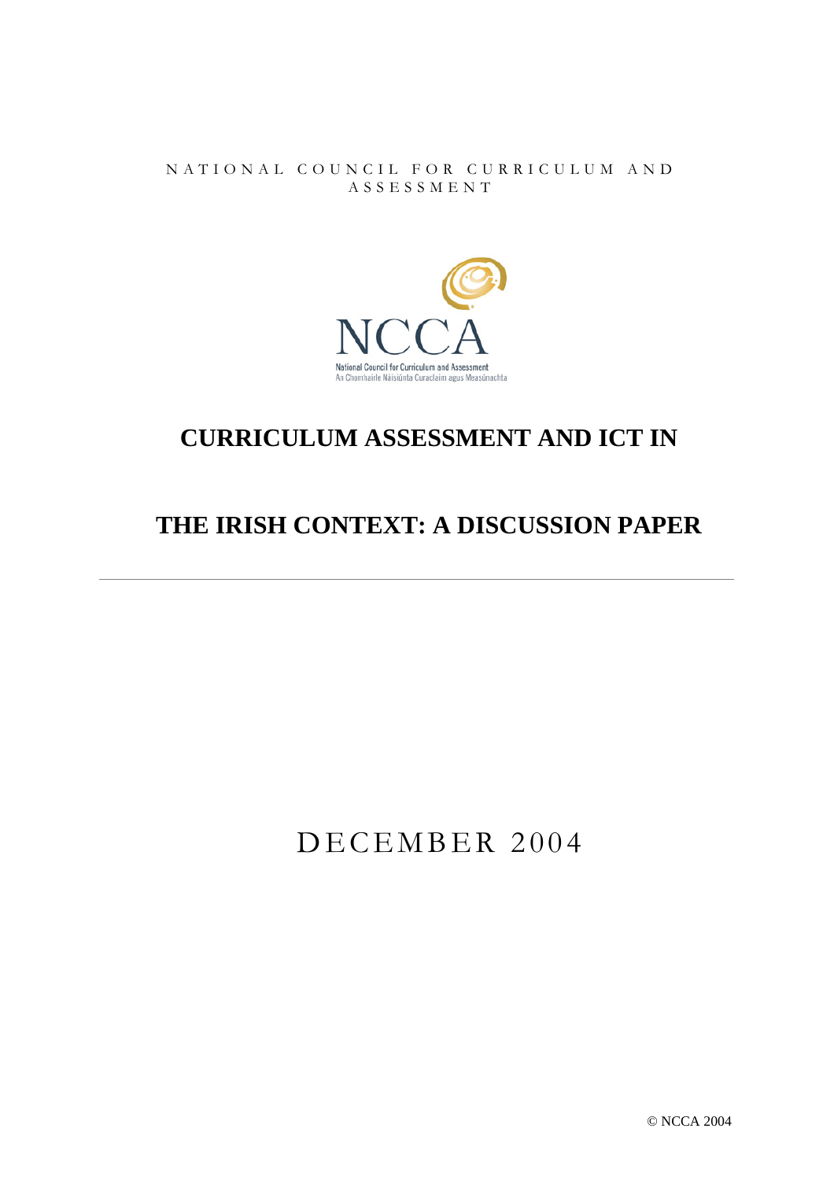NATIONAL COUNCIL FOR CURRICULUM AND A S S E S S MENT



# **CURRICULUM ASSESSMENT AND ICT IN**

# **THE IRISH CONTEXT: A DISCUSSION PAPER**

# DECEMBER 2004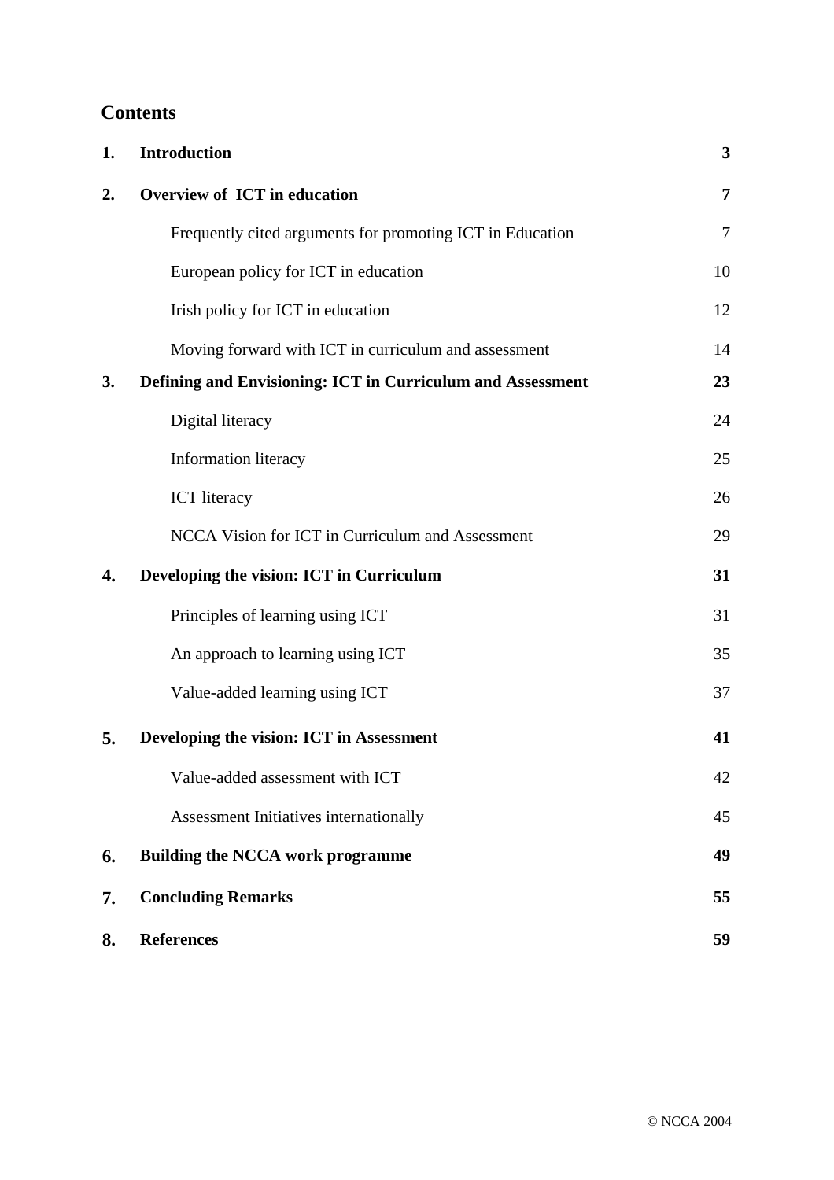# **Contents**

| 1. | <b>Introduction</b>                                        | 3  |
|----|------------------------------------------------------------|----|
| 2. | <b>Overview of ICT in education</b>                        | 7  |
|    | Frequently cited arguments for promoting ICT in Education  | 7  |
|    | European policy for ICT in education                       | 10 |
|    | Irish policy for ICT in education                          | 12 |
|    | Moving forward with ICT in curriculum and assessment       | 14 |
| 3. | Defining and Envisioning: ICT in Curriculum and Assessment | 23 |
|    | Digital literacy                                           | 24 |
|    | Information literacy                                       | 25 |
|    | <b>ICT</b> literacy                                        | 26 |
|    | NCCA Vision for ICT in Curriculum and Assessment           | 29 |
| 4. | Developing the vision: ICT in Curriculum                   | 31 |
|    | Principles of learning using ICT                           | 31 |
|    | An approach to learning using ICT                          | 35 |
|    | Value-added learning using ICT                             | 37 |
| 5. | Developing the vision: ICT in Assessment                   | 41 |
|    | Value-added assessment with ICT                            | 42 |
|    | Assessment Initiatives internationally                     | 45 |
| 6. | <b>Building the NCCA work programme</b>                    | 49 |
| 7. | <b>Concluding Remarks</b>                                  | 55 |
| 8. | <b>References</b>                                          | 59 |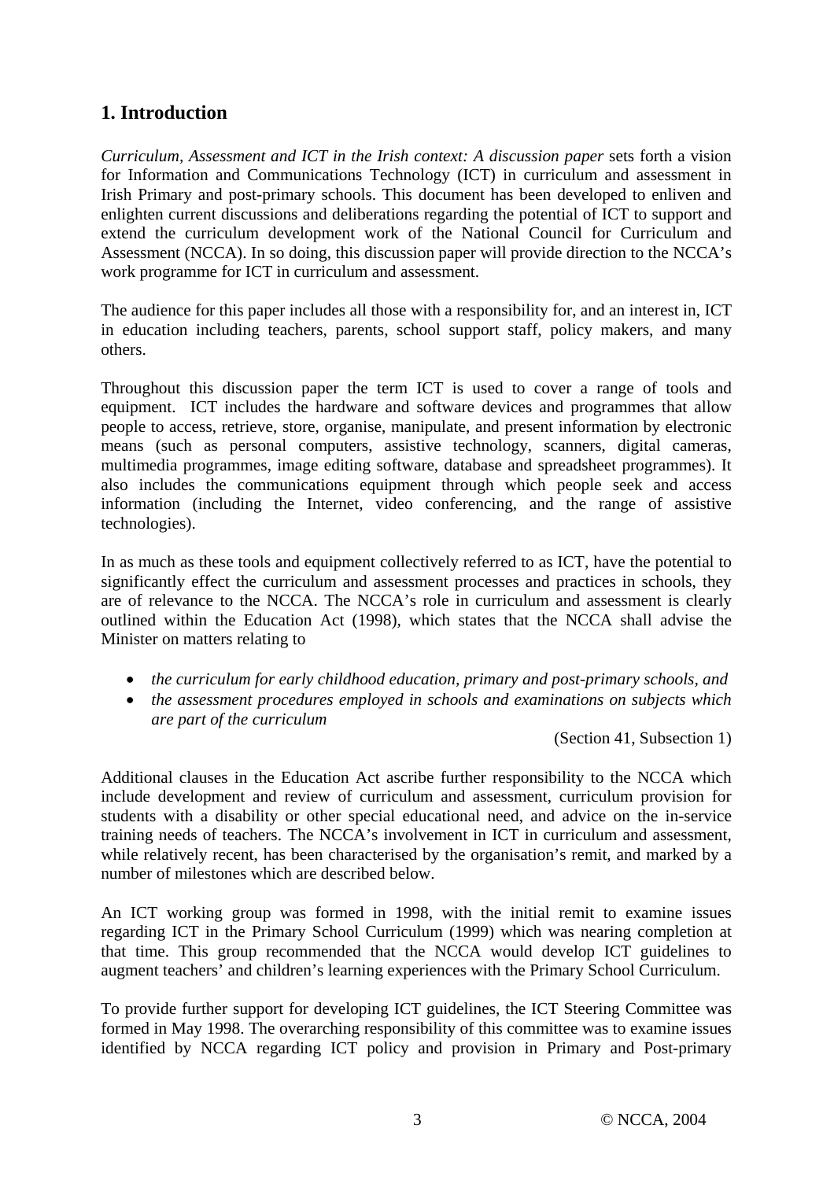# **1. Introduction**

*Curriculum, Assessment and ICT in the Irish context: A discussion paper* sets forth a vision for Information and Communications Technology (ICT) in curriculum and assessment in Irish Primary and post-primary schools. This document has been developed to enliven and enlighten current discussions and deliberations regarding the potential of ICT to support and extend the curriculum development work of the National Council for Curriculum and Assessment (NCCA). In so doing, this discussion paper will provide direction to the NCCA's work programme for ICT in curriculum and assessment.

The audience for this paper includes all those with a responsibility for, and an interest in, ICT in education including teachers, parents, school support staff, policy makers, and many others.

Throughout this discussion paper the term ICT is used to cover a range of tools and equipment. ICT includes the hardware and software devices and programmes that allow people to access, retrieve, store, organise, manipulate, and present information by electronic means (such as personal computers, assistive technology, scanners, digital cameras, multimedia programmes, image editing software, database and spreadsheet programmes). It also includes the communications equipment through which people seek and access information (including the Internet, video conferencing, and the range of assistive technologies).

In as much as these tools and equipment collectively referred to as ICT, have the potential to significantly effect the curriculum and assessment processes and practices in schools, they are of relevance to the NCCA. The NCCA's role in curriculum and assessment is clearly outlined within the Education Act (1998), which states that the NCCA shall advise the Minister on matters relating to

- *the curriculum for early childhood education, primary and post-primary schools, and*
- *the assessment procedures employed in schools and examinations on subjects which are part of the curriculum*

(Section 41, Subsection 1)

Additional clauses in the Education Act ascribe further responsibility to the NCCA which include development and review of curriculum and assessment, curriculum provision for students with a disability or other special educational need, and advice on the in-service training needs of teachers. The NCCA's involvement in ICT in curriculum and assessment, while relatively recent, has been characterised by the organisation's remit, and marked by a number of milestones which are described below.

An ICT working group was formed in 1998, with the initial remit to examine issues regarding ICT in the Primary School Curriculum (1999) which was nearing completion at that time. This group recommended that the NCCA would develop ICT guidelines to augment teachers' and children's learning experiences with the Primary School Curriculum.

To provide further support for developing ICT guidelines, the ICT Steering Committee was formed in May 1998. The overarching responsibility of this committee was to examine issues identified by NCCA regarding ICT policy and provision in Primary and Post-primary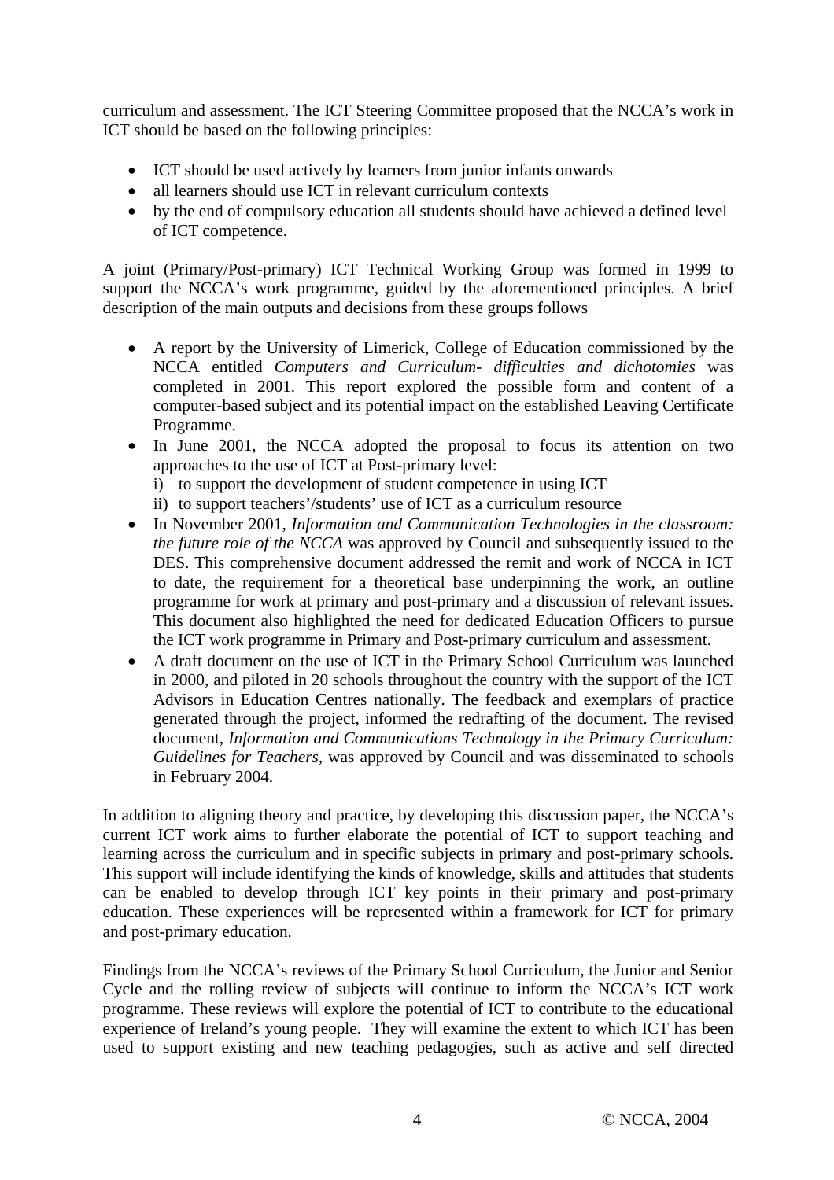curriculum and assessment. The ICT Steering Committee proposed that the NCCA's work in ICT should be based on the following principles:

- ICT should be used actively by learners from junior infants onwards
- all learners should use ICT in relevant curriculum contexts
- by the end of compulsory education all students should have achieved a defined level of ICT competence.

A joint (Primary/Post-primary) ICT Technical Working Group was formed in 1999 to support the NCCA's work programme, guided by the aforementioned principles. A brief description of the main outputs and decisions from these groups follows

- A report by the University of Limerick, College of Education commissioned by the NCCA entitled *Computers and Curriculum- difficulties and dichotomies* was completed in 2001. This report explored the possible form and content of a computer-based subject and its potential impact on the established Leaving Certificate Programme.
- In June 2001, the NCCA adopted the proposal to focus its attention on two approaches to the use of ICT at Post-primary level:
	- i) to support the development of student competence in using ICT
	- ii) to support teachers'/students' use of ICT as a curriculum resource
- In November 2001, *Information and Communication Technologies in the classroom: the future role of the NCCA* was approved by Council and subsequently issued to the DES. This comprehensive document addressed the remit and work of NCCA in ICT to date, the requirement for a theoretical base underpinning the work, an outline programme for work at primary and post-primary and a discussion of relevant issues. This document also highlighted the need for dedicated Education Officers to pursue the ICT work programme in Primary and Post-primary curriculum and assessment.
- A draft document on the use of ICT in the Primary School Curriculum was launched in 2000, and piloted in 20 schools throughout the country with the support of the ICT Advisors in Education Centres nationally. The feedback and exemplars of practice generated through the project, informed the redrafting of the document. The revised document, *Information and Communications Technology in the Primary Curriculum: Guidelines for Teachers,* was approved by Council and was disseminated to schools in February 2004.

In addition to aligning theory and practice, by developing this discussion paper, the NCCA's current ICT work aims to further elaborate the potential of ICT to support teaching and learning across the curriculum and in specific subjects in primary and post-primary schools. This support will include identifying the kinds of knowledge, skills and attitudes that students can be enabled to develop through ICT key points in their primary and post-primary education. These experiences will be represented within a framework for ICT for primary and post-primary education.

Findings from the NCCA's reviews of the Primary School Curriculum, the Junior and Senior Cycle and the rolling review of subjects will continue to inform the NCCA's ICT work programme. These reviews will explore the potential of ICT to contribute to the educational experience of Ireland's young people. They will examine the extent to which ICT has been used to support existing and new teaching pedagogies, such as active and self directed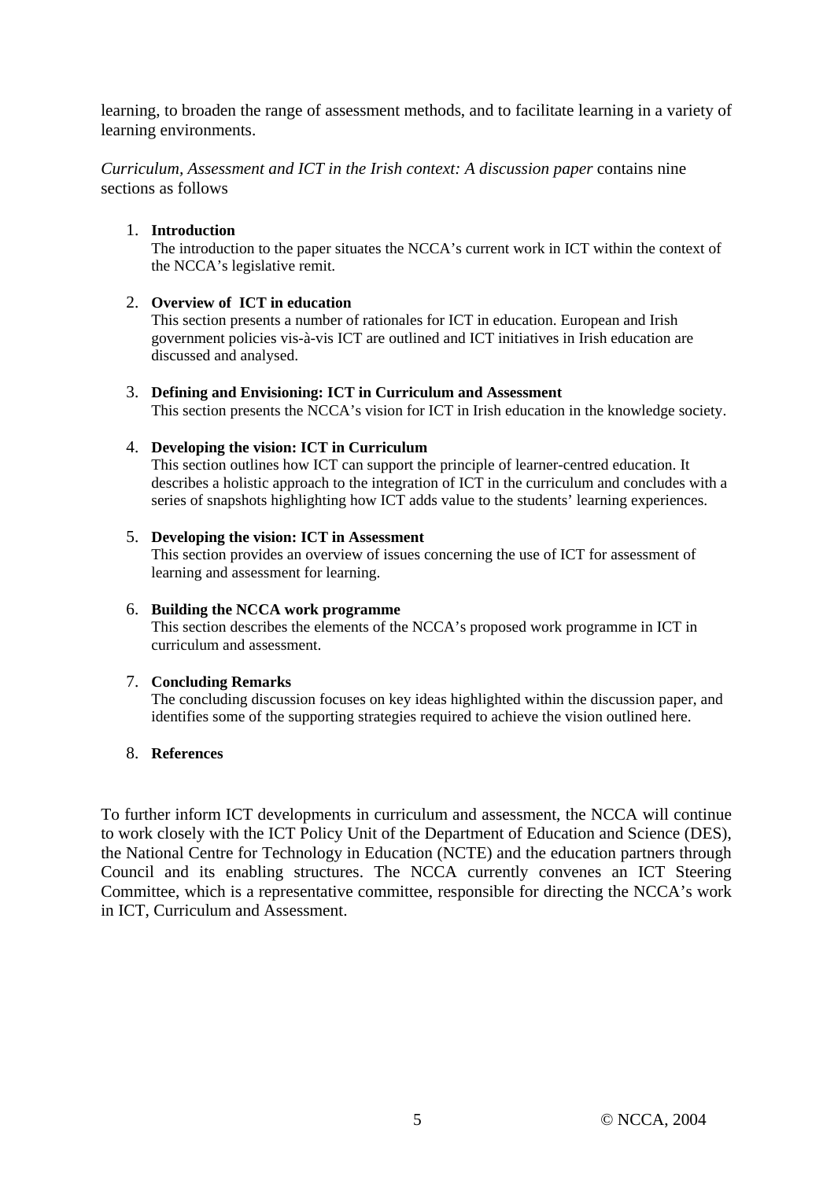learning, to broaden the range of assessment methods, and to facilitate learning in a variety of learning environments.

*Curriculum, Assessment and ICT in the Irish context: A discussion paper* contains nine sections as follows

#### 1. **Introduction**

The introduction to the paper situates the NCCA's current work in ICT within the context of the NCCA's legislative remit.

#### 2. **Overview of ICT in education**

This section presents a number of rationales for ICT in education. European and Irish government policies vis-à-vis ICT are outlined and ICT initiatives in Irish education are discussed and analysed.

3. **Defining and Envisioning: ICT in Curriculum and Assessment**  This section presents the NCCA's vision for ICT in Irish education in the knowledge society.

#### 4. **Developing the vision: ICT in Curriculum**

This section outlines how ICT can support the principle of learner-centred education. It describes a holistic approach to the integration of ICT in the curriculum and concludes with a series of snapshots highlighting how ICT adds value to the students' learning experiences.

#### 5. **Developing the vision: ICT in Assessment**

This section provides an overview of issues concerning the use of ICT for assessment of learning and assessment for learning.

#### 6. **Building the NCCA work programme**

This section describes the elements of the NCCA's proposed work programme in ICT in curriculum and assessment.

#### 7. **Concluding Remarks**

The concluding discussion focuses on key ideas highlighted within the discussion paper, and identifies some of the supporting strategies required to achieve the vision outlined here.

#### 8. **References**

To further inform ICT developments in curriculum and assessment, the NCCA will continue to work closely with the ICT Policy Unit of the Department of Education and Science (DES), the National Centre for Technology in Education (NCTE) and the education partners through Council and its enabling structures. The NCCA currently convenes an ICT Steering Committee, which is a representative committee, responsible for directing the NCCA's work in ICT, Curriculum and Assessment.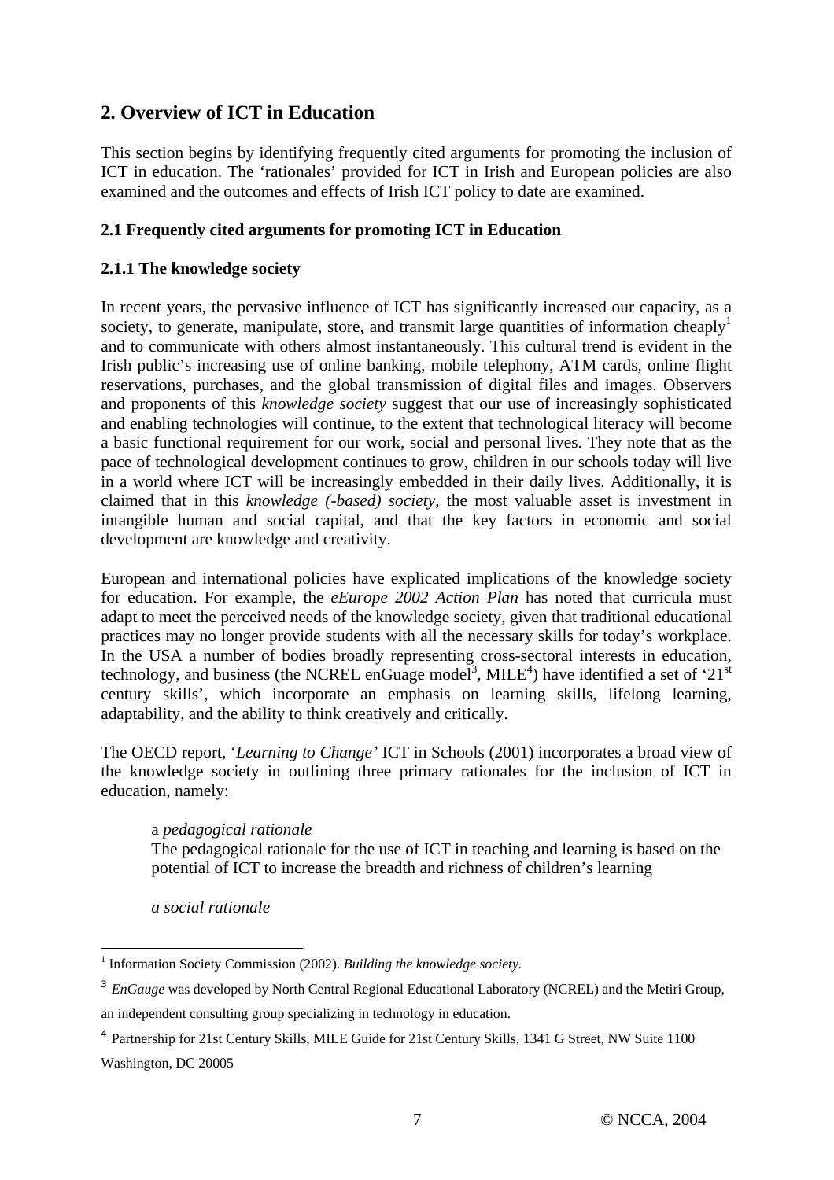# **2. Overview of ICT in Education**

This section begins by identifying frequently cited arguments for promoting the inclusion of ICT in education. The 'rationales' provided for ICT in Irish and European policies are also examined and the outcomes and effects of Irish ICT policy to date are examined.

## **2.1 Frequently cited arguments for promoting ICT in Education**

## **2.1.1 The knowledge society**

In recent years, the pervasive influence of ICT has significantly increased our capacity, as a society, to generate, manipulate, store, and transmit large quantities of information cheaply<sup>1</sup> and to communicate with others almost instantaneously. This cultural trend is evident in the Irish public's increasing use of online banking, mobile telephony, ATM cards, online flight reservations, purchases, and the global transmission of digital files and images. Observers and proponents of this *knowledge society* suggest that our use of increasingly sophisticated and enabling technologies will continue, to the extent that technological literacy will become a basic functional requirement for our work, social and personal lives. They note that as the pace of technological development continues to grow, children in our schools today will live in a world where ICT will be increasingly embedded in their daily lives. Additionally, it is claimed that in this *knowledge (-based) society*, the most valuable asset is investment in intangible human and social capital, and that the key factors in economic and social development are knowledge and creativity.

European and international policies have explicated implications of the knowledge society for education. For example, the *eEurope 2002 Action Plan* has noted that curricula must adapt to meet the perceived needs of the knowledge society, given that traditional educational practices may no longer provide students with all the necessary skills for today's workplace. In the USA a number of bodies broadly representing cross-sectoral interests in education, technology, and business (the NCREL enGuage model<sup>3</sup>, MILE<sup>4</sup>) have identified a set of '21<sup>st</sup> century skills', which incorporate an emphasis on learning skills, lifelong learning, adaptability, and the ability to think creatively and critically.

The OECD report, '*Learning to Change'* ICT in Schools (2001) incorporates a broad view of the knowledge society in outlining three primary rationales for the inclusion of ICT in education, namely:

## a *pedagogical rationale*

The pedagogical rationale for the use of ICT in teaching and learning is based on the potential of ICT to increase the breadth and richness of children's learning

*a social rationale* 

 $\overline{a}$ <sup>1</sup> Information Society Commission (2002). *Building the knowledge society*.

<sup>&</sup>lt;sup>3</sup> *EnGauge* was developed by North Central Regional Educational Laboratory (NCREL) and the Metiri Group, an independent consulting group specializing in technology in education.

<sup>4</sup> Partnership for 21st Century Skills, MILE Guide for 21st Century Skills, 1341 G Street, NW Suite 1100 Washington, DC 20005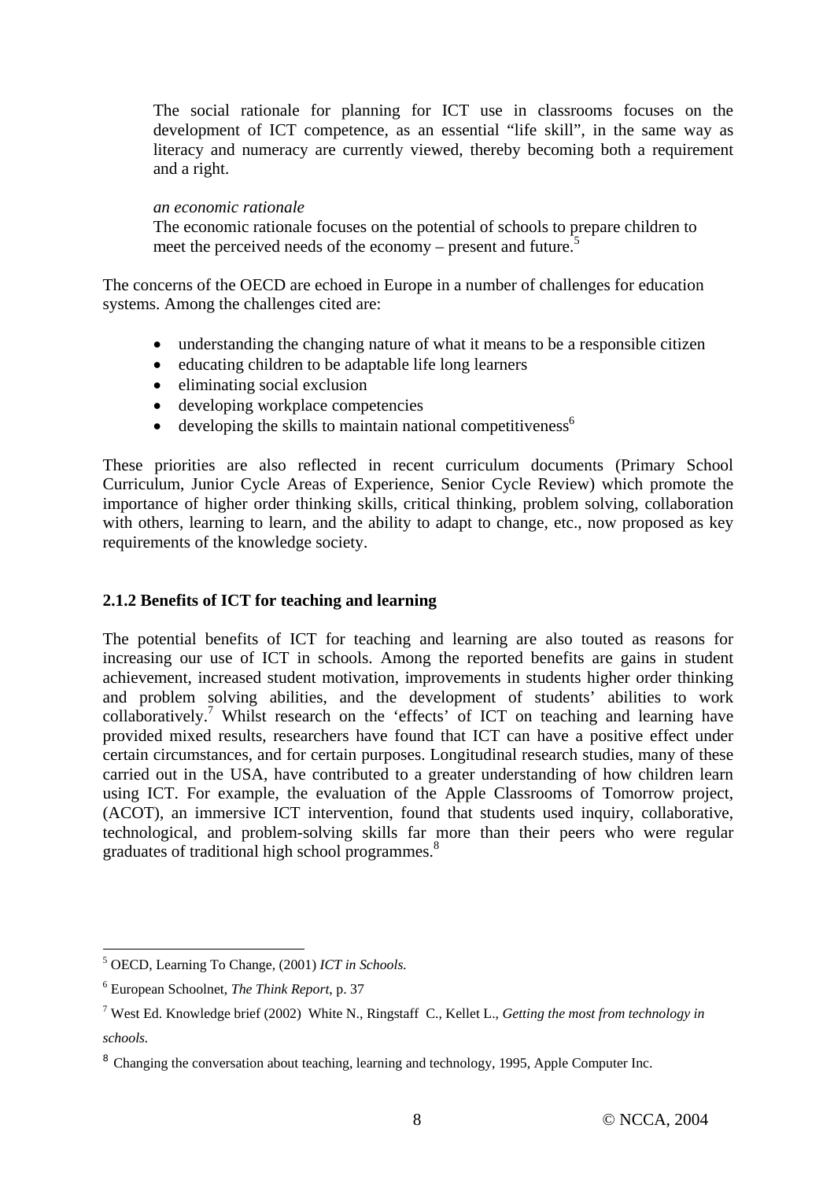The social rationale for planning for ICT use in classrooms focuses on the development of ICT competence, as an essential "life skill", in the same way as literacy and numeracy are currently viewed, thereby becoming both a requirement and a right.

#### *an economic rationale*

The economic rationale focuses on the potential of schools to prepare children to meet the perceived needs of the economy – present and future.<sup>5</sup>

The concerns of the OECD are echoed in Europe in a number of challenges for education systems. Among the challenges cited are:

- understanding the changing nature of what it means to be a responsible citizen
- educating children to be adaptable life long learners
- eliminating social exclusion
- developing workplace competencies
- $\bullet$  developing the skills to maintain national competitiveness<sup>6</sup>

These priorities are also reflected in recent curriculum documents (Primary School Curriculum, Junior Cycle Areas of Experience, Senior Cycle Review) which promote the importance of higher order thinking skills, critical thinking, problem solving, collaboration with others, learning to learn, and the ability to adapt to change, etc., now proposed as key requirements of the knowledge society.

## **2.1.2 Benefits of ICT for teaching and learning**

The potential benefits of ICT for teaching and learning are also touted as reasons for increasing our use of ICT in schools. Among the reported benefits are gains in student achievement, increased student motivation, improvements in students higher order thinking and problem solving abilities, and the development of students' abilities to work collaboratively.<sup>7</sup> Whilst research on the 'effects' of ICT on teaching and learning have provided mixed results, researchers have found that ICT can have a positive effect under certain circumstances, and for certain purposes. Longitudinal research studies, many of these carried out in the USA, have contributed to a greater understanding of how children learn using ICT. For example, the evaluation of the Apple Classrooms of Tomorrow project, (ACOT), an immersive ICT intervention, found that students used inquiry, collaborative, technological, and problem-solving skills far more than their peers who were regular graduates of traditional high school programmes.<sup>8</sup>

 $\overline{a}$ 

<sup>5</sup> OECD, Learning To Change, (2001) *ICT in Schools.*

<sup>6</sup> European Schoolnet, *The Think Report*, p. 37

<sup>7</sup> West Ed. Knowledge brief (2002) White N., Ringstaff C., Kellet L., *Getting the most from technology in schools.*

<sup>&</sup>lt;sup>8</sup> Changing the conversation about teaching, learning and technology, 1995, Apple Computer Inc.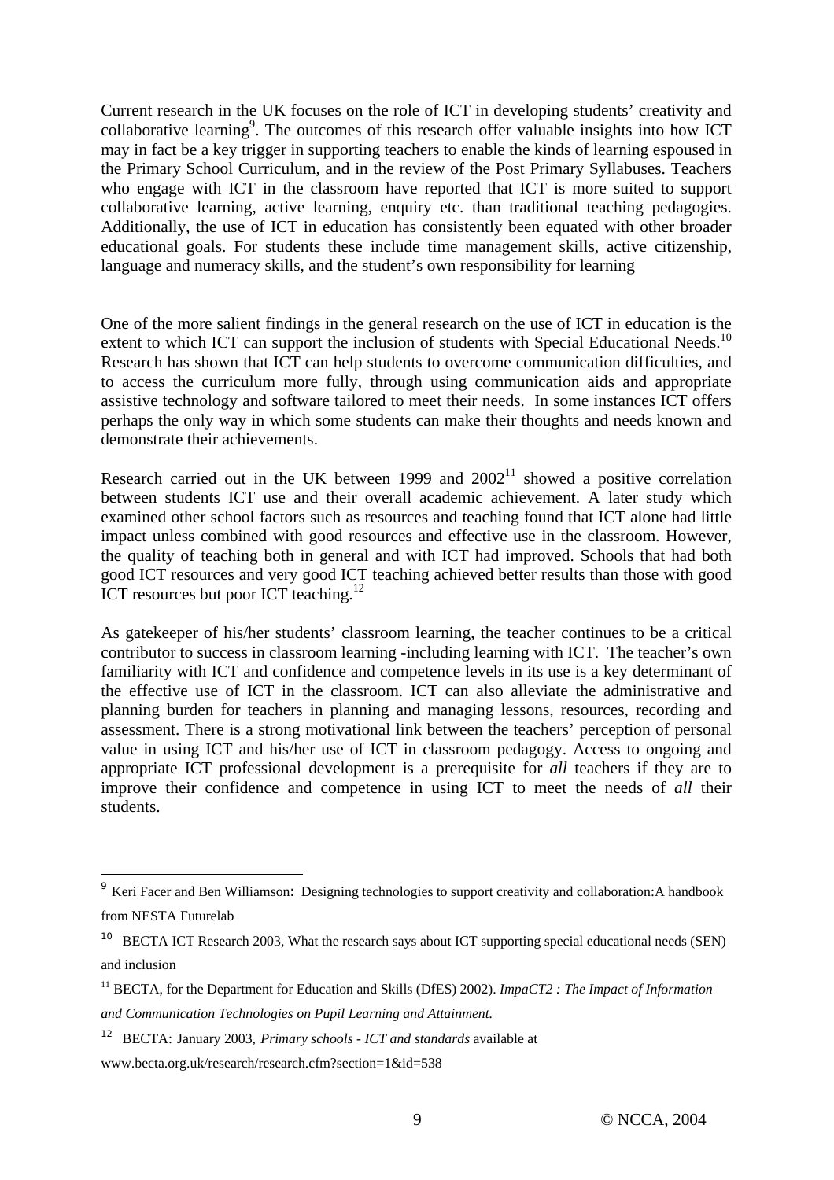Current research in the UK focuses on the role of ICT in developing students' creativity and collaborative learning<sup>9</sup>. The outcomes of this research offer valuable insights into how ICT may in fact be a key trigger in supporting teachers to enable the kinds of learning espoused in the Primary School Curriculum, and in the review of the Post Primary Syllabuses. Teachers who engage with ICT in the classroom have reported that ICT is more suited to support collaborative learning, active learning, enquiry etc. than traditional teaching pedagogies. Additionally, the use of ICT in education has consistently been equated with other broader educational goals. For students these include time management skills, active citizenship, language and numeracy skills, and the student's own responsibility for learning

One of the more salient findings in the general research on the use of ICT in education is the extent to which ICT can support the inclusion of students with Special Educational Needs.<sup>10</sup> Research has shown that ICT can help students to overcome communication difficulties, and to access the curriculum more fully, through using communication aids and appropriate assistive technology and software tailored to meet their needs. In some instances ICT offers perhaps the only way in which some students can make their thoughts and needs known and demonstrate their achievements.

Research carried out in the UK between 1999 and  $2002<sup>11</sup>$  showed a positive correlation between students ICT use and their overall academic achievement. A later study which examined other school factors such as resources and teaching found that ICT alone had little impact unless combined with good resources and effective use in the classroom. However, the quality of teaching both in general and with ICT had improved. Schools that had both good ICT resources and very good ICT teaching achieved better results than those with good ICT resources but poor ICT teaching.<sup>12</sup>

As gatekeeper of his/her students' classroom learning, the teacher continues to be a critical contributor to success in classroom learning -including learning with ICT. The teacher's own familiarity with ICT and confidence and competence levels in its use is a key determinant of the effective use of ICT in the classroom. ICT can also alleviate the administrative and planning burden for teachers in planning and managing lessons, resources, recording and assessment. There is a strong motivational link between the teachers' perception of personal value in using ICT and his/her use of ICT in classroom pedagogy. Access to ongoing and appropriate ICT professional development is a prerequisite for *all* teachers if they are to improve their confidence and competence in using ICT to meet the needs of *all* their students.

12 BECTA: January 2003, *Primary schools - ICT and standards* available at

 $\overline{a}$ 

<sup>&</sup>lt;sup>9</sup> Keri Facer and Ben Williamson: Designing technologies to support creativity and collaboration:A handbook from NESTA Futurelab

<sup>&</sup>lt;sup>10</sup> BECTA ICT Research 2003, What the research says about ICT supporting special educational needs (SEN) and inclusion

<sup>11</sup> BECTA, for the Department for Education and Skills (DfES) 2002). *ImpaCT2 : The Impact of Information and Communication Technologies on Pupil Learning and Attainment.*

www.becta.org.uk/research/research.cfm?section=1&id=538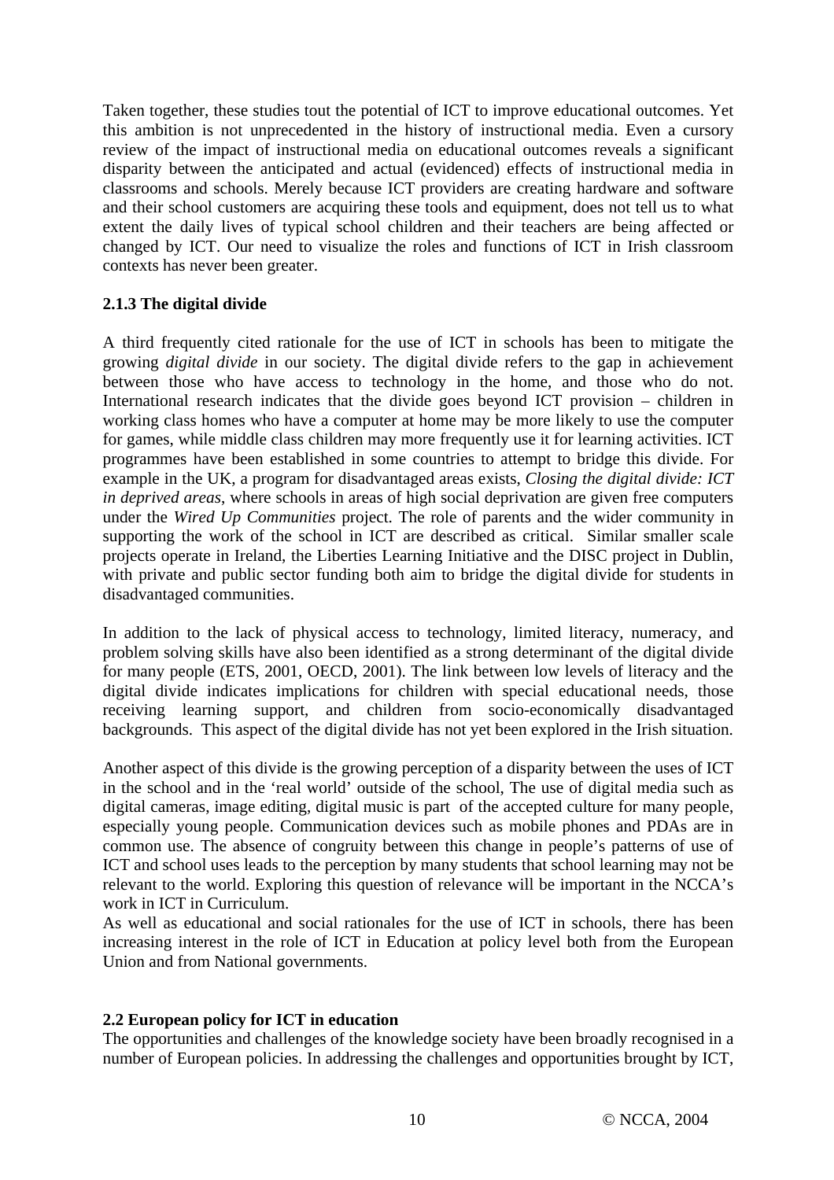Taken together, these studies tout the potential of ICT to improve educational outcomes. Yet this ambition is not unprecedented in the history of instructional media. Even a cursory review of the impact of instructional media on educational outcomes reveals a significant disparity between the anticipated and actual (evidenced) effects of instructional media in classrooms and schools. Merely because ICT providers are creating hardware and software and their school customers are acquiring these tools and equipment, does not tell us to what extent the daily lives of typical school children and their teachers are being affected or changed by ICT. Our need to visualize the roles and functions of ICT in Irish classroom contexts has never been greater.

## **2.1.3 The digital divide**

A third frequently cited rationale for the use of ICT in schools has been to mitigate the growing *digital divide* in our society. The digital divide refers to the gap in achievement between those who have access to technology in the home, and those who do not. International research indicates that the divide goes beyond ICT provision – children in working class homes who have a computer at home may be more likely to use the computer for games, while middle class children may more frequently use it for learning activities. ICT programmes have been established in some countries to attempt to bridge this divide. For example in the UK, a program for disadvantaged areas exists, *Closing the digital divide: ICT in deprived areas*, where schools in areas of high social deprivation are given free computers under the *Wired Up Communities* project. The role of parents and the wider community in supporting the work of the school in ICT are described as critical. Similar smaller scale projects operate in Ireland, the Liberties Learning Initiative and the DISC project in Dublin, with private and public sector funding both aim to bridge the digital divide for students in disadvantaged communities.

In addition to the lack of physical access to technology, limited literacy, numeracy, and problem solving skills have also been identified as a strong determinant of the digital divide for many people (ETS, 2001, OECD, 2001). The link between low levels of literacy and the digital divide indicates implications for children with special educational needs, those receiving learning support, and children from socio-economically disadvantaged backgrounds. This aspect of the digital divide has not yet been explored in the Irish situation.

Another aspect of this divide is the growing perception of a disparity between the uses of ICT in the school and in the 'real world' outside of the school, The use of digital media such as digital cameras, image editing, digital music is part of the accepted culture for many people, especially young people. Communication devices such as mobile phones and PDAs are in common use. The absence of congruity between this change in people's patterns of use of ICT and school uses leads to the perception by many students that school learning may not be relevant to the world. Exploring this question of relevance will be important in the NCCA's work in ICT in Curriculum.

As well as educational and social rationales for the use of ICT in schools, there has been increasing interest in the role of ICT in Education at policy level both from the European Union and from National governments.

## **2.2 European policy for ICT in education**

The opportunities and challenges of the knowledge society have been broadly recognised in a number of European policies. In addressing the challenges and opportunities brought by ICT,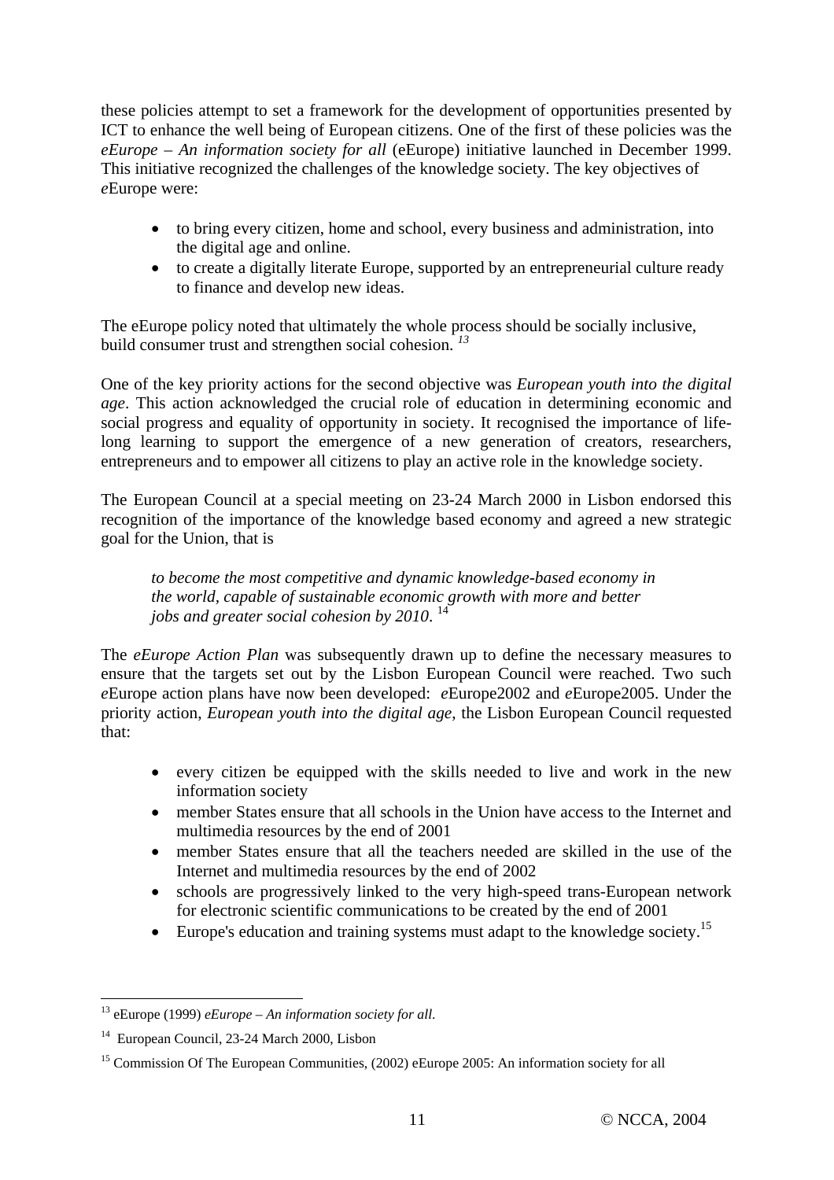these policies attempt to set a framework for the development of opportunities presented by ICT to enhance the well being of European citizens. One of the first of these policies was the *eEurope – An information society for all* (eEurope) initiative launched in December 1999. This initiative recognized the challenges of the knowledge society. The key objectives of *e*Europe were:

- to bring every citizen, home and school, every business and administration, into the digital age and online.
- to create a digitally literate Europe, supported by an entrepreneurial culture ready to finance and develop new ideas.

The eEurope policy noted that ultimately the whole process should be socially inclusive, build consumer trust and strengthen social cohesion. *<sup>13</sup>*

One of the key priority actions for the second objective was *European youth into the digital age*. This action acknowledged the crucial role of education in determining economic and social progress and equality of opportunity in society. It recognised the importance of lifelong learning to support the emergence of a new generation of creators, researchers, entrepreneurs and to empower all citizens to play an active role in the knowledge society.

The European Council at a special meeting on 23-24 March 2000 in Lisbon endorsed this recognition of the importance of the knowledge based economy and agreed a new strategic goal for the Union, that is

*to become the most competitive and dynamic knowledge-based economy in the world, capable of sustainable economic growth with more and better jobs and greater social cohesion by 2010*. 14

The *eEurope Action Plan* was subsequently drawn up to define the necessary measures to ensure that the targets set out by the Lisbon European Council were reached. Two such *e*Europe action plans have now been developed: *e*Europe2002 and *e*Europe2005. Under the priority action, *European youth into the digital age*, the Lisbon European Council requested that:

- every citizen be equipped with the skills needed to live and work in the new information society
- member States ensure that all schools in the Union have access to the Internet and multimedia resources by the end of 2001
- member States ensure that all the teachers needed are skilled in the use of the Internet and multimedia resources by the end of 2002
- schools are progressively linked to the very high-speed trans-European network for electronic scientific communications to be created by the end of 2001
- Europe's education and training systems must adapt to the knowledge society.<sup>15</sup>

 $\overline{a}$ 13 eEurope (1999) *eEurope – An information society for all*.

<sup>14</sup> European Council, 23-24 March 2000, Lisbon

<sup>&</sup>lt;sup>15</sup> Commission Of The European Communities, (2002) eEurope 2005: An information society for all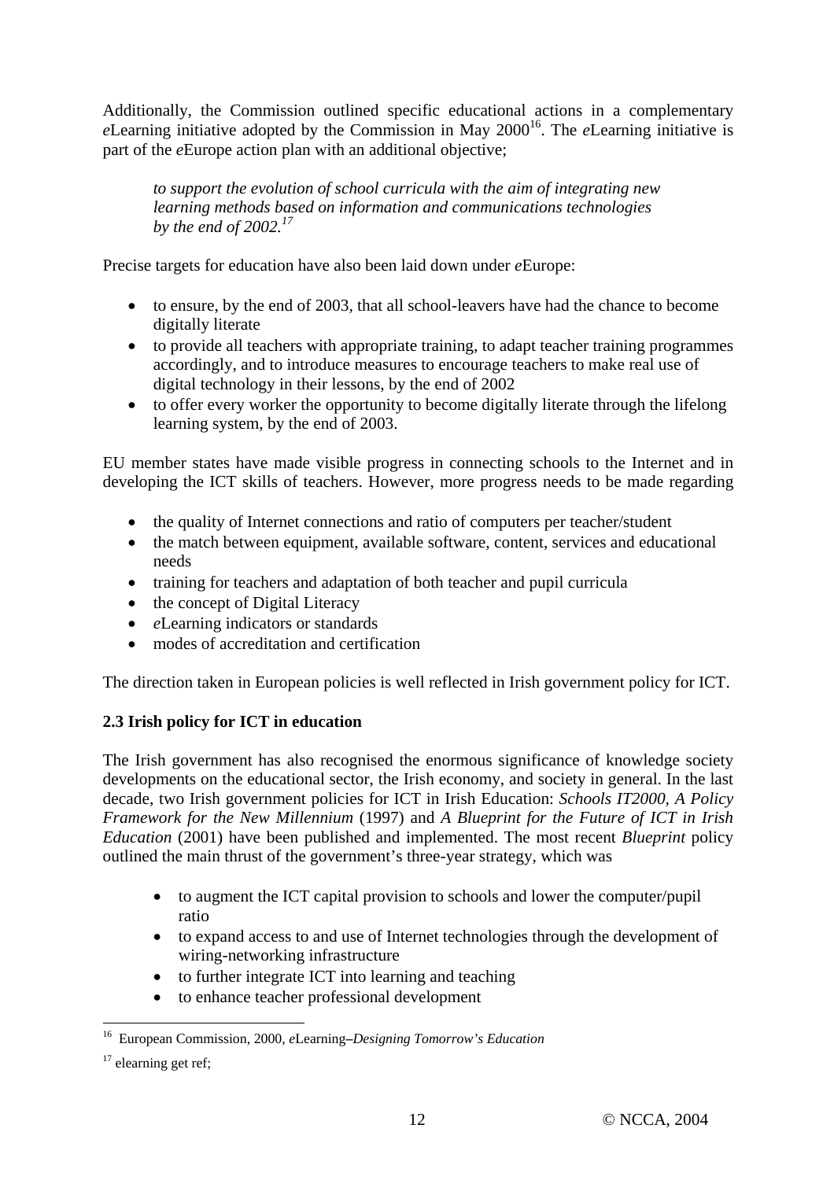Additionally, the Commission outlined specific educational actions in a complementary *e*Learning initiative adopted by the Commission in May 2000<sup>16</sup>. The *eLearning* initiative is part of the *e*Europe action plan with an additional objective;

*to support the evolution of school curricula with the aim of integrating new learning methods based on information and communications technologies by the end of 2002.17*

Precise targets for education have also been laid down under *e*Europe:

- to ensure, by the end of 2003, that all school-leavers have had the chance to become digitally literate
- to provide all teachers with appropriate training, to adapt teacher training programmes accordingly, and to introduce measures to encourage teachers to make real use of digital technology in their lessons, by the end of 2002
- to offer every worker the opportunity to become digitally literate through the lifelong learning system, by the end of 2003.

EU member states have made visible progress in connecting schools to the Internet and in developing the ICT skills of teachers. However, more progress needs to be made regarding

- the quality of Internet connections and ratio of computers per teacher/student
- the match between equipment, available software, content, services and educational needs
- training for teachers and adaptation of both teacher and pupil curricula
- the concept of Digital Literacy
- *e*Learning indicators or standards
- modes of accreditation and certification

The direction taken in European policies is well reflected in Irish government policy for ICT.

## **2.3 Irish policy for ICT in education**

The Irish government has also recognised the enormous significance of knowledge society developments on the educational sector, the Irish economy, and society in general. In the last decade, two Irish government policies for ICT in Irish Education: *Schools IT2000, A Policy Framework for the New Millennium* (1997) and *A Blueprint for the Future of ICT in Irish Education* (2001) have been published and implemented. The most recent *Blueprint* policy outlined the main thrust of the government's three-year strategy, which was

- to augment the ICT capital provision to schools and lower the computer/pupil ratio
- to expand access to and use of Internet technologies through the development of wiring-networking infrastructure
- to further integrate ICT into learning and teaching
- to enhance teacher professional development

 $\overline{a}$ 16 European Commission, 2000, *e*Learning**–***Designing Tomorrow's Education*

 $17$  elearning get ref;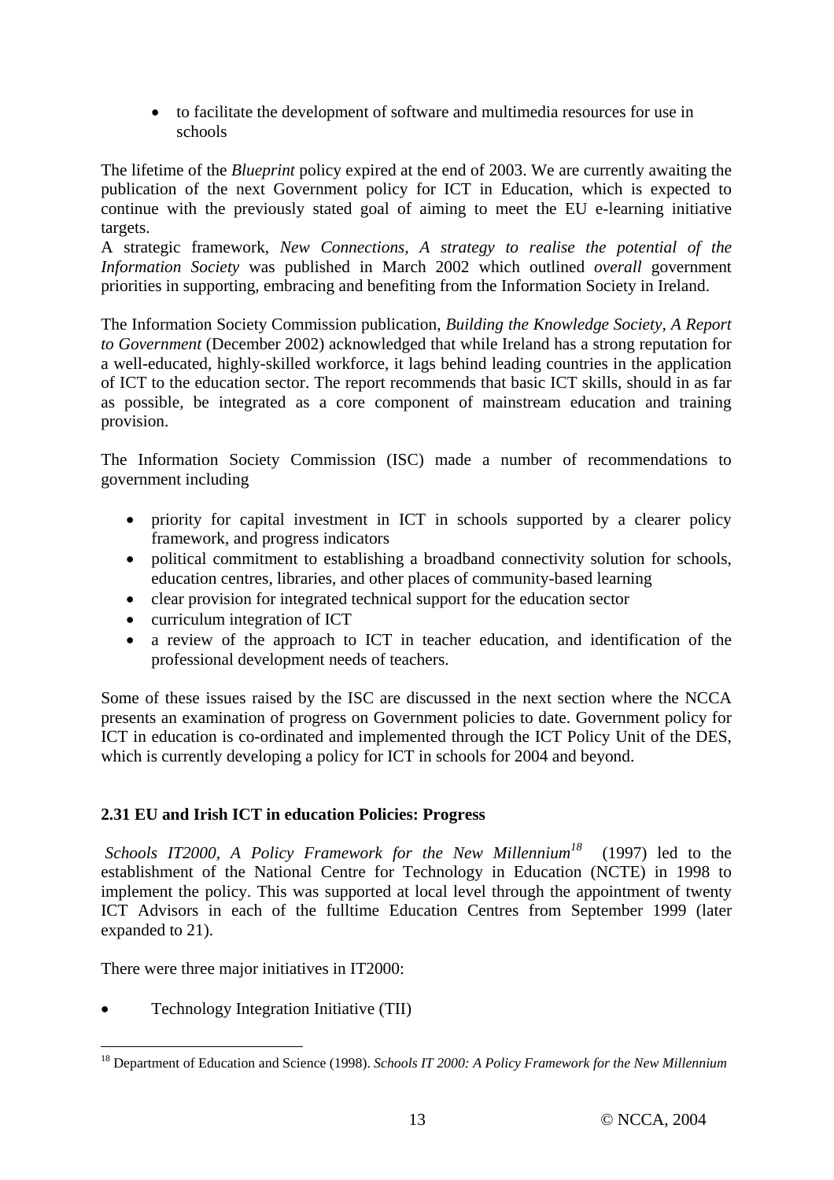• to facilitate the development of software and multimedia resources for use in schools

The lifetime of the *Blueprint* policy expired at the end of 2003. We are currently awaiting the publication of the next Government policy for ICT in Education, which is expected to continue with the previously stated goal of aiming to meet the EU e-learning initiative targets.

A strategic framework, *New Connections, A strategy to realise the potential of the Information Society* was published in March 2002 which outlined *overall* government priorities in supporting, embracing and benefiting from the Information Society in Ireland.

The Information Society Commission publication, *Building the Knowledge Society, A Report to Government* (December 2002) acknowledged that while Ireland has a strong reputation for a well-educated, highly-skilled workforce, it lags behind leading countries in the application of ICT to the education sector. The report recommends that basic ICT skills, should in as far as possible, be integrated as a core component of mainstream education and training provision.

The Information Society Commission (ISC) made a number of recommendations to government including

- priority for capital investment in ICT in schools supported by a clearer policy framework, and progress indicators
- political commitment to establishing a broadband connectivity solution for schools, education centres, libraries, and other places of community-based learning
- clear provision for integrated technical support for the education sector
- curriculum integration of ICT
- a review of the approach to ICT in teacher education, and identification of the professional development needs of teachers.

Some of these issues raised by the ISC are discussed in the next section where the NCCA presents an examination of progress on Government policies to date. Government policy for ICT in education is co-ordinated and implemented through the ICT Policy Unit of the DES, which is currently developing a policy for ICT in schools for 2004 and beyond.

## **2.31 EU and Irish ICT in education Policies: Progress**

*Schools IT2000, A Policy Framework for the New Millennium<sup>18</sup>* (1997) led to the establishment of the National Centre for Technology in Education (NCTE) in 1998 to implement the policy. This was supported at local level through the appointment of twenty ICT Advisors in each of the fulltime Education Centres from September 1999 (later expanded to 21).

There were three major initiatives in IT2000:

• Technology Integration Initiative (TII)

 $\overline{a}$ 

<sup>18</sup> Department of Education and Science (1998). *Schools IT 2000: A Policy Framework for the New Millennium*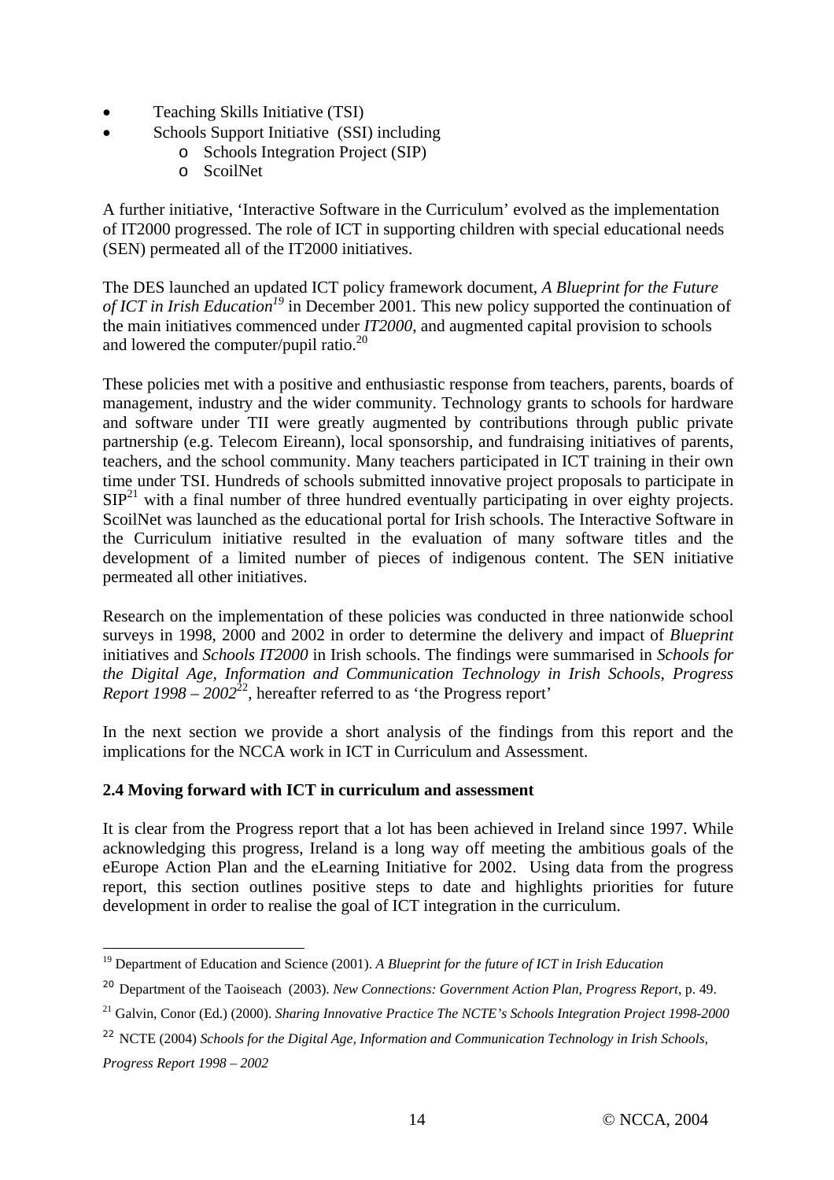- Teaching Skills Initiative (TSI)
- Schools Support Initiative (SSI) including
	- o Schools Integration Project (SIP)
	- o ScoilNet

A further initiative, 'Interactive Software in the Curriculum' evolved as the implementation of IT2000 progressed. The role of ICT in supporting children with special educational needs (SEN) permeated all of the IT2000 initiatives.

The DES launched an updated ICT policy framework document, *A Blueprint for the Future of ICT in Irish Education<sup>19</sup>* in December 2001*.* This new policy supported the continuation of the main initiatives commenced under *IT2000*, and augmented capital provision to schools and lowered the computer/pupil ratio.<sup>20</sup>

These policies met with a positive and enthusiastic response from teachers, parents, boards of management, industry and the wider community. Technology grants to schools for hardware and software under TII were greatly augmented by contributions through public private partnership (e.g. Telecom Eireann), local sponsorship, and fundraising initiatives of parents, teachers, and the school community. Many teachers participated in ICT training in their own time under TSI. Hundreds of schools submitted innovative project proposals to participate in  $SIP<sup>21</sup>$  with a final number of three hundred eventually participating in over eighty projects. ScoilNet was launched as the educational portal for Irish schools. The Interactive Software in the Curriculum initiative resulted in the evaluation of many software titles and the development of a limited number of pieces of indigenous content. The SEN initiative permeated all other initiatives.

Research on the implementation of these policies was conducted in three nationwide school surveys in 1998, 2000 and 2002 in order to determine the delivery and impact of *Blueprint* initiatives and *Schools IT2000* in Irish schools. The findings were summarised in *Schools for the Digital Age, Information and Communication Technology in Irish Schools, Progress Report 1998 – 2002*<sup>22</sup>, hereafter referred to as 'the Progress report'

In the next section we provide a short analysis of the findings from this report and the implications for the NCCA work in ICT in Curriculum and Assessment.

## **2.4 Moving forward with ICT in curriculum and assessment**

It is clear from the Progress report that a lot has been achieved in Ireland since 1997. While acknowledging this progress, Ireland is a long way off meeting the ambitious goals of the eEurope Action Plan and the eLearning Initiative for 2002. Using data from the progress report, this section outlines positive steps to date and highlights priorities for future development in order to realise the goal of ICT integration in the curriculum.

 $\overline{a}$ 19 Department of Education and Science (2001). *A Blueprint for the future of ICT in Irish Education*

<sup>20</sup> Department of the Taoiseach (2003). *New Connections: Government Action Plan, Progress Report*, p. 49.

<sup>21</sup> Galvin, Conor (Ed.) (2000). *Sharing Innovative Practice The NCTE's Schools Integration Project 1998-2000*

<sup>22</sup> NCTE (2004) *Schools for the Digital Age, Information and Communication Technology in Irish Schools, Progress Report 1998 – 2002*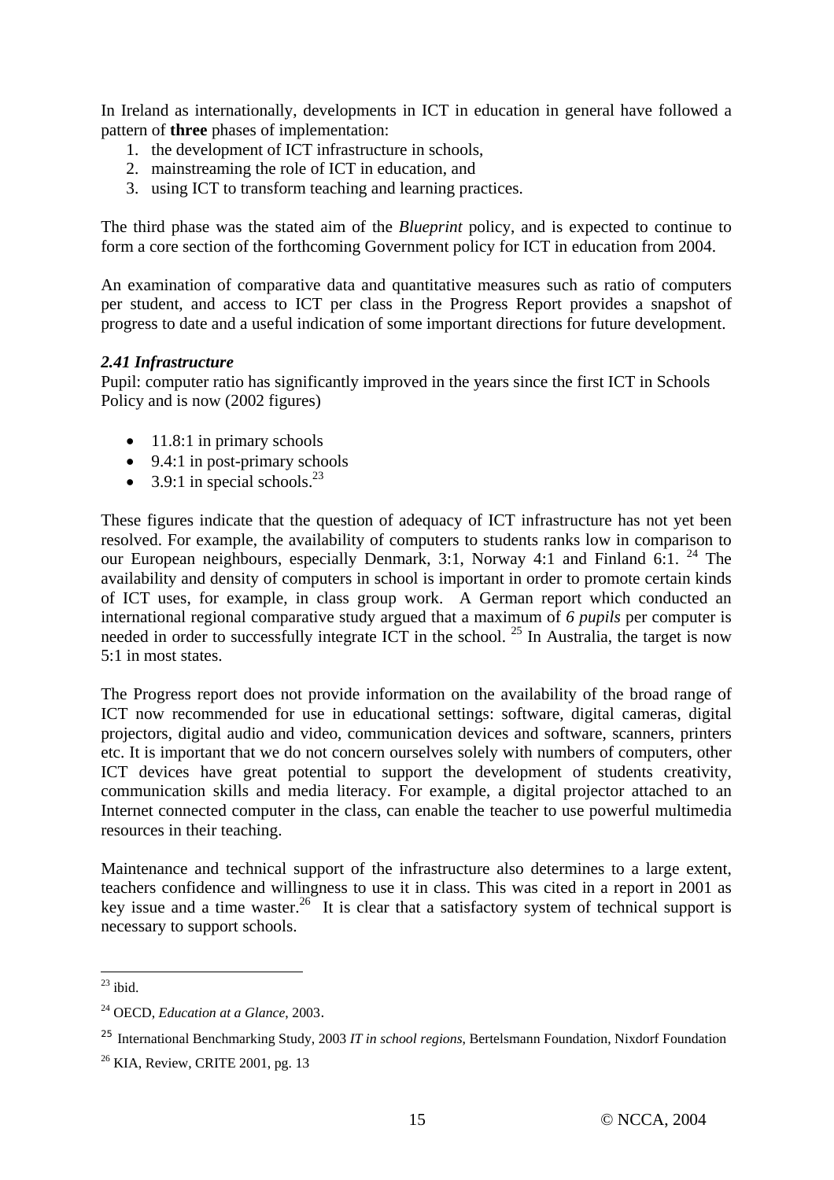In Ireland as internationally, developments in ICT in education in general have followed a pattern of **three** phases of implementation:

- 1. the development of ICT infrastructure in schools,
- 2. mainstreaming the role of ICT in education, and
- 3. using ICT to transform teaching and learning practices.

The third phase was the stated aim of the *Blueprint* policy, and is expected to continue to form a core section of the forthcoming Government policy for ICT in education from 2004.

An examination of comparative data and quantitative measures such as ratio of computers per student, and access to ICT per class in the Progress Report provides a snapshot of progress to date and a useful indication of some important directions for future development.

#### *2.41 Infrastructure*

Pupil: computer ratio has significantly improved in the years since the first ICT in Schools Policy and is now (2002 figures)

- $\bullet$  11.8:1 in primary schools
- $\bullet$  9.4:1 in post-primary schools
- 3.9:1 in special schools.<sup>23</sup>

These figures indicate that the question of adequacy of ICT infrastructure has not yet been resolved. For example, the availability of computers to students ranks low in comparison to our European neighbours, especially Denmark, 3:1, Norway 4:1 and Finland 6:1. <sup>24</sup> The availability and density of computers in school is important in order to promote certain kinds of ICT uses, for example, in class group work. A German report which conducted an international regional comparative study argued that a maximum of *6 pupils* per computer is needed in order to successfully integrate ICT in the school. <sup>25</sup> In Australia, the target is now 5:1 in most states.

The Progress report does not provide information on the availability of the broad range of ICT now recommended for use in educational settings: software, digital cameras, digital projectors, digital audio and video, communication devices and software, scanners, printers etc. It is important that we do not concern ourselves solely with numbers of computers, other ICT devices have great potential to support the development of students creativity, communication skills and media literacy. For example, a digital projector attached to an Internet connected computer in the class, can enable the teacher to use powerful multimedia resources in their teaching.

Maintenance and technical support of the infrastructure also determines to a large extent, teachers confidence and willingness to use it in class. This was cited in a report in 2001 as key issue and a time waster.<sup>26</sup> It is clear that a satisfactory system of technical support is necessary to support schools.

 $\overline{a}$ 

 $^{23}$  ibid.

<sup>24</sup> OECD, *Education at a Glance*, 2003.

<sup>25</sup> International Benchmarking Study, 2003 *IT in school regions*, Bertelsmann Foundation, Nixdorf Foundation

 $26$  KIA, Review, CRITE 2001, pg. 13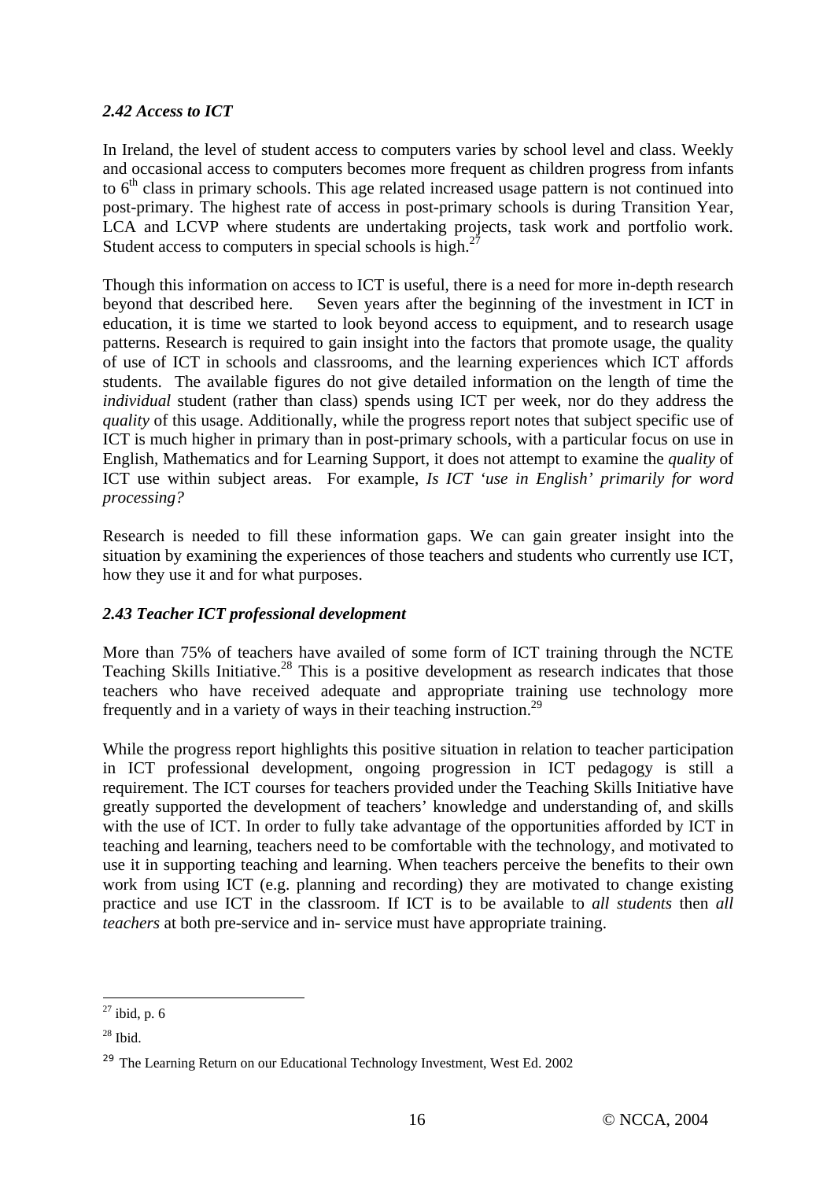## *2.42 Access to ICT*

In Ireland, the level of student access to computers varies by school level and class. Weekly and occasional access to computers becomes more frequent as children progress from infants to  $6<sup>th</sup>$  class in primary schools. This age related increased usage pattern is not continued into post-primary. The highest rate of access in post-primary schools is during Transition Year, LCA and LCVP where students are undertaking projects, task work and portfolio work. Student access to computers in special schools is high.<sup>2</sup>

Though this information on access to ICT is useful, there is a need for more in-depth research beyond that described here. Seven years after the beginning of the investment in ICT in education, it is time we started to look beyond access to equipment, and to research usage patterns. Research is required to gain insight into the factors that promote usage, the quality of use of ICT in schools and classrooms, and the learning experiences which ICT affords students. The available figures do not give detailed information on the length of time the *individual* student (rather than class) spends using ICT per week, nor do they address the *quality* of this usage. Additionally, while the progress report notes that subject specific use of ICT is much higher in primary than in post-primary schools, with a particular focus on use in English, Mathematics and for Learning Support, it does not attempt to examine the *quality* of ICT use within subject areas. For example, *Is ICT 'use in English' primarily for word processing?*

Research is needed to fill these information gaps. We can gain greater insight into the situation by examining the experiences of those teachers and students who currently use ICT, how they use it and for what purposes.

## *2.43 Teacher ICT professional development*

More than 75% of teachers have availed of some form of ICT training through the NCTE Teaching Skills Initiative.<sup>28</sup> This is a positive development as research indicates that those teachers who have received adequate and appropriate training use technology more frequently and in a variety of ways in their teaching instruction.<sup>29</sup>

While the progress report highlights this positive situation in relation to teacher participation in ICT professional development, ongoing progression in ICT pedagogy is still a requirement. The ICT courses for teachers provided under the Teaching Skills Initiative have greatly supported the development of teachers' knowledge and understanding of, and skills with the use of ICT. In order to fully take advantage of the opportunities afforded by ICT in teaching and learning, teachers need to be comfortable with the technology, and motivated to use it in supporting teaching and learning. When teachers perceive the benefits to their own work from using ICT (e.g. planning and recording) they are motivated to change existing practice and use ICT in the classroom. If ICT is to be available to *all students* then *all teachers* at both pre-service and in- service must have appropriate training.

 $\overline{a}$  $^{27}$  ibid, p. 6

 $28$  Ibid.

<sup>&</sup>lt;sup>29</sup> The Learning Return on our Educational Technology Investment, West Ed. 2002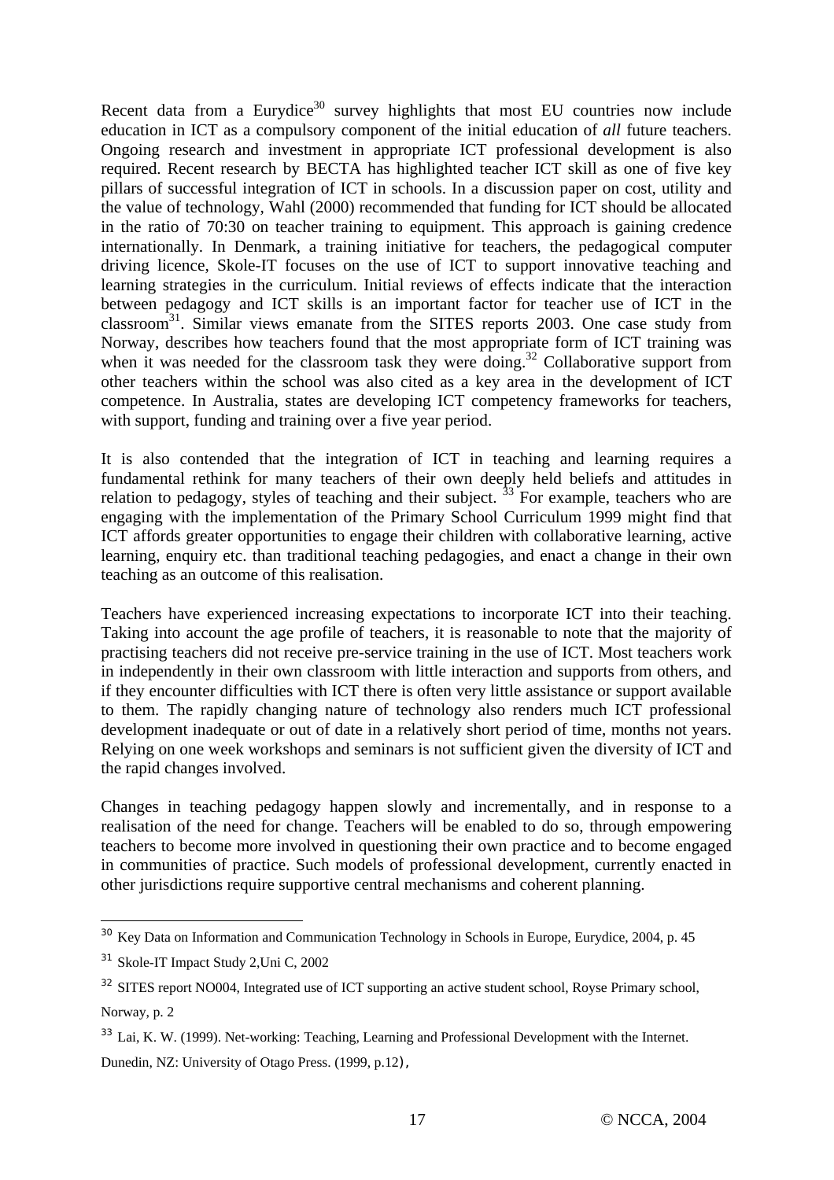Recent data from a Eurydice<sup>30</sup> survey highlights that most EU countries now include education in ICT as a compulsory component of the initial education of *all* future teachers. Ongoing research and investment in appropriate ICT professional development is also required. Recent research by BECTA has highlighted teacher ICT skill as one of five key pillars of successful integration of ICT in schools. In a discussion paper on cost, utility and the value of technology, Wahl (2000) recommended that funding for ICT should be allocated in the ratio of 70:30 on teacher training to equipment. This approach is gaining credence internationally. In Denmark, a training initiative for teachers, the pedagogical computer driving licence, Skole-IT focuses on the use of ICT to support innovative teaching and learning strategies in the curriculum. Initial reviews of effects indicate that the interaction between pedagogy and ICT skills is an important factor for teacher use of ICT in the classroom31. Similar views emanate from the SITES reports 2003. One case study from Norway, describes how teachers found that the most appropriate form of ICT training was when it was needed for the classroom task they were doing.<sup>32</sup> Collaborative support from other teachers within the school was also cited as a key area in the development of ICT competence. In Australia, states are developing ICT competency frameworks for teachers, with support, funding and training over a five year period.

It is also contended that the integration of ICT in teaching and learning requires a fundamental rethink for many teachers of their own deeply held beliefs and attitudes in relation to pedagogy, styles of teaching and their subject.  $\frac{33}{13}$  For example, teachers who are engaging with the implementation of the Primary School Curriculum 1999 might find that ICT affords greater opportunities to engage their children with collaborative learning, active learning, enquiry etc. than traditional teaching pedagogies, and enact a change in their own teaching as an outcome of this realisation.

Teachers have experienced increasing expectations to incorporate ICT into their teaching. Taking into account the age profile of teachers, it is reasonable to note that the majority of practising teachers did not receive pre-service training in the use of ICT. Most teachers work in independently in their own classroom with little interaction and supports from others, and if they encounter difficulties with ICT there is often very little assistance or support available to them. The rapidly changing nature of technology also renders much ICT professional development inadequate or out of date in a relatively short period of time, months not years. Relying on one week workshops and seminars is not sufficient given the diversity of ICT and the rapid changes involved.

Changes in teaching pedagogy happen slowly and incrementally, and in response to a realisation of the need for change. Teachers will be enabled to do so, through empowering teachers to become more involved in questioning their own practice and to become engaged in communities of practice. Such models of professional development, currently enacted in other jurisdictions require supportive central mechanisms and coherent planning.

 $\overline{a}$ 

<sup>&</sup>lt;sup>30</sup> Key Data on Information and Communication Technology in Schools in Europe, Eurydice, 2004, p. 45

<sup>31</sup> Skole-IT Impact Study 2,Uni C, 2002

<sup>&</sup>lt;sup>32</sup> SITES report NO004, Integrated use of ICT supporting an active student school, Royse Primary school, Norway, p. 2

<sup>&</sup>lt;sup>33</sup> Lai, K. W. (1999). Net-working: Teaching, Learning and Professional Development with the Internet.

Dunedin, NZ: University of Otago Press. (1999, p.12),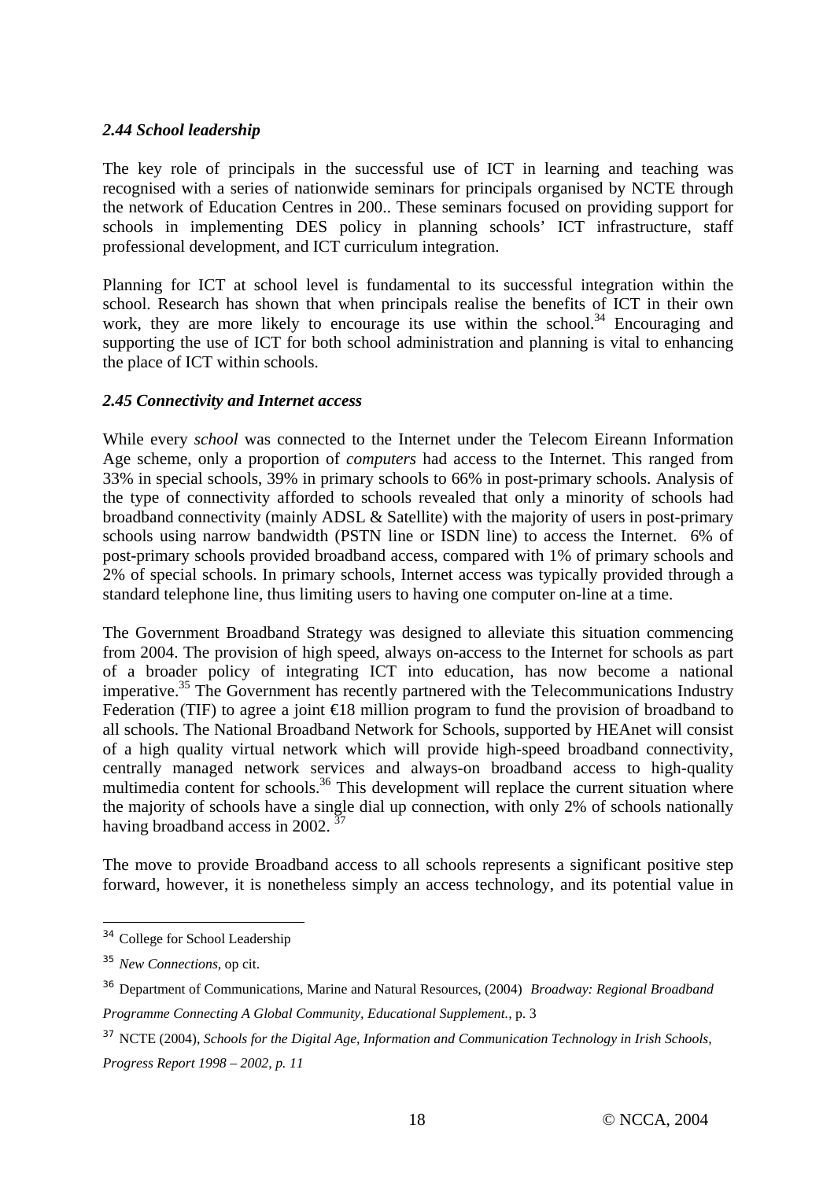#### *2.44 School leadership*

The key role of principals in the successful use of ICT in learning and teaching was recognised with a series of nationwide seminars for principals organised by NCTE through the network of Education Centres in 200.. These seminars focused on providing support for schools in implementing DES policy in planning schools' ICT infrastructure, staff professional development, and ICT curriculum integration.

Planning for ICT at school level is fundamental to its successful integration within the school. Research has shown that when principals realise the benefits of ICT in their own work, they are more likely to encourage its use within the school.<sup>34</sup> Encouraging and supporting the use of ICT for both school administration and planning is vital to enhancing the place of ICT within schools.

#### *2.45 Connectivity and Internet access*

While every *school* was connected to the Internet under the Telecom Eireann Information Age scheme, only a proportion of *computers* had access to the Internet. This ranged from 33% in special schools, 39% in primary schools to 66% in post-primary schools. Analysis of the type of connectivity afforded to schools revealed that only a minority of schools had broadband connectivity (mainly ADSL & Satellite) with the majority of users in post-primary schools using narrow bandwidth (PSTN line or ISDN line) to access the Internet. 6% of post-primary schools provided broadband access, compared with 1% of primary schools and 2% of special schools. In primary schools, Internet access was typically provided through a standard telephone line, thus limiting users to having one computer on-line at a time.

The Government Broadband Strategy was designed to alleviate this situation commencing from 2004. The provision of high speed, always on-access to the Internet for schools as part of a broader policy of integrating ICT into education, has now become a national imperative.<sup>35</sup> The Government has recently partnered with the Telecommunications Industry Federation (TIF) to agree a joint  $\in$ 18 million program to fund the provision of broadband to all schools. The National Broadband Network for Schools, supported by HEAnet will consist of a high quality virtual network which will provide high-speed broadband connectivity, centrally managed network services and always-on broadband access to high-quality multimedia content for schools.<sup>36</sup> This development will replace the current situation where the majority of schools have a single dial up connection, with only 2% of schools nationally having broadband access in 2002.  $\frac{3}{2}$ 

The move to provide Broadband access to all schools represents a significant positive step forward, however, it is nonetheless simply an access technology, and its potential value in

 $\overline{a}$ 

<sup>&</sup>lt;sup>34</sup> College for School Leadership

<sup>35</sup> *New Connections,* op cit.

<sup>36</sup> Department of Communications, Marine and Natural Resources, (2004) *Broadway: Regional Broadband Programme Connecting A Global Community, Educational Supplement.,* p. 3

<sup>37</sup> NCTE (2004), *Schools for the Digital Age, Information and Communication Technology in Irish Schools, Progress Report 1998 – 2002, p. 11*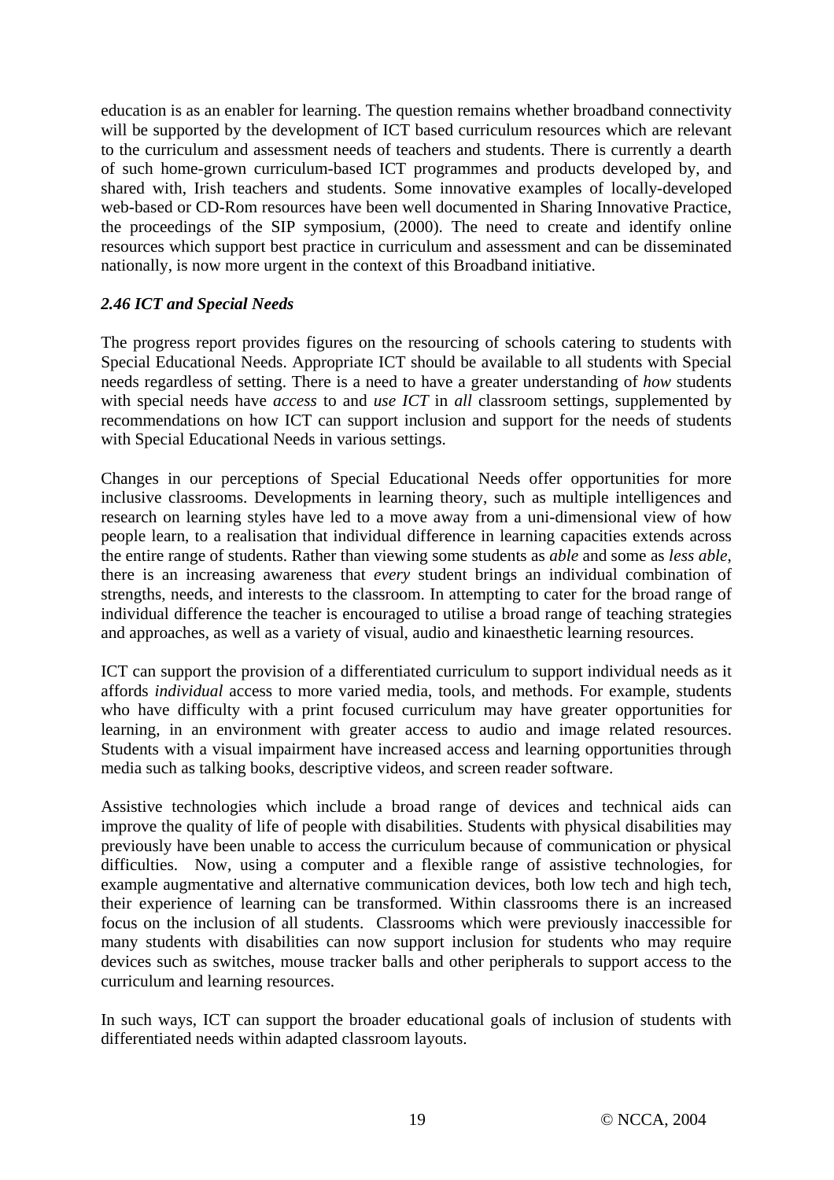education is as an enabler for learning. The question remains whether broadband connectivity will be supported by the development of ICT based curriculum resources which are relevant to the curriculum and assessment needs of teachers and students. There is currently a dearth of such home-grown curriculum-based ICT programmes and products developed by, and shared with, Irish teachers and students. Some innovative examples of locally-developed web-based or CD-Rom resources have been well documented in Sharing Innovative Practice, the proceedings of the SIP symposium, (2000). The need to create and identify online resources which support best practice in curriculum and assessment and can be disseminated nationally, is now more urgent in the context of this Broadband initiative.

#### *2.46 ICT and Special Needs*

The progress report provides figures on the resourcing of schools catering to students with Special Educational Needs. Appropriate ICT should be available to all students with Special needs regardless of setting. There is a need to have a greater understanding of *how* students with special needs have *access* to and *use ICT* in *all* classroom settings, supplemented by recommendations on how ICT can support inclusion and support for the needs of students with Special Educational Needs in various settings.

Changes in our perceptions of Special Educational Needs offer opportunities for more inclusive classrooms. Developments in learning theory, such as multiple intelligences and research on learning styles have led to a move away from a uni-dimensional view of how people learn, to a realisation that individual difference in learning capacities extends across the entire range of students. Rather than viewing some students as *able* and some as *less able*, there is an increasing awareness that *every* student brings an individual combination of strengths, needs, and interests to the classroom. In attempting to cater for the broad range of individual difference the teacher is encouraged to utilise a broad range of teaching strategies and approaches, as well as a variety of visual, audio and kinaesthetic learning resources.

ICT can support the provision of a differentiated curriculum to support individual needs as it affords *individual* access to more varied media, tools, and methods. For example, students who have difficulty with a print focused curriculum may have greater opportunities for learning, in an environment with greater access to audio and image related resources. Students with a visual impairment have increased access and learning opportunities through media such as talking books, descriptive videos, and screen reader software.

Assistive technologies which include a broad range of devices and technical aids can improve the quality of life of people with disabilities. Students with physical disabilities may previously have been unable to access the curriculum because of communication or physical difficulties. Now, using a computer and a flexible range of assistive technologies, for example augmentative and alternative communication devices, both low tech and high tech, their experience of learning can be transformed. Within classrooms there is an increased focus on the inclusion of all students. Classrooms which were previously inaccessible for many students with disabilities can now support inclusion for students who may require devices such as switches, mouse tracker balls and other peripherals to support access to the curriculum and learning resources.

In such ways, ICT can support the broader educational goals of inclusion of students with differentiated needs within adapted classroom layouts.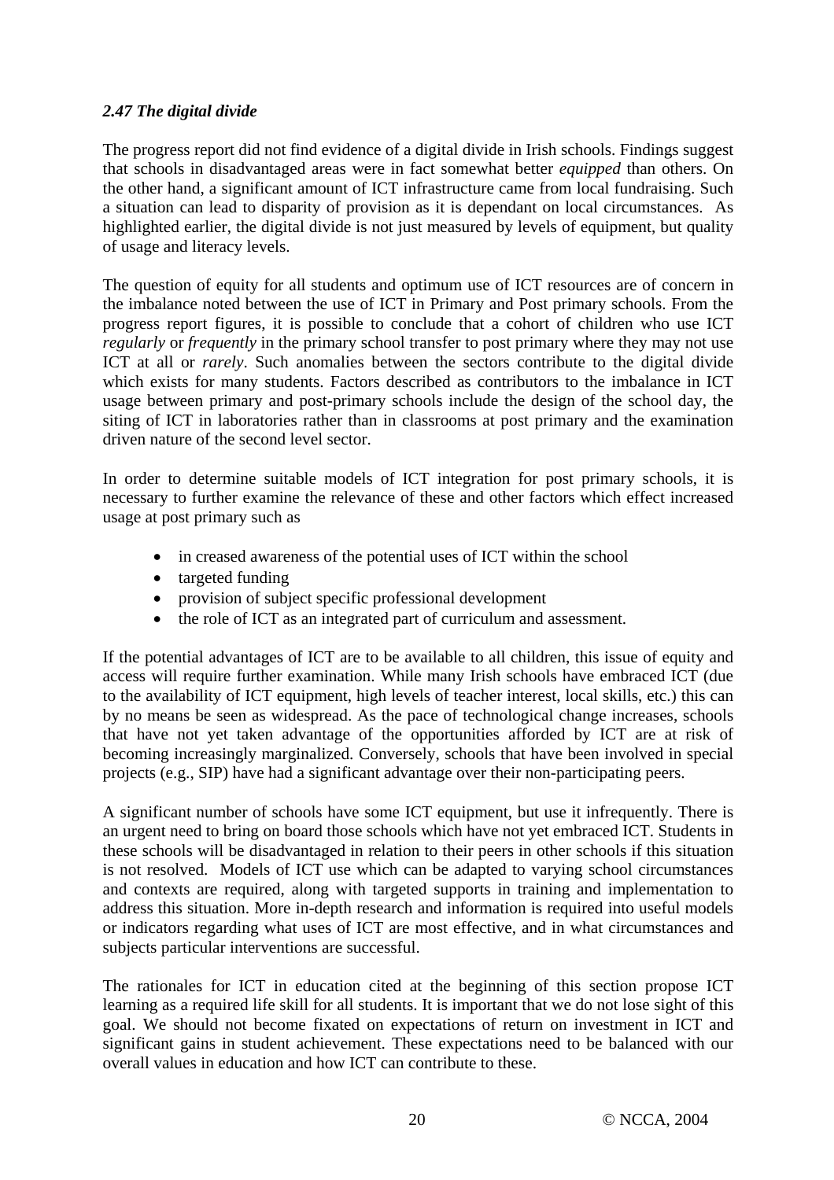## *2.47 The digital divide*

The progress report did not find evidence of a digital divide in Irish schools. Findings suggest that schools in disadvantaged areas were in fact somewhat better *equipped* than others. On the other hand, a significant amount of ICT infrastructure came from local fundraising. Such a situation can lead to disparity of provision as it is dependant on local circumstances. As highlighted earlier, the digital divide is not just measured by levels of equipment, but quality of usage and literacy levels.

The question of equity for all students and optimum use of ICT resources are of concern in the imbalance noted between the use of ICT in Primary and Post primary schools. From the progress report figures, it is possible to conclude that a cohort of children who use ICT *regularly* or *frequently* in the primary school transfer to post primary where they may not use ICT at all or *rarely*. Such anomalies between the sectors contribute to the digital divide which exists for many students. Factors described as contributors to the imbalance in ICT usage between primary and post-primary schools include the design of the school day, the siting of ICT in laboratories rather than in classrooms at post primary and the examination driven nature of the second level sector.

In order to determine suitable models of ICT integration for post primary schools, it is necessary to further examine the relevance of these and other factors which effect increased usage at post primary such as

- in creased awareness of the potential uses of ICT within the school
- targeted funding
- provision of subject specific professional development
- the role of ICT as an integrated part of curriculum and assessment.

If the potential advantages of ICT are to be available to all children, this issue of equity and access will require further examination. While many Irish schools have embraced ICT (due to the availability of ICT equipment, high levels of teacher interest, local skills, etc.) this can by no means be seen as widespread. As the pace of technological change increases, schools that have not yet taken advantage of the opportunities afforded by ICT are at risk of becoming increasingly marginalized. Conversely, schools that have been involved in special projects (e.g., SIP) have had a significant advantage over their non-participating peers.

A significant number of schools have some ICT equipment, but use it infrequently. There is an urgent need to bring on board those schools which have not yet embraced ICT. Students in these schools will be disadvantaged in relation to their peers in other schools if this situation is not resolved. Models of ICT use which can be adapted to varying school circumstances and contexts are required, along with targeted supports in training and implementation to address this situation. More in-depth research and information is required into useful models or indicators regarding what uses of ICT are most effective, and in what circumstances and subjects particular interventions are successful.

The rationales for ICT in education cited at the beginning of this section propose ICT learning as a required life skill for all students. It is important that we do not lose sight of this goal. We should not become fixated on expectations of return on investment in ICT and significant gains in student achievement. These expectations need to be balanced with our overall values in education and how ICT can contribute to these.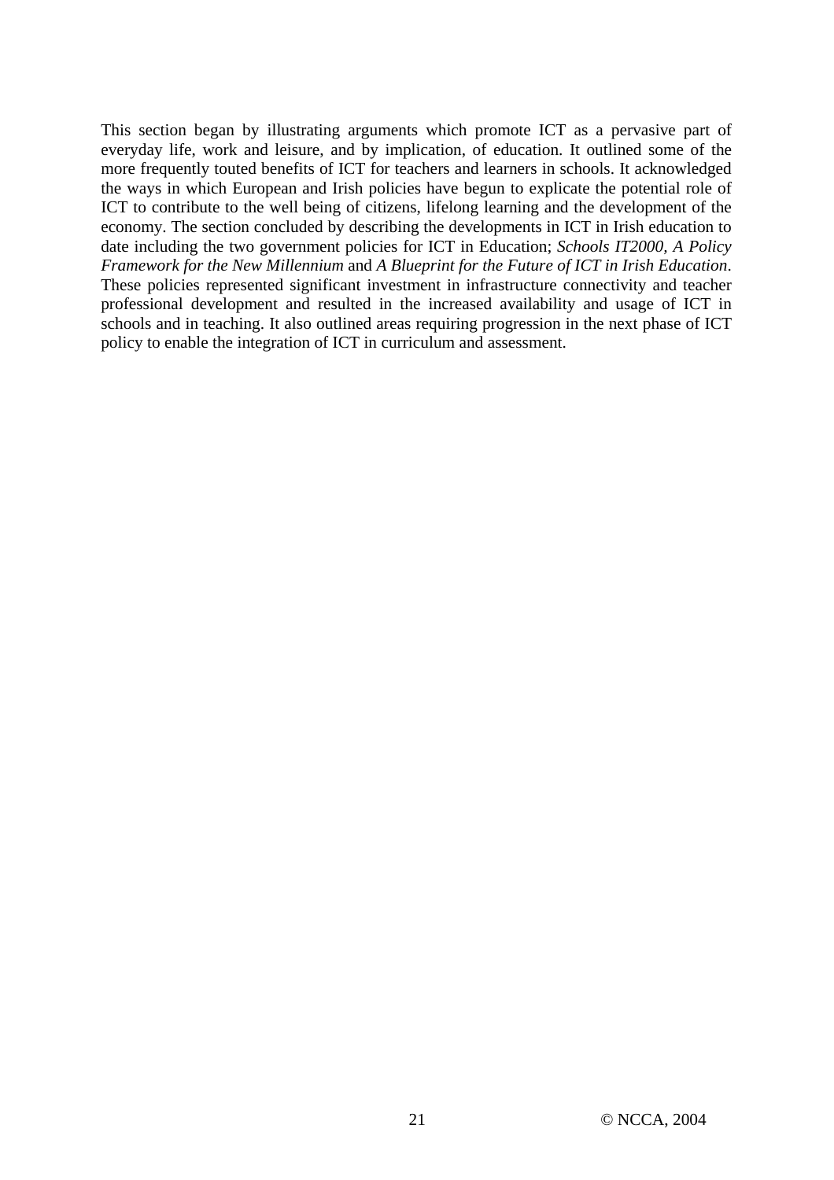This section began by illustrating arguments which promote ICT as a pervasive part of everyday life, work and leisure, and by implication, of education. It outlined some of the more frequently touted benefits of ICT for teachers and learners in schools. It acknowledged the ways in which European and Irish policies have begun to explicate the potential role of ICT to contribute to the well being of citizens, lifelong learning and the development of the economy. The section concluded by describing the developments in ICT in Irish education to date including the two government policies for ICT in Education; *Schools IT2000, A Policy Framework for the New Millennium* and *A Blueprint for the Future of ICT in Irish Education*. These policies represented significant investment in infrastructure connectivity and teacher professional development and resulted in the increased availability and usage of ICT in schools and in teaching. It also outlined areas requiring progression in the next phase of ICT policy to enable the integration of ICT in curriculum and assessment.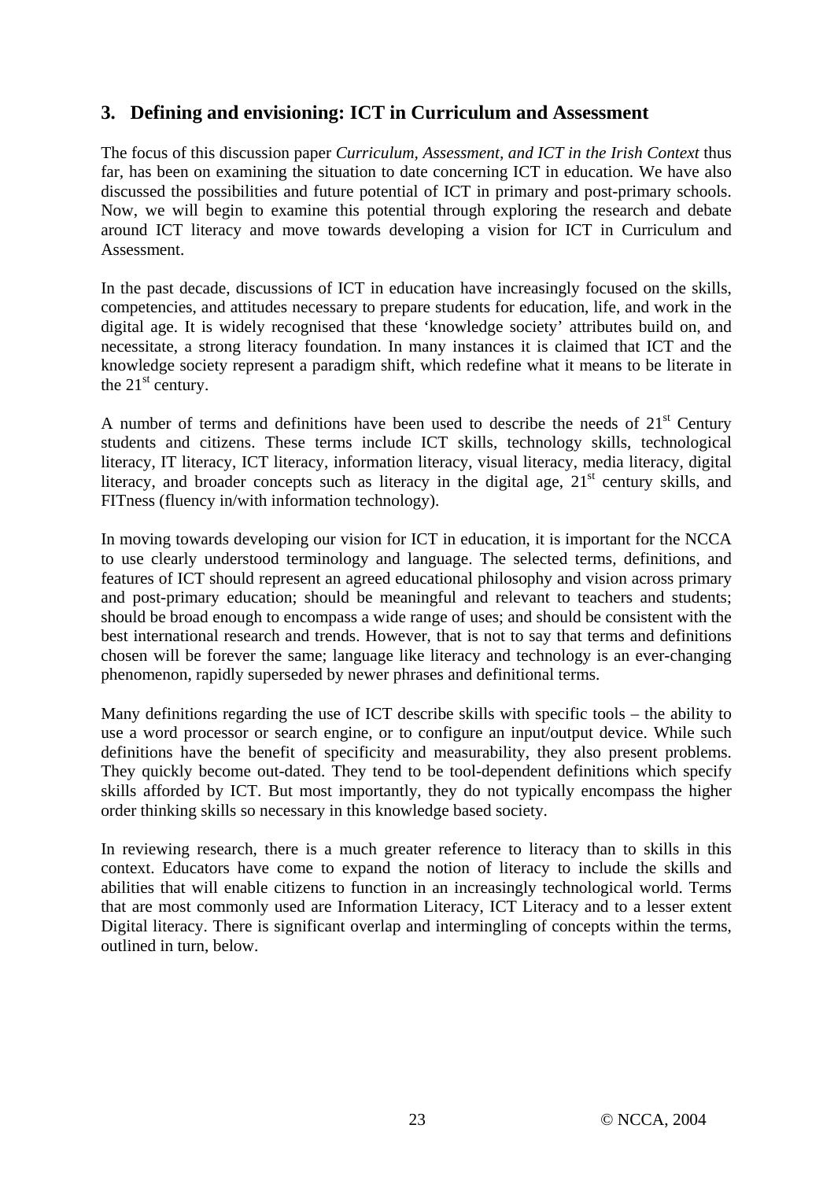# **3. Defining and envisioning: ICT in Curriculum and Assessment**

The focus of this discussion paper *Curriculum, Assessment, and ICT in the Irish Context* thus far*,* has been on examining the situation to date concerning ICT in education. We have also discussed the possibilities and future potential of ICT in primary and post-primary schools. Now, we will begin to examine this potential through exploring the research and debate around ICT literacy and move towards developing a vision for ICT in Curriculum and Assessment.

In the past decade, discussions of ICT in education have increasingly focused on the skills, competencies, and attitudes necessary to prepare students for education, life, and work in the digital age. It is widely recognised that these 'knowledge society' attributes build on, and necessitate, a strong literacy foundation. In many instances it is claimed that ICT and the knowledge society represent a paradigm shift, which redefine what it means to be literate in the  $21<sup>st</sup>$  century.

A number of terms and definitions have been used to describe the needs of  $21<sup>st</sup>$  Century students and citizens. These terms include ICT skills, technology skills, technological literacy, IT literacy, ICT literacy, information literacy, visual literacy, media literacy, digital literacy, and broader concepts such as literacy in the digital age,  $21<sup>st</sup>$  century skills, and FITness (fluency in/with information technology).

In moving towards developing our vision for ICT in education, it is important for the NCCA to use clearly understood terminology and language. The selected terms, definitions, and features of ICT should represent an agreed educational philosophy and vision across primary and post-primary education; should be meaningful and relevant to teachers and students; should be broad enough to encompass a wide range of uses; and should be consistent with the best international research and trends. However, that is not to say that terms and definitions chosen will be forever the same; language like literacy and technology is an ever-changing phenomenon, rapidly superseded by newer phrases and definitional terms.

Many definitions regarding the use of ICT describe skills with specific tools – the ability to use a word processor or search engine, or to configure an input/output device. While such definitions have the benefit of specificity and measurability, they also present problems. They quickly become out-dated. They tend to be tool-dependent definitions which specify skills afforded by ICT. But most importantly, they do not typically encompass the higher order thinking skills so necessary in this knowledge based society.

In reviewing research, there is a much greater reference to literacy than to skills in this context. Educators have come to expand the notion of literacy to include the skills and abilities that will enable citizens to function in an increasingly technological world. Terms that are most commonly used are Information Literacy, ICT Literacy and to a lesser extent Digital literacy. There is significant overlap and intermingling of concepts within the terms, outlined in turn, below.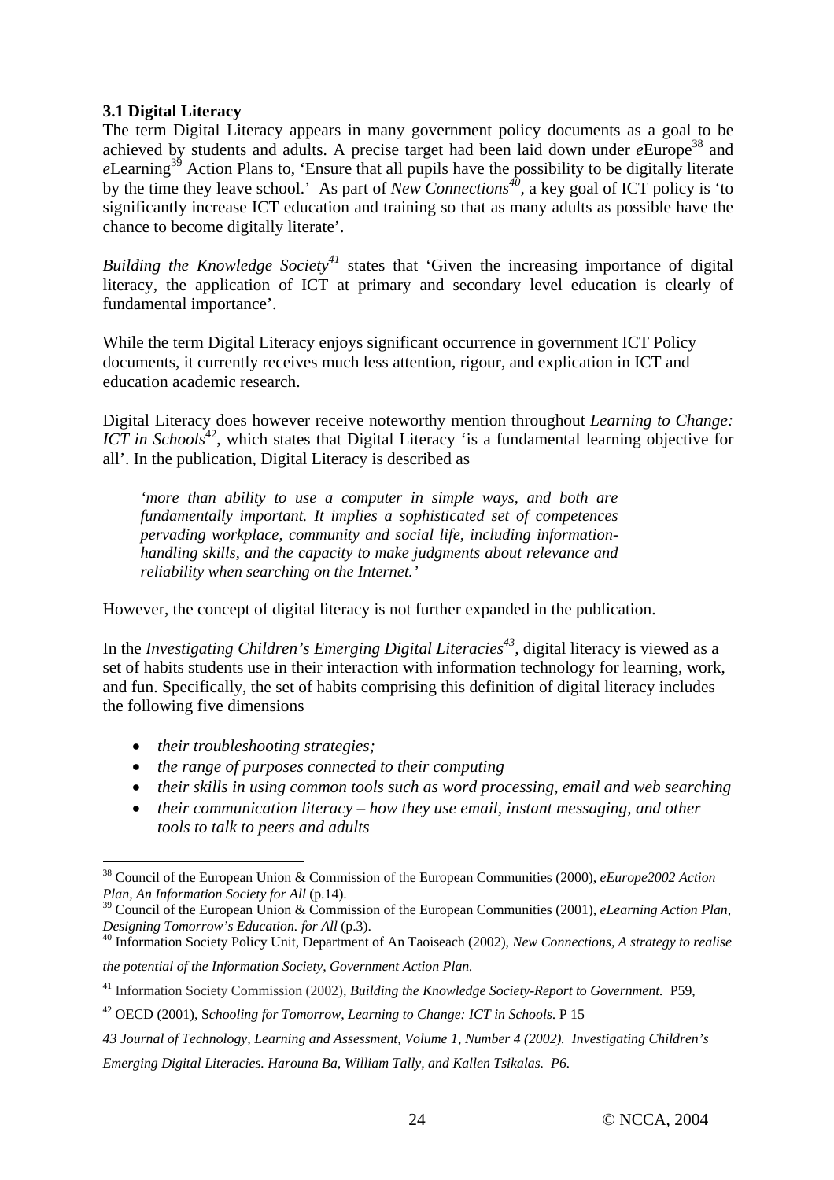## **3.1 Digital Literacy**

The term Digital Literacy appears in many government policy documents as a goal to be achieved by students and adults. A precise target had been laid down under *e*Europe38 and *e*Learning<sup>39</sup> Action Plans to, 'Ensure that all pupils have the possibility to be digitally literate by the time they leave school.' As part of *New Connections40,* a key goal of ICT policy is 'to significantly increase ICT education and training so that as many adults as possible have the chance to become digitally literate'.

*Building the Knowledge Society<sup>41</sup>* states that 'Given the increasing importance of digital literacy, the application of ICT at primary and secondary level education is clearly of fundamental importance'.

While the term Digital Literacy enjoys significant occurrence in government ICT Policy documents, it currently receives much less attention, rigour, and explication in ICT and education academic research.

Digital Literacy does however receive noteworthy mention throughout *Learning to Change: ICT in Schools*<sup>42</sup>, which states that Digital Literacy 'is a fundamental learning objective for all'. In the publication, Digital Literacy is described as

*'more than ability to use a computer in simple ways, and both are fundamentally important. It implies a sophisticated set of competences pervading workplace, community and social life, including informationhandling skills, and the capacity to make judgments about relevance and reliability when searching on the Internet.'*

However, the concept of digital literacy is not further expanded in the publication.

In the *Investigating Children's Emerging Digital Literacies 43,* digital literacy is viewed as a set of habits students use in their interaction with information technology for learning, work, and fun. Specifically, the set of habits comprising this definition of digital literacy includes the following five dimensions

• *their troubleshooting strategies;* 

 $\overline{a}$ 

- *the range of purposes connected to their computing*
- *their skills in using common tools such as word processing, email and web searching*
- *their communication literacy how they use email, instant messaging, and other tools to talk to peers and adults*

<sup>40</sup> Information Society Policy Unit, Department of An Taoiseach (2002), *New Connections, A strategy to realise* 

*the potential of the Information Society, Government Action Plan.*

<sup>38</sup> Council of the European Union & Commission of the European Communities (2000), *eEurope2002 Action* 

*Plan, An Information Society for All* (p.14).<br><sup>39</sup> Council of the European Union & Commission of the European Communities (2001), *eLearning Action Plan, Designing Tomorrow's Education. for All* (p.3).

<sup>41</sup> Information Society Commission (2002)*, Building the Knowledge Society-Report to Government.* P59,

<sup>42</sup> OECD (2001), S*chooling for Tomorrow, Learning to Change: ICT in Schools*. P 15

*<sup>43</sup> Journal of Technology, Learning and Assessment, Volume 1, Number 4 (2002). Investigating Children's* 

*Emerging Digital Literacies. Harouna Ba, William Tally, and Kallen Tsikalas. P6.*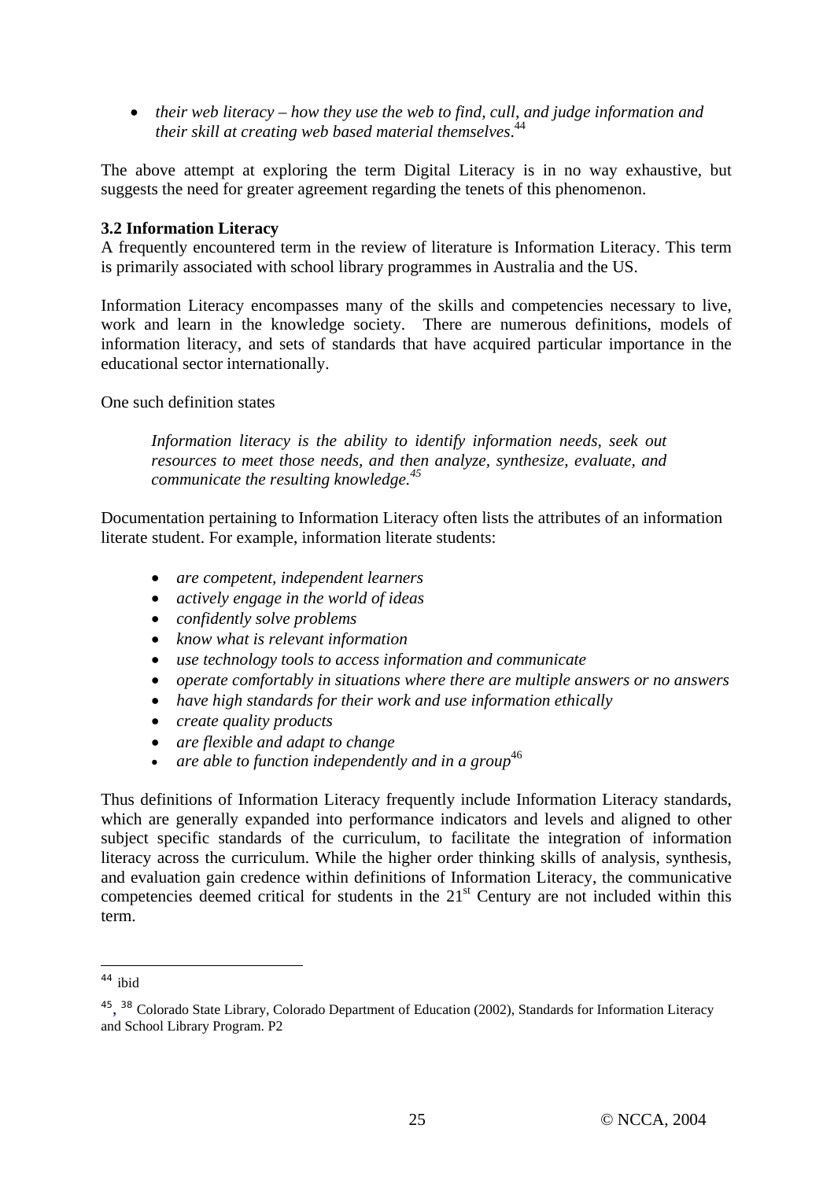• *their web literacy – how they use the web to find, cull, and judge information and their skill at creating web based material themselves*. 44

The above attempt at exploring the term Digital Literacy is in no way exhaustive, but suggests the need for greater agreement regarding the tenets of this phenomenon.

#### **3.2 Information Literacy**

A frequently encountered term in the review of literature is Information Literacy. This term is primarily associated with school library programmes in Australia and the US.

Information Literacy encompasses many of the skills and competencies necessary to live, work and learn in the knowledge society. There are numerous definitions, models of information literacy, and sets of standards that have acquired particular importance in the educational sector internationally.

One such definition states

*Information literacy is the ability to identify information needs, seek out resources to meet those needs, and then analyze, synthesize, evaluate, and communicate the resulting knowledge.45*

Documentation pertaining to Information Literacy often lists the attributes of an information literate student. For example, information literate students:

- *are competent, independent learners*
- *actively engage in the world of ideas*
- *confidently solve problems*
- *know what is relevant information*
- *use technology tools to access information and communicate*
- *operate comfortably in situations where there are multiple answers or no answers*
- *have high standards for their work and use information ethically*
- *create quality products*
- *are flexible and adapt to change*
- are able to function independently and in a group<sup>46</sup>

Thus definitions of Information Literacy frequently include Information Literacy standards, which are generally expanded into performance indicators and levels and aligned to other subject specific standards of the curriculum, to facilitate the integration of information literacy across the curriculum. While the higher order thinking skills of analysis, synthesis, and evaluation gain credence within definitions of Information Literacy, the communicative competencies deemed critical for students in the  $21<sup>st</sup>$  Century are not included within this term.

 $\overline{a}$ 

<sup>44</sup> ibid

<sup>&</sup>lt;sup>45</sup>, <sup>38</sup> Colorado State Library, Colorado Department of Education (2002), Standards for Information Literacy and School Library Program. P2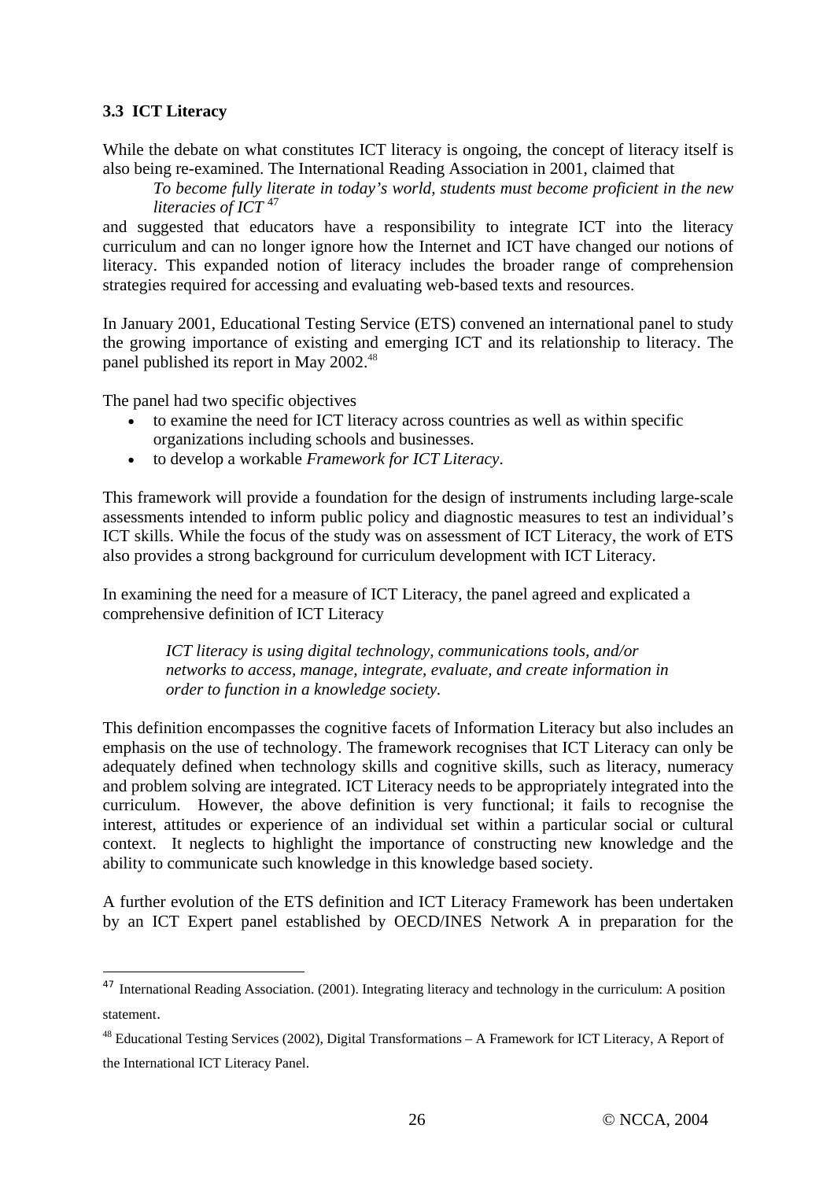## **3.3 ICT Literacy**

 $\overline{a}$ 

While the debate on what constitutes ICT literacy is ongoing, the concept of literacy itself is also being re-examined. The International Reading Association in 2001, claimed that

*To become fully literate in today's world, students must become proficient in the new literacies of ICT* 47

and suggested that educators have a responsibility to integrate ICT into the literacy curriculum and can no longer ignore how the Internet and ICT have changed our notions of literacy. This expanded notion of literacy includes the broader range of comprehension strategies required for accessing and evaluating web-based texts and resources.

In January 2001, Educational Testing Service (ETS) convened an international panel to study the growing importance of existing and emerging ICT and its relationship to literacy. The panel published its report in May 2002.<sup>48</sup>

The panel had two specific objectives

- to examine the need for ICT literacy across countries as well as within specific organizations including schools and businesses.
- to develop a workable *Framework for ICT Literacy*.

This framework will provide a foundation for the design of instruments including large-scale assessments intended to inform public policy and diagnostic measures to test an individual's ICT skills. While the focus of the study was on assessment of ICT Literacy, the work of ETS also provides a strong background for curriculum development with ICT Literacy.

In examining the need for a measure of ICT Literacy, the panel agreed and explicated a comprehensive definition of ICT Literacy

> *ICT literacy is using digital technology, communications tools, and/or networks to access, manage, integrate, evaluate, and create information in order to function in a knowledge society.*

This definition encompasses the cognitive facets of Information Literacy but also includes an emphasis on the use of technology. The framework recognises that ICT Literacy can only be adequately defined when technology skills and cognitive skills, such as literacy, numeracy and problem solving are integrated. ICT Literacy needs to be appropriately integrated into the curriculum. However, the above definition is very functional; it fails to recognise the interest, attitudes or experience of an individual set within a particular social or cultural context. It neglects to highlight the importance of constructing new knowledge and the ability to communicate such knowledge in this knowledge based society.

A further evolution of the ETS definition and ICT Literacy Framework has been undertaken by an ICT Expert panel established by OECD/INES Network A in preparation for the

<sup>&</sup>lt;sup>47</sup> International Reading Association. (2001). Integrating literacy and technology in the curriculum: A position statement.

 $^{48}$  Educational Testing Services (2002), Digital Transformations – A Framework for ICT Literacy, A Report of the International ICT Literacy Panel.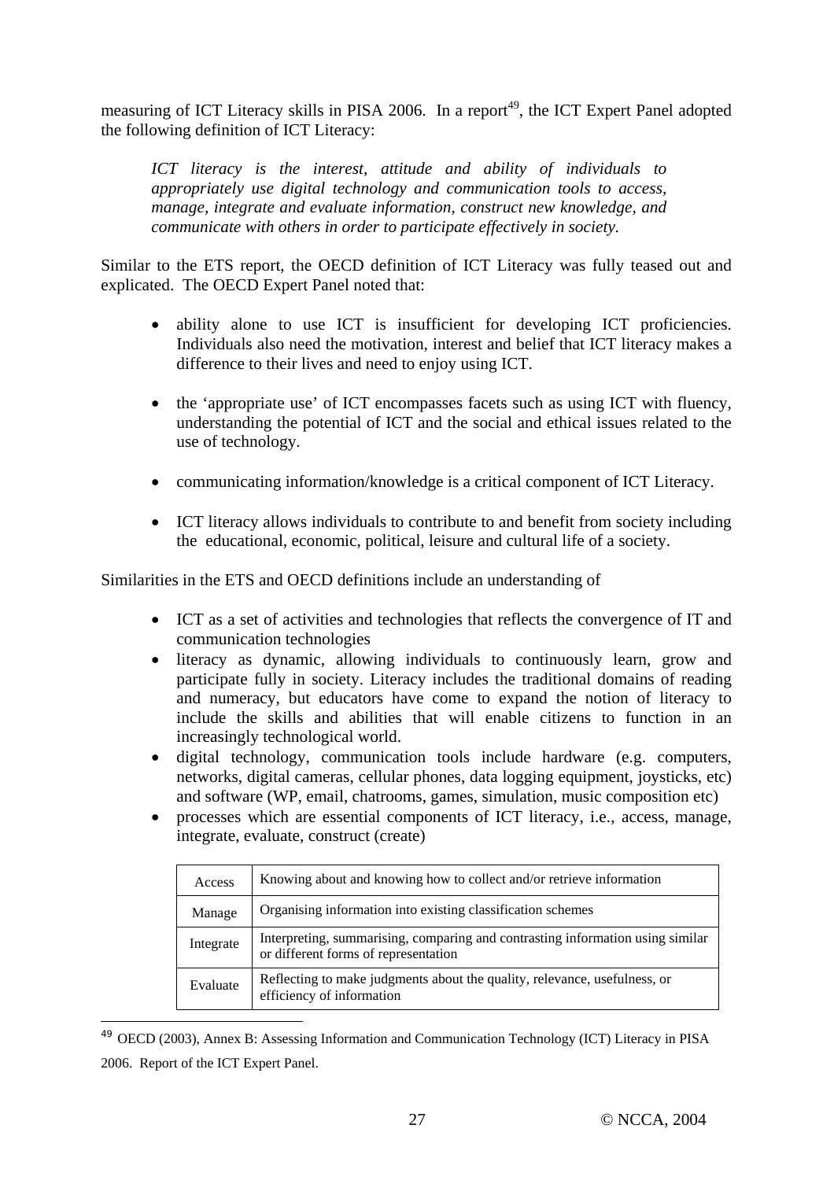measuring of ICT Literacy skills in PISA 2006. In a report<sup>49</sup>, the ICT Expert Panel adopted the following definition of ICT Literacy:

*ICT literacy is the interest, attitude and ability of individuals to appropriately use digital technology and communication tools to access, manage, integrate and evaluate information, construct new knowledge, and communicate with others in order to participate effectively in society.*

Similar to the ETS report, the OECD definition of ICT Literacy was fully teased out and explicated. The OECD Expert Panel noted that:

- ability alone to use ICT is insufficient for developing ICT proficiencies. Individuals also need the motivation, interest and belief that ICT literacy makes a difference to their lives and need to enjoy using ICT.
- the 'appropriate use' of ICT encompasses facets such as using ICT with fluency, understanding the potential of ICT and the social and ethical issues related to the use of technology.
- communicating information/knowledge is a critical component of ICT Literacy.
- ICT literacy allows individuals to contribute to and benefit from society including the educational, economic, political, leisure and cultural life of a society.

Similarities in the ETS and OECD definitions include an understanding of

- ICT as a set of activities and technologies that reflects the convergence of IT and communication technologies
- literacy as dynamic, allowing individuals to continuously learn, grow and participate fully in society. Literacy includes the traditional domains of reading and numeracy, but educators have come to expand the notion of literacy to include the skills and abilities that will enable citizens to function in an increasingly technological world.
- digital technology, communication tools include hardware (e.g. computers, networks, digital cameras, cellular phones, data logging equipment, joysticks, etc) and software (WP, email, chatrooms, games, simulation, music composition etc)
- processes which are essential components of ICT literacy, i.e., access, manage, integrate, evaluate, construct (create)

| Access    | Knowing about and knowing how to collect and/or retrieve information                                                   |
|-----------|------------------------------------------------------------------------------------------------------------------------|
| Manage    | Organising information into existing classification schemes                                                            |
| Integrate | Interpreting, summarising, comparing and contrasting information using similar<br>or different forms of representation |
| Evaluate  | Reflecting to make judgments about the quality, relevance, usefulness, or<br>efficiency of information                 |

<sup>49</sup> OECD (2003), Annex B: Assessing Information and Communication Technology (ICT) Literacy in PISA 2006. Report of the ICT Expert Panel.

 $\overline{a}$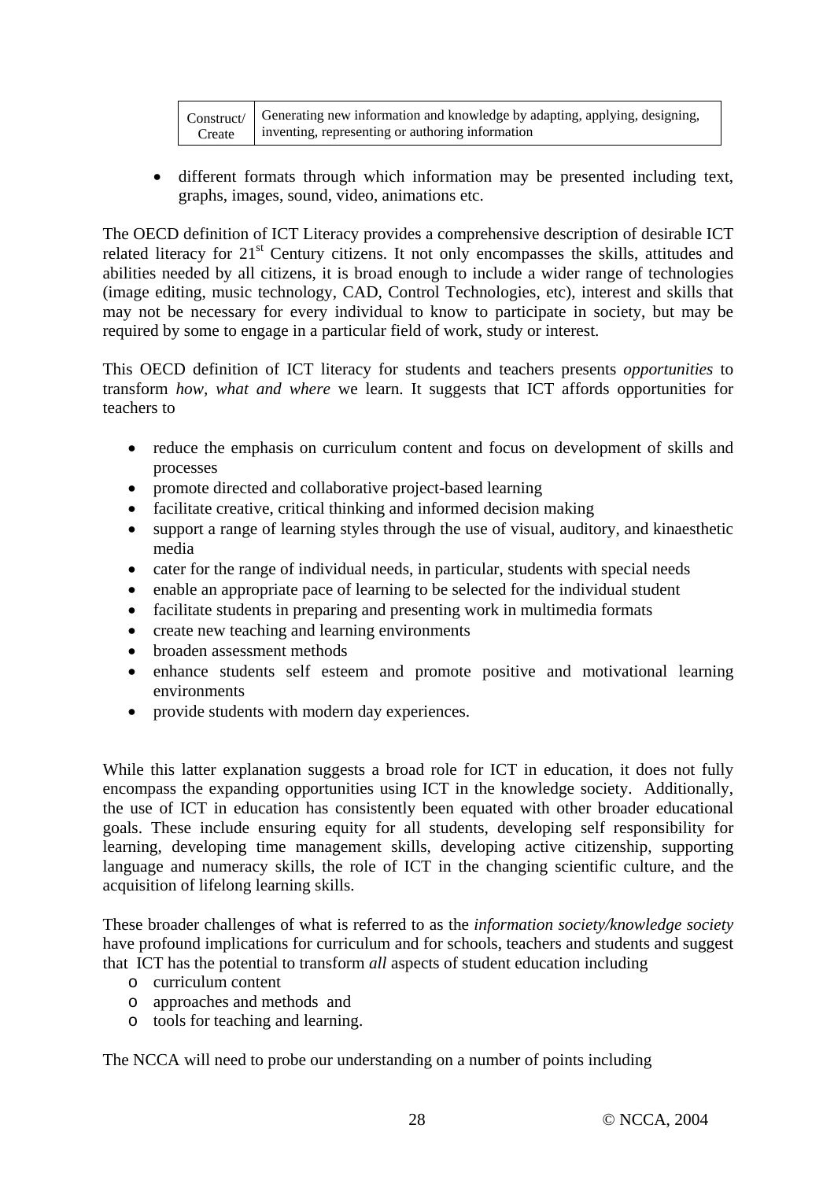|        | Construct/ Generating new information and knowledge by adapting, applying, designing, |
|--------|---------------------------------------------------------------------------------------|
| Create | inventing, representing or authoring information                                      |

• different formats through which information may be presented including text, graphs, images, sound, video, animations etc.

The OECD definition of ICT Literacy provides a comprehensive description of desirable ICT related literacy for 21<sup>st</sup> Century citizens. It not only encompasses the skills, attitudes and abilities needed by all citizens, it is broad enough to include a wider range of technologies (image editing, music technology, CAD, Control Technologies, etc), interest and skills that may not be necessary for every individual to know to participate in society, but may be required by some to engage in a particular field of work, study or interest.

This OECD definition of ICT literacy for students and teachers presents *opportunities* to transform *how, what and where* we learn. It suggests that ICT affords opportunities for teachers to

- reduce the emphasis on curriculum content and focus on development of skills and processes
- promote directed and collaborative project-based learning
- facilitate creative, critical thinking and informed decision making
- support a range of learning styles through the use of visual, auditory, and kinaesthetic media
- cater for the range of individual needs, in particular, students with special needs
- enable an appropriate pace of learning to be selected for the individual student
- facilitate students in preparing and presenting work in multimedia formats
- create new teaching and learning environments
- broaden assessment methods
- enhance students self esteem and promote positive and motivational learning environments
- provide students with modern day experiences.

While this latter explanation suggests a broad role for ICT in education, it does not fully encompass the expanding opportunities using ICT in the knowledge society. Additionally, the use of ICT in education has consistently been equated with other broader educational goals. These include ensuring equity for all students, developing self responsibility for learning, developing time management skills, developing active citizenship, supporting language and numeracy skills, the role of ICT in the changing scientific culture, and the acquisition of lifelong learning skills.

These broader challenges of what is referred to as the *information society/knowledge society* have profound implications for curriculum and for schools, teachers and students and suggest that ICT has the potential to transform *all* aspects of student education including

- o curriculum content
- o approaches and methods and
- o tools for teaching and learning.

The NCCA will need to probe our understanding on a number of points including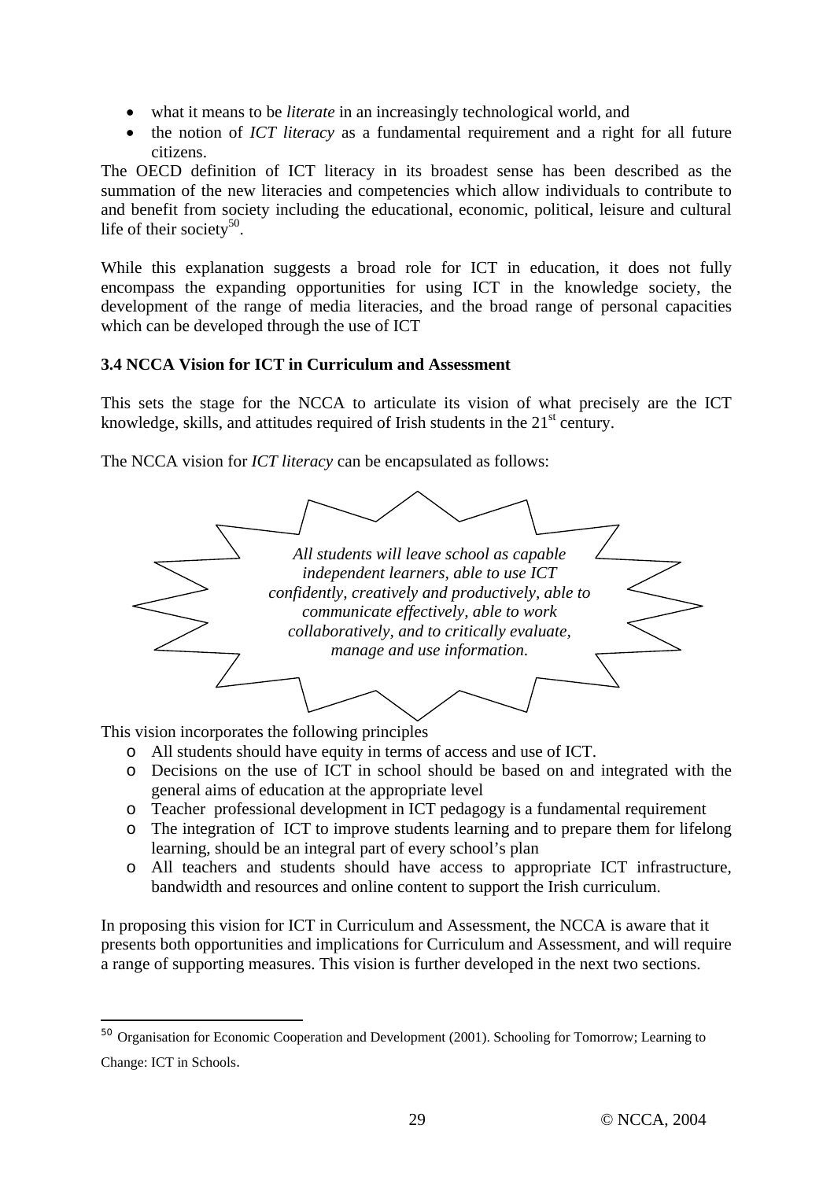- what it means to be *literate* in an increasingly technological world, and
- the notion of *ICT literacy* as a fundamental requirement and a right for all future citizens.

The OECD definition of ICT literacy in its broadest sense has been described as the summation of the new literacies and competencies which allow individuals to contribute to and benefit from society including the educational, economic, political, leisure and cultural life of their society<sup>50</sup>.

While this explanation suggests a broad role for ICT in education, it does not fully encompass the expanding opportunities for using ICT in the knowledge society, the development of the range of media literacies, and the broad range of personal capacities which can be developed through the use of ICT

## **3.4 NCCA Vision for ICT in Curriculum and Assessment**

This sets the stage for the NCCA to articulate its vision of what precisely are the ICT knowledge, skills, and attitudes required of Irish students in the  $21<sup>st</sup>$  century.

*All students will leave school as capable independent learners, able to use ICT confidently, creatively and productively, able to communicate effectively, able to work collaboratively, and to critically evaluate, manage and use information*.

The NCCA vision for *ICT literacy* can be encapsulated as follows:

This vision incorporates the following principles

 $\overline{a}$ 

- o All students should have equity in terms of access and use of ICT.
- o Decisions on the use of ICT in school should be based on and integrated with the general aims of education at the appropriate level
- o Teacher professional development in ICT pedagogy is a fundamental requirement
- o The integration of ICT to improve students learning and to prepare them for lifelong learning, should be an integral part of every school's plan
- o All teachers and students should have access to appropriate ICT infrastructure, bandwidth and resources and online content to support the Irish curriculum.

In proposing this vision for ICT in Curriculum and Assessment, the NCCA is aware that it presents both opportunities and implications for Curriculum and Assessment, and will require a range of supporting measures. This vision is further developed in the next two sections.

<sup>&</sup>lt;sup>50</sup> Organisation for Economic Cooperation and Development (2001). Schooling for Tomorrow; Learning to Change: ICT in Schools.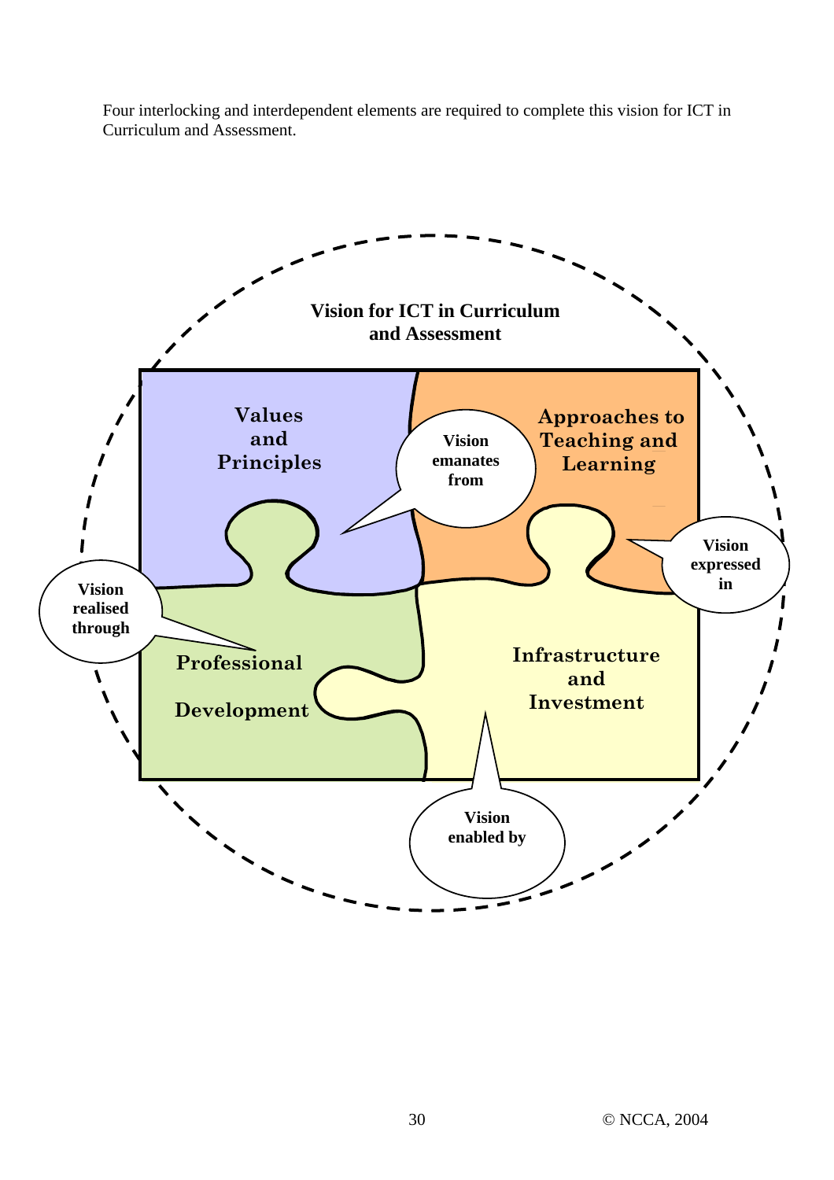Four interlocking and interdependent elements are required to complete this vision for ICT in Curriculum and Assessment.

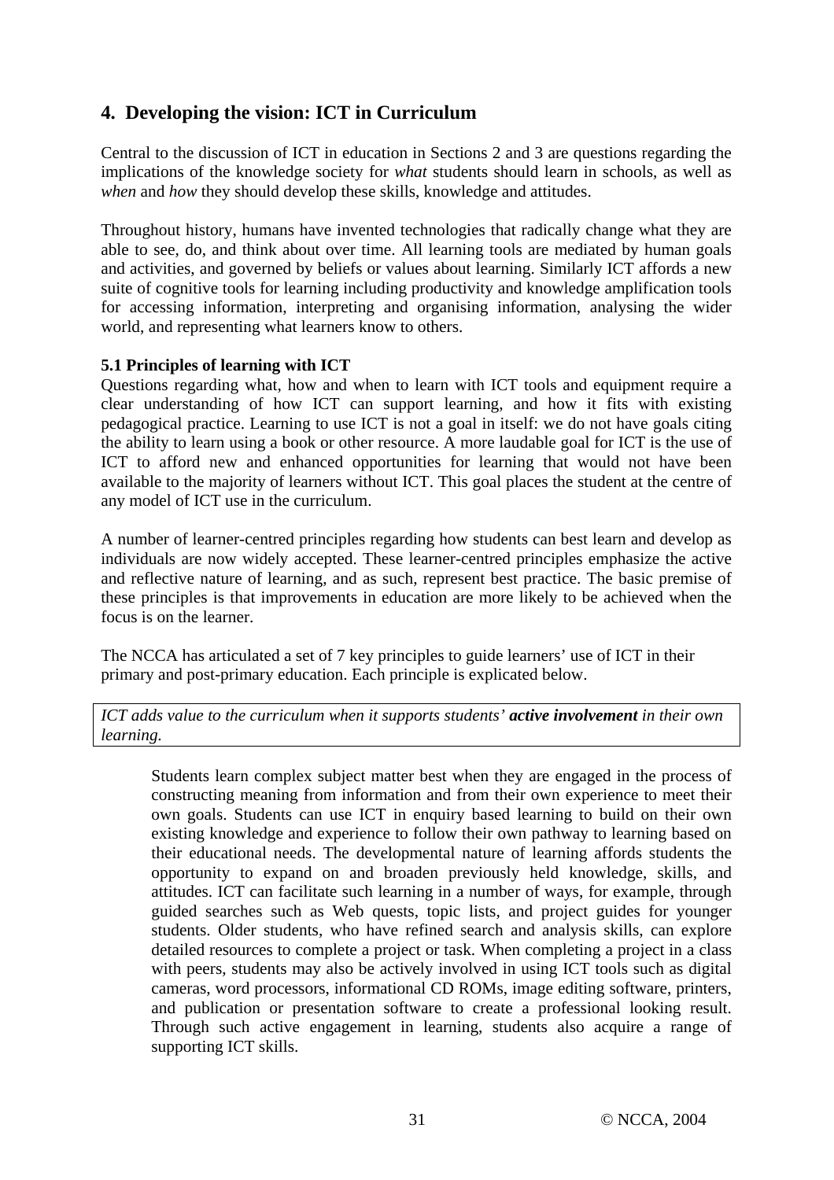# **4. Developing the vision: ICT in Curriculum**

Central to the discussion of ICT in education in Sections 2 and 3 are questions regarding the implications of the knowledge society for *what* students should learn in schools, as well as *when* and *how* they should develop these skills, knowledge and attitudes.

Throughout history, humans have invented technologies that radically change what they are able to see, do, and think about over time. All learning tools are mediated by human goals and activities, and governed by beliefs or values about learning. Similarly ICT affords a new suite of cognitive tools for learning including productivity and knowledge amplification tools for accessing information, interpreting and organising information, analysing the wider world, and representing what learners know to others.

#### **5.1 Principles of learning with ICT**

Questions regarding what, how and when to learn with ICT tools and equipment require a clear understanding of how ICT can support learning, and how it fits with existing pedagogical practice. Learning to use ICT is not a goal in itself: we do not have goals citing the ability to learn using a book or other resource. A more laudable goal for ICT is the use of ICT to afford new and enhanced opportunities for learning that would not have been available to the majority of learners without ICT. This goal places the student at the centre of any model of ICT use in the curriculum.

A number of learner-centred principles regarding how students can best learn and develop as individuals are now widely accepted. These learner-centred principles emphasize the active and reflective nature of learning, and as such, represent best practice. The basic premise of these principles is that improvements in education are more likely to be achieved when the focus is on the learner.

The NCCA has articulated a set of 7 key principles to guide learners' use of ICT in their primary and post-primary education. Each principle is explicated below.

*ICT adds value to the curriculum when it supports students' active involvement in their own learning.* 

Students learn complex subject matter best when they are engaged in the process of constructing meaning from information and from their own experience to meet their own goals. Students can use ICT in enquiry based learning to build on their own existing knowledge and experience to follow their own pathway to learning based on their educational needs. The developmental nature of learning affords students the opportunity to expand on and broaden previously held knowledge, skills, and attitudes. ICT can facilitate such learning in a number of ways, for example, through guided searches such as Web quests, topic lists, and project guides for younger students. Older students, who have refined search and analysis skills, can explore detailed resources to complete a project or task. When completing a project in a class with peers, students may also be actively involved in using ICT tools such as digital cameras, word processors, informational CD ROMs, image editing software, printers, and publication or presentation software to create a professional looking result. Through such active engagement in learning, students also acquire a range of supporting ICT skills.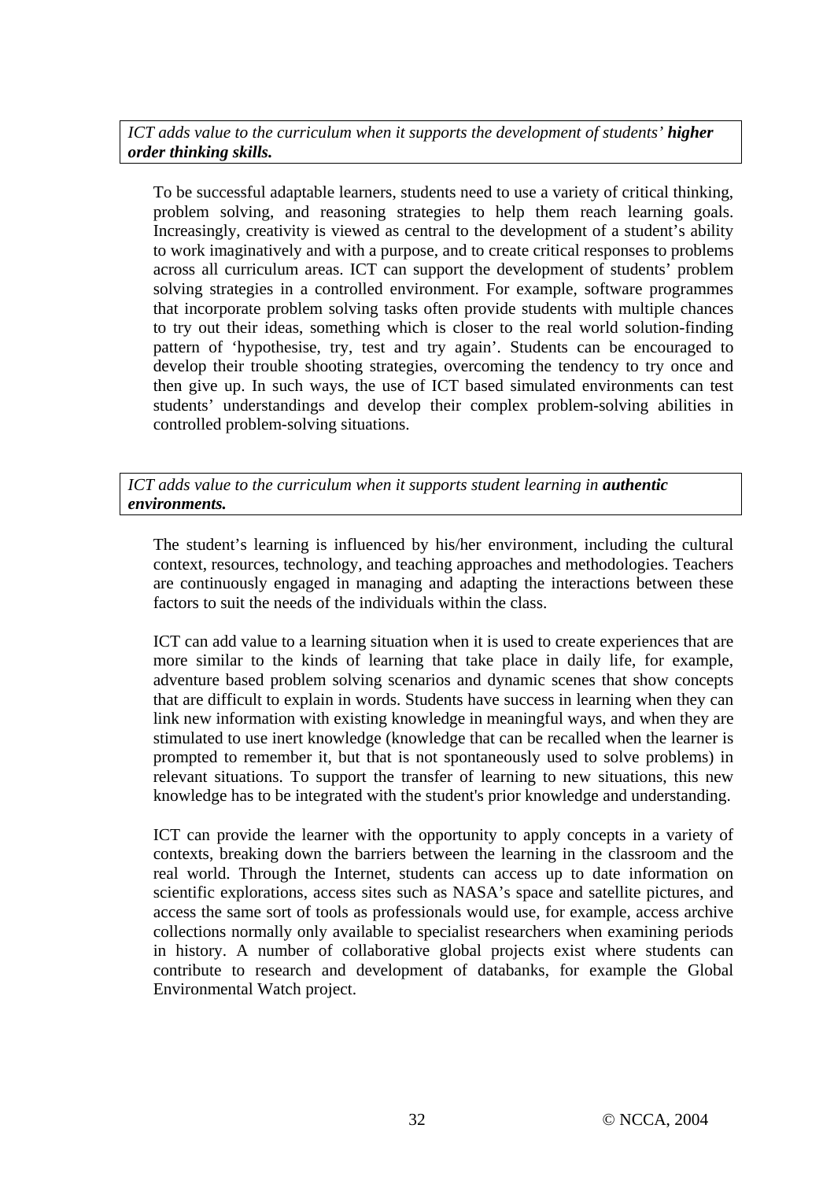*ICT adds value to the curriculum when it supports the development of students' higher order thinking skills.* 

To be successful adaptable learners, students need to use a variety of critical thinking, problem solving, and reasoning strategies to help them reach learning goals. Increasingly, creativity is viewed as central to the development of a student's ability to work imaginatively and with a purpose, and to create critical responses to problems across all curriculum areas. ICT can support the development of students' problem solving strategies in a controlled environment. For example, software programmes that incorporate problem solving tasks often provide students with multiple chances to try out their ideas, something which is closer to the real world solution-finding pattern of 'hypothesise, try, test and try again'. Students can be encouraged to develop their trouble shooting strategies, overcoming the tendency to try once and then give up. In such ways, the use of ICT based simulated environments can test students' understandings and develop their complex problem-solving abilities in controlled problem-solving situations.

*ICT adds value to the curriculum when it supports student learning in authentic environments.* 

The student's learning is influenced by his/her environment, including the cultural context, resources, technology, and teaching approaches and methodologies. Teachers are continuously engaged in managing and adapting the interactions between these factors to suit the needs of the individuals within the class.

ICT can add value to a learning situation when it is used to create experiences that are more similar to the kinds of learning that take place in daily life, for example, adventure based problem solving scenarios and dynamic scenes that show concepts that are difficult to explain in words. Students have success in learning when they can link new information with existing knowledge in meaningful ways, and when they are stimulated to use inert knowledge (knowledge that can be recalled when the learner is prompted to remember it, but that is not spontaneously used to solve problems) in relevant situations. To support the transfer of learning to new situations, this new knowledge has to be integrated with the student's prior knowledge and understanding.

ICT can provide the learner with the opportunity to apply concepts in a variety of contexts, breaking down the barriers between the learning in the classroom and the real world. Through the Internet, students can access up to date information on scientific explorations, access sites such as NASA's space and satellite pictures, and access the same sort of tools as professionals would use, for example, access archive collections normally only available to specialist researchers when examining periods in history. A number of collaborative global projects exist where students can contribute to research and development of databanks, for example the Global Environmental Watch project.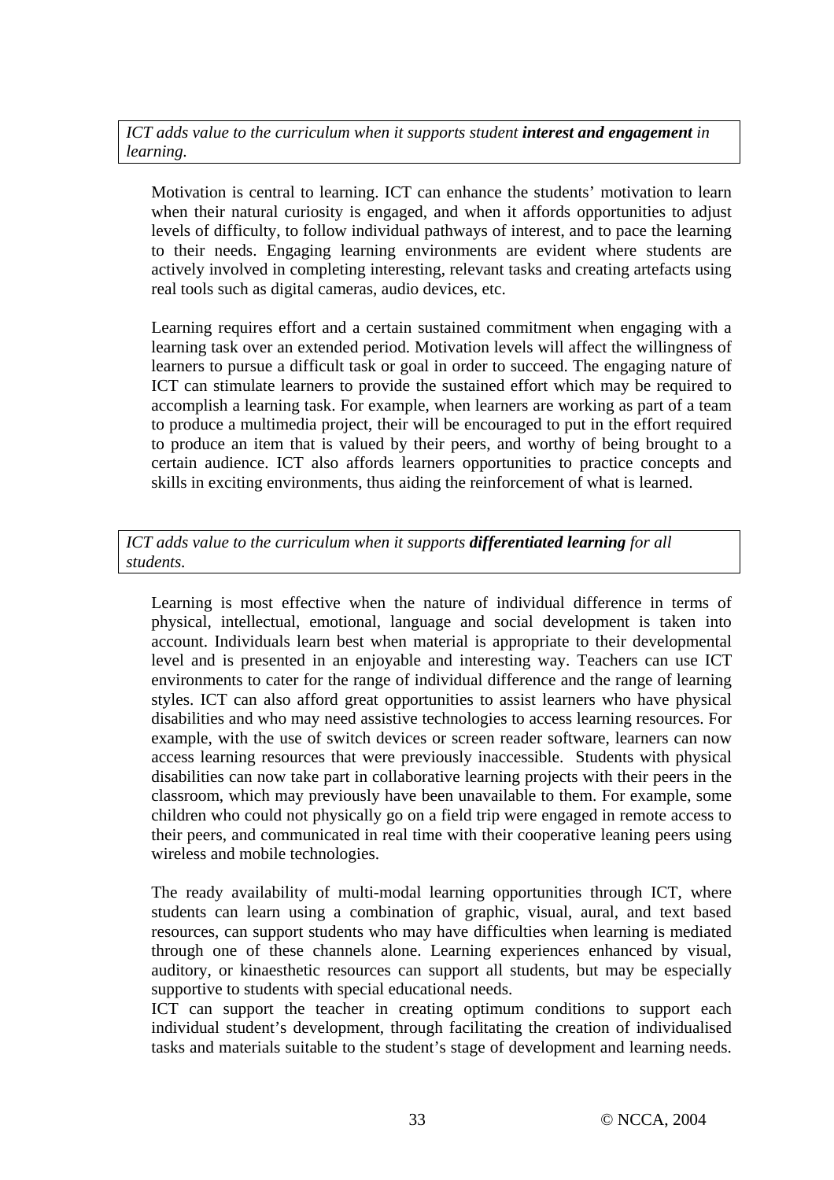*ICT adds value to the curriculum when it supports student <i>interest and engagement in learning.* 

Motivation is central to learning. ICT can enhance the students' motivation to learn when their natural curiosity is engaged, and when it affords opportunities to adjust levels of difficulty, to follow individual pathways of interest, and to pace the learning to their needs. Engaging learning environments are evident where students are actively involved in completing interesting, relevant tasks and creating artefacts using real tools such as digital cameras, audio devices, etc.

Learning requires effort and a certain sustained commitment when engaging with a learning task over an extended period. Motivation levels will affect the willingness of learners to pursue a difficult task or goal in order to succeed. The engaging nature of ICT can stimulate learners to provide the sustained effort which may be required to accomplish a learning task. For example, when learners are working as part of a team to produce a multimedia project, their will be encouraged to put in the effort required to produce an item that is valued by their peers, and worthy of being brought to a certain audience. ICT also affords learners opportunities to practice concepts and skills in exciting environments, thus aiding the reinforcement of what is learned.

*ICT adds value to the curriculum when it supports differentiated learning for all students.* 

Learning is most effective when the nature of individual difference in terms of physical, intellectual, emotional, language and social development is taken into account. Individuals learn best when material is appropriate to their developmental level and is presented in an enjoyable and interesting way. Teachers can use ICT environments to cater for the range of individual difference and the range of learning styles. ICT can also afford great opportunities to assist learners who have physical disabilities and who may need assistive technologies to access learning resources. For example, with the use of switch devices or screen reader software, learners can now access learning resources that were previously inaccessible. Students with physical disabilities can now take part in collaborative learning projects with their peers in the classroom, which may previously have been unavailable to them. For example, some children who could not physically go on a field trip were engaged in remote access to their peers, and communicated in real time with their cooperative leaning peers using wireless and mobile technologies.

The ready availability of multi-modal learning opportunities through ICT, where students can learn using a combination of graphic, visual, aural, and text based resources, can support students who may have difficulties when learning is mediated through one of these channels alone. Learning experiences enhanced by visual, auditory, or kinaesthetic resources can support all students, but may be especially supportive to students with special educational needs.

ICT can support the teacher in creating optimum conditions to support each individual student's development, through facilitating the creation of individualised tasks and materials suitable to the student's stage of development and learning needs.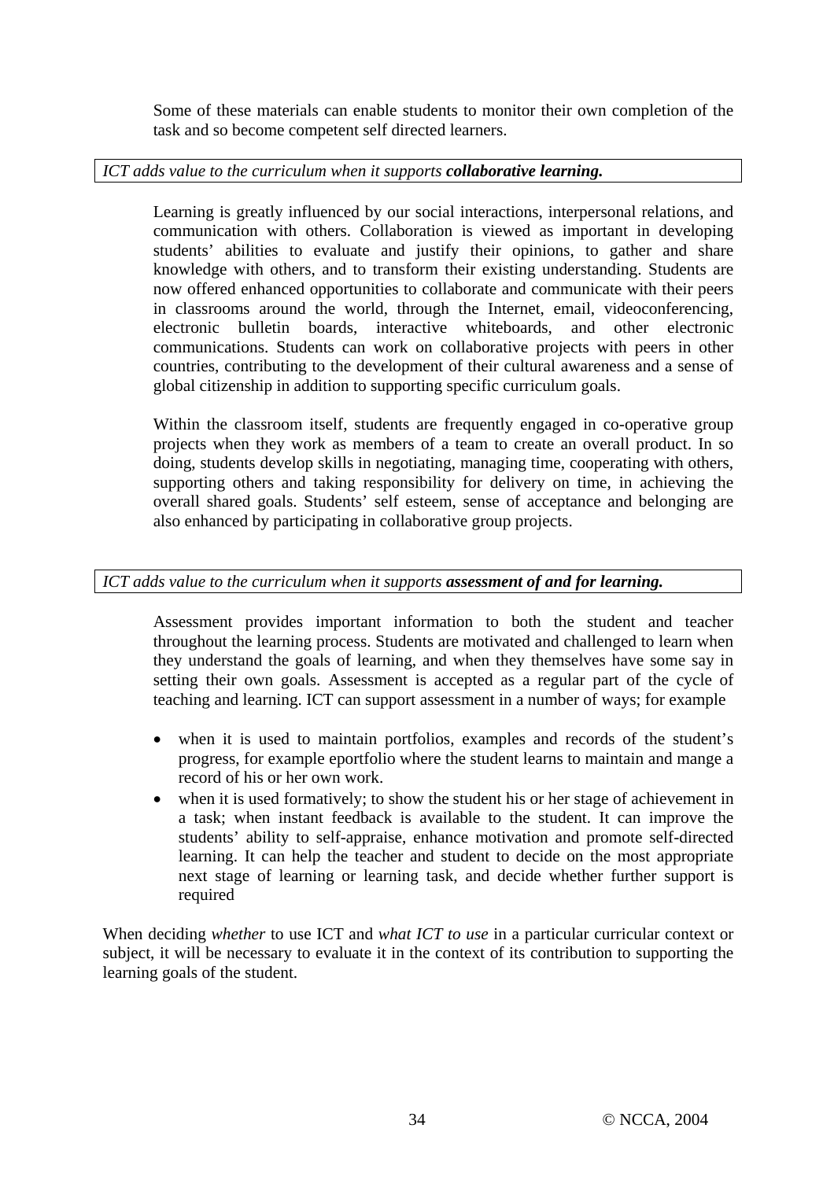Some of these materials can enable students to monitor their own completion of the task and so become competent self directed learners.

## *ICT adds value to the curriculum when it supports collaborative learning.*

Learning is greatly influenced by our social interactions, interpersonal relations, and communication with others. Collaboration is viewed as important in developing students' abilities to evaluate and justify their opinions, to gather and share knowledge with others, and to transform their existing understanding. Students are now offered enhanced opportunities to collaborate and communicate with their peers in classrooms around the world, through the Internet, email, videoconferencing, electronic bulletin boards, interactive whiteboards, and other electronic communications. Students can work on collaborative projects with peers in other countries, contributing to the development of their cultural awareness and a sense of global citizenship in addition to supporting specific curriculum goals.

Within the classroom itself, students are frequently engaged in co-operative group projects when they work as members of a team to create an overall product. In so doing, students develop skills in negotiating, managing time, cooperating with others, supporting others and taking responsibility for delivery on time, in achieving the overall shared goals. Students' self esteem, sense of acceptance and belonging are also enhanced by participating in collaborative group projects.

## *ICT adds value to the curriculum when it supports assessment of and for learning.*

Assessment provides important information to both the student and teacher throughout the learning process. Students are motivated and challenged to learn when they understand the goals of learning, and when they themselves have some say in setting their own goals. Assessment is accepted as a regular part of the cycle of teaching and learning. ICT can support assessment in a number of ways; for example

- when it is used to maintain portfolios, examples and records of the student's progress, for example eportfolio where the student learns to maintain and mange a record of his or her own work.
- when it is used formatively; to show the student his or her stage of achievement in a task; when instant feedback is available to the student. It can improve the students' ability to self-appraise, enhance motivation and promote self-directed learning. It can help the teacher and student to decide on the most appropriate next stage of learning or learning task, and decide whether further support is required

When deciding *whether* to use ICT and *what ICT to use* in a particular curricular context or subject, it will be necessary to evaluate it in the context of its contribution to supporting the learning goals of the student.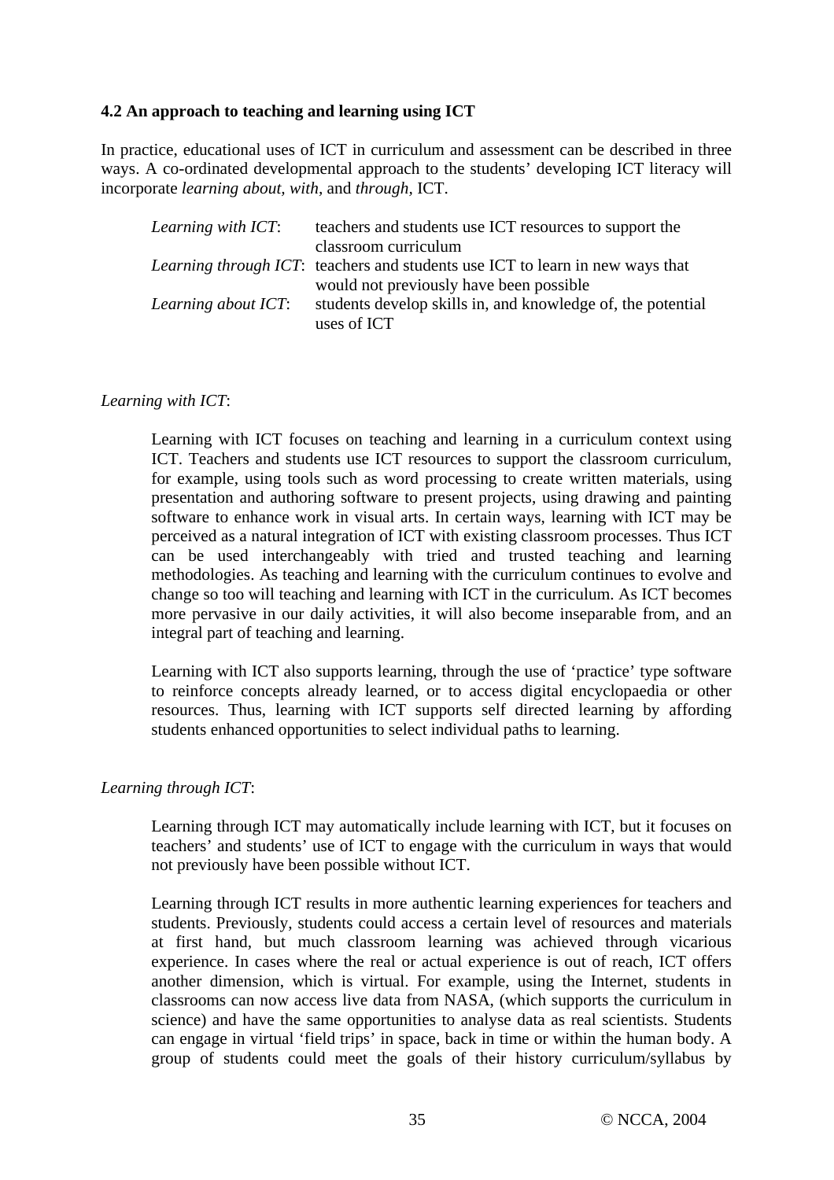#### **4.2 An approach to teaching and learning using ICT**

In practice, educational uses of ICT in curriculum and assessment can be described in three ways. A co-ordinated developmental approach to the students' developing ICT literacy will incorporate *learning about, with,* and *through,* ICT.

| Learning with ICT:  | teachers and students use ICT resources to support the                                |
|---------------------|---------------------------------------------------------------------------------------|
|                     | classroom curriculum                                                                  |
|                     | <i>Learning through ICT</i> : teachers and students use ICT to learn in new ways that |
|                     | would not previously have been possible                                               |
| Learning about ICT: | students develop skills in, and knowledge of, the potential                           |
|                     | uses of ICT                                                                           |

#### *Learning with ICT*:

Learning with ICT focuses on teaching and learning in a curriculum context using ICT. Teachers and students use ICT resources to support the classroom curriculum, for example, using tools such as word processing to create written materials, using presentation and authoring software to present projects, using drawing and painting software to enhance work in visual arts. In certain ways, learning with ICT may be perceived as a natural integration of ICT with existing classroom processes. Thus ICT can be used interchangeably with tried and trusted teaching and learning methodologies. As teaching and learning with the curriculum continues to evolve and change so too will teaching and learning with ICT in the curriculum. As ICT becomes more pervasive in our daily activities, it will also become inseparable from, and an integral part of teaching and learning.

Learning with ICT also supports learning, through the use of 'practice' type software to reinforce concepts already learned, or to access digital encyclopaedia or other resources. Thus, learning with ICT supports self directed learning by affording students enhanced opportunities to select individual paths to learning.

#### *Learning through ICT*:

Learning through ICT may automatically include learning with ICT, but it focuses on teachers' and students' use of ICT to engage with the curriculum in ways that would not previously have been possible without ICT.

Learning through ICT results in more authentic learning experiences for teachers and students. Previously, students could access a certain level of resources and materials at first hand, but much classroom learning was achieved through vicarious experience. In cases where the real or actual experience is out of reach, ICT offers another dimension, which is virtual. For example, using the Internet, students in classrooms can now access live data from NASA, (which supports the curriculum in science) and have the same opportunities to analyse data as real scientists. Students can engage in virtual 'field trips' in space, back in time or within the human body. A group of students could meet the goals of their history curriculum/syllabus by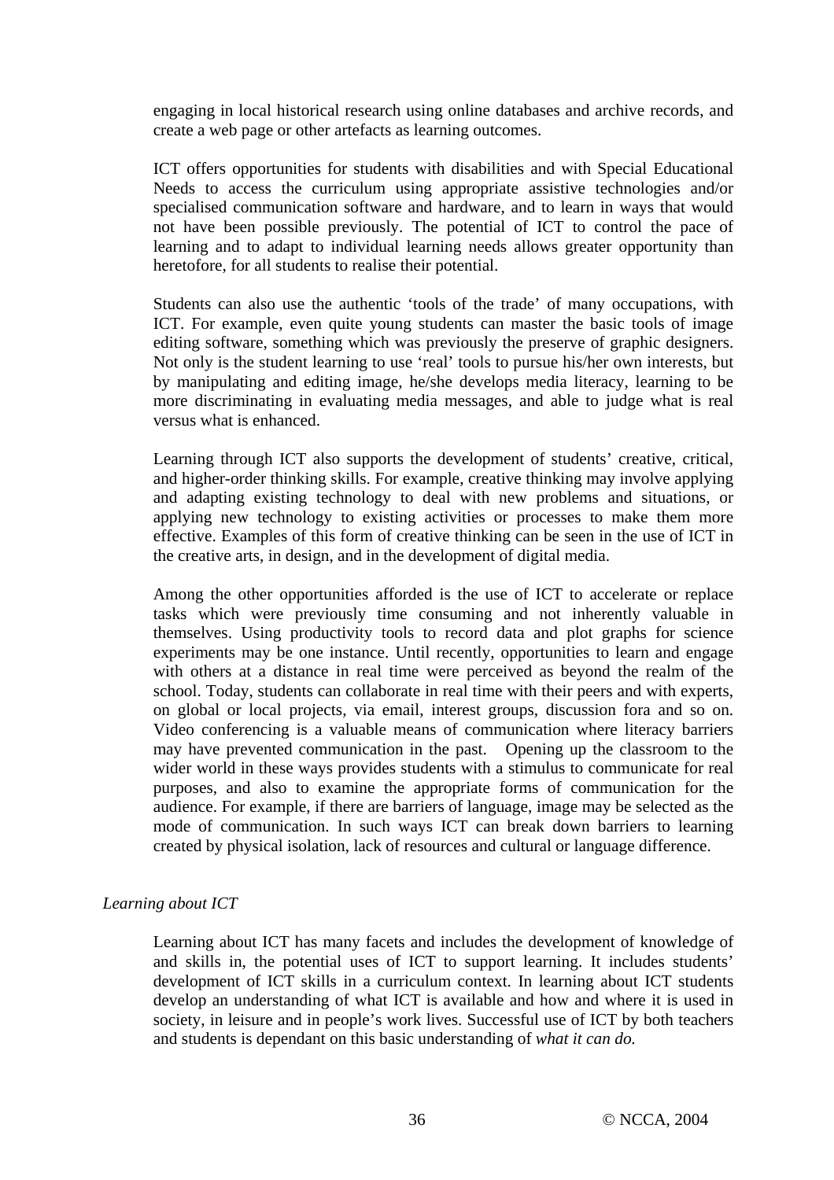engaging in local historical research using online databases and archive records, and create a web page or other artefacts as learning outcomes.

ICT offers opportunities for students with disabilities and with Special Educational Needs to access the curriculum using appropriate assistive technologies and/or specialised communication software and hardware, and to learn in ways that would not have been possible previously. The potential of ICT to control the pace of learning and to adapt to individual learning needs allows greater opportunity than heretofore, for all students to realise their potential.

Students can also use the authentic 'tools of the trade' of many occupations, with ICT. For example, even quite young students can master the basic tools of image editing software, something which was previously the preserve of graphic designers. Not only is the student learning to use 'real' tools to pursue his/her own interests, but by manipulating and editing image, he/she develops media literacy, learning to be more discriminating in evaluating media messages, and able to judge what is real versus what is enhanced.

Learning through ICT also supports the development of students' creative, critical, and higher-order thinking skills. For example, creative thinking may involve applying and adapting existing technology to deal with new problems and situations, or applying new technology to existing activities or processes to make them more effective. Examples of this form of creative thinking can be seen in the use of ICT in the creative arts, in design, and in the development of digital media.

Among the other opportunities afforded is the use of ICT to accelerate or replace tasks which were previously time consuming and not inherently valuable in themselves. Using productivity tools to record data and plot graphs for science experiments may be one instance. Until recently, opportunities to learn and engage with others at a distance in real time were perceived as beyond the realm of the school. Today, students can collaborate in real time with their peers and with experts, on global or local projects, via email, interest groups, discussion fora and so on. Video conferencing is a valuable means of communication where literacy barriers may have prevented communication in the past. Opening up the classroom to the wider world in these ways provides students with a stimulus to communicate for real purposes, and also to examine the appropriate forms of communication for the audience. For example, if there are barriers of language, image may be selected as the mode of communication. In such ways ICT can break down barriers to learning created by physical isolation, lack of resources and cultural or language difference.

#### *Learning about ICT*

Learning about ICT has many facets and includes the development of knowledge of and skills in, the potential uses of ICT to support learning. It includes students' development of ICT skills in a curriculum context. In learning about ICT students develop an understanding of what ICT is available and how and where it is used in society, in leisure and in people's work lives. Successful use of ICT by both teachers and students is dependant on this basic understanding of *what it can do.*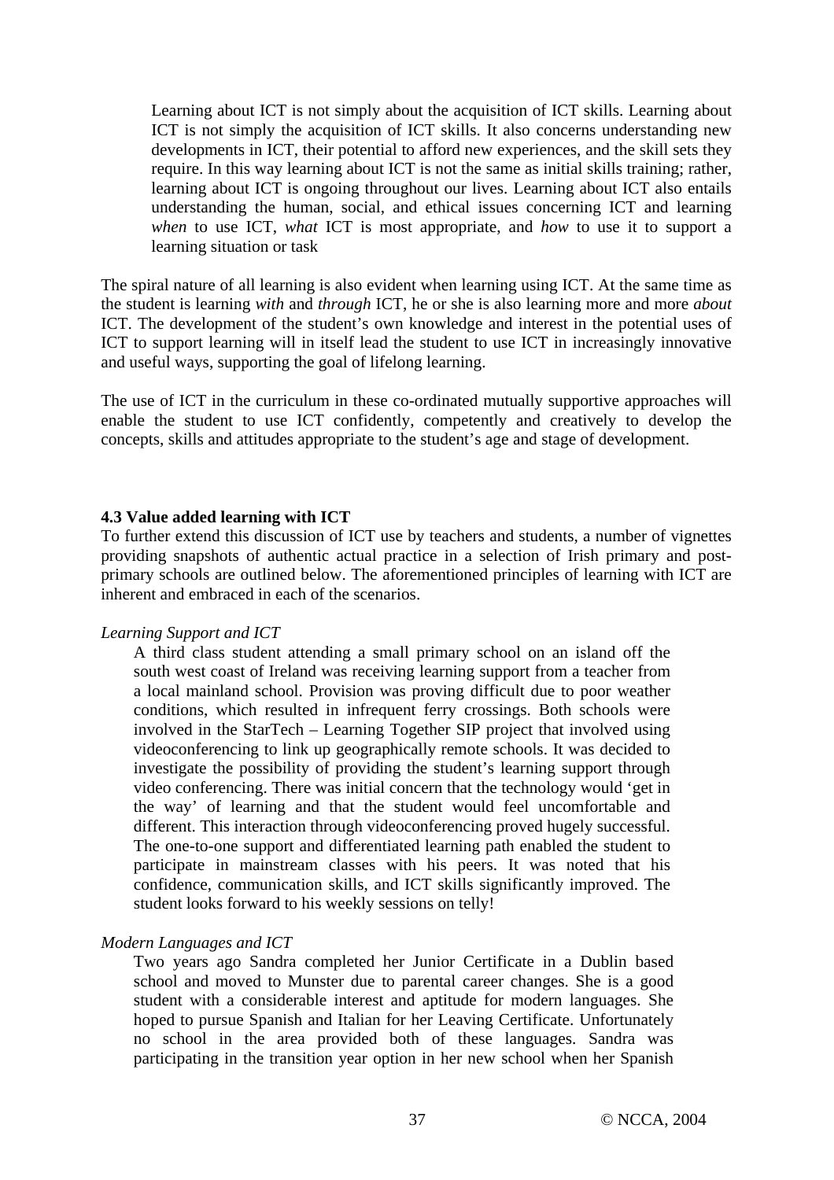Learning about ICT is not simply about the acquisition of ICT skills. Learning about ICT is not simply the acquisition of ICT skills. It also concerns understanding new developments in ICT, their potential to afford new experiences, and the skill sets they require. In this way learning about ICT is not the same as initial skills training; rather, learning about ICT is ongoing throughout our lives. Learning about ICT also entails understanding the human, social, and ethical issues concerning ICT and learning *when* to use ICT, *what* ICT is most appropriate, and *how* to use it to support a learning situation or task

The spiral nature of all learning is also evident when learning using ICT. At the same time as the student is learning *with* and *through* ICT, he or she is also learning more and more *about* ICT. The development of the student's own knowledge and interest in the potential uses of ICT to support learning will in itself lead the student to use ICT in increasingly innovative and useful ways, supporting the goal of lifelong learning.

The use of ICT in the curriculum in these co-ordinated mutually supportive approaches will enable the student to use ICT confidently, competently and creatively to develop the concepts, skills and attitudes appropriate to the student's age and stage of development.

#### **4.3 Value added learning with ICT**

To further extend this discussion of ICT use by teachers and students, a number of vignettes providing snapshots of authentic actual practice in a selection of Irish primary and postprimary schools are outlined below. The aforementioned principles of learning with ICT are inherent and embraced in each of the scenarios.

#### *Learning Support and ICT*

A third class student attending a small primary school on an island off the south west coast of Ireland was receiving learning support from a teacher from a local mainland school. Provision was proving difficult due to poor weather conditions, which resulted in infrequent ferry crossings. Both schools were involved in the StarTech – Learning Together SIP project that involved using videoconferencing to link up geographically remote schools. It was decided to investigate the possibility of providing the student's learning support through video conferencing. There was initial concern that the technology would 'get in the way' of learning and that the student would feel uncomfortable and different. This interaction through videoconferencing proved hugely successful. The one-to-one support and differentiated learning path enabled the student to participate in mainstream classes with his peers. It was noted that his confidence, communication skills, and ICT skills significantly improved. The student looks forward to his weekly sessions on telly!

#### *Modern Languages and ICT*

Two years ago Sandra completed her Junior Certificate in a Dublin based school and moved to Munster due to parental career changes. She is a good student with a considerable interest and aptitude for modern languages. She hoped to pursue Spanish and Italian for her Leaving Certificate. Unfortunately no school in the area provided both of these languages. Sandra was participating in the transition year option in her new school when her Spanish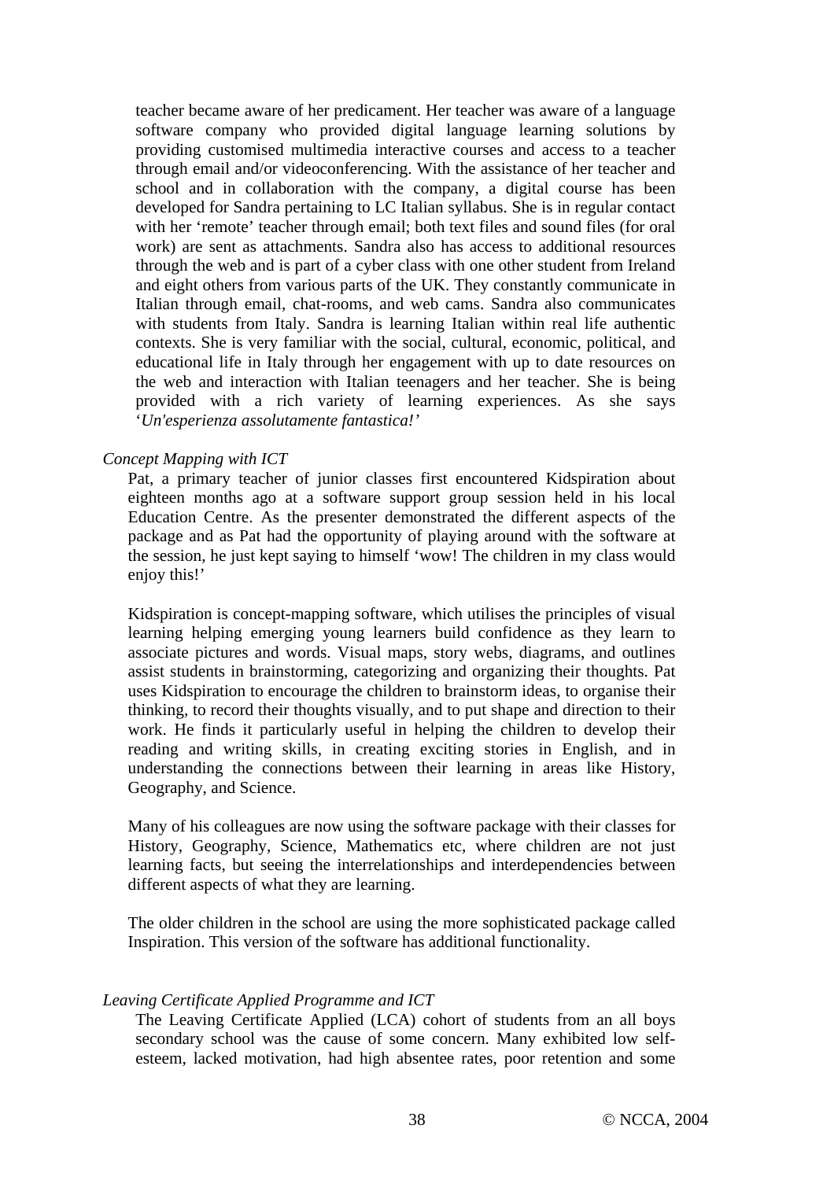teacher became aware of her predicament. Her teacher was aware of a language software company who provided digital language learning solutions by providing customised multimedia interactive courses and access to a teacher through email and/or videoconferencing. With the assistance of her teacher and school and in collaboration with the company, a digital course has been developed for Sandra pertaining to LC Italian syllabus. She is in regular contact with her 'remote' teacher through email; both text files and sound files (for oral work) are sent as attachments. Sandra also has access to additional resources through the web and is part of a cyber class with one other student from Ireland and eight others from various parts of the UK. They constantly communicate in Italian through email, chat-rooms, and web cams. Sandra also communicates with students from Italy. Sandra is learning Italian within real life authentic contexts. She is very familiar with the social, cultural, economic, political, and educational life in Italy through her engagement with up to date resources on the web and interaction with Italian teenagers and her teacher. She is being provided with a rich variety of learning experiences. As she says '*Un'esperienza assolutamente fantastica!'*

#### *Concept Mapping with ICT*

Pat, a primary teacher of junior classes first encountered Kidspiration about eighteen months ago at a software support group session held in his local Education Centre. As the presenter demonstrated the different aspects of the package and as Pat had the opportunity of playing around with the software at the session, he just kept saying to himself 'wow! The children in my class would enjoy this!'

Kidspiration is concept-mapping software, which utilises the principles of visual learning helping emerging young learners build confidence as they learn to associate pictures and words. Visual maps, story webs, diagrams, and outlines assist students in brainstorming, categorizing and organizing their thoughts. Pat uses Kidspiration to encourage the children to brainstorm ideas, to organise their thinking, to record their thoughts visually, and to put shape and direction to their work. He finds it particularly useful in helping the children to develop their reading and writing skills, in creating exciting stories in English, and in understanding the connections between their learning in areas like History, Geography, and Science.

Many of his colleagues are now using the software package with their classes for History, Geography, Science, Mathematics etc, where children are not just learning facts, but seeing the interrelationships and interdependencies between different aspects of what they are learning.

The older children in the school are using the more sophisticated package called Inspiration. This version of the software has additional functionality.

#### *Leaving Certificate Applied Programme and ICT*

The Leaving Certificate Applied (LCA) cohort of students from an all boys secondary school was the cause of some concern. Many exhibited low selfesteem, lacked motivation, had high absentee rates, poor retention and some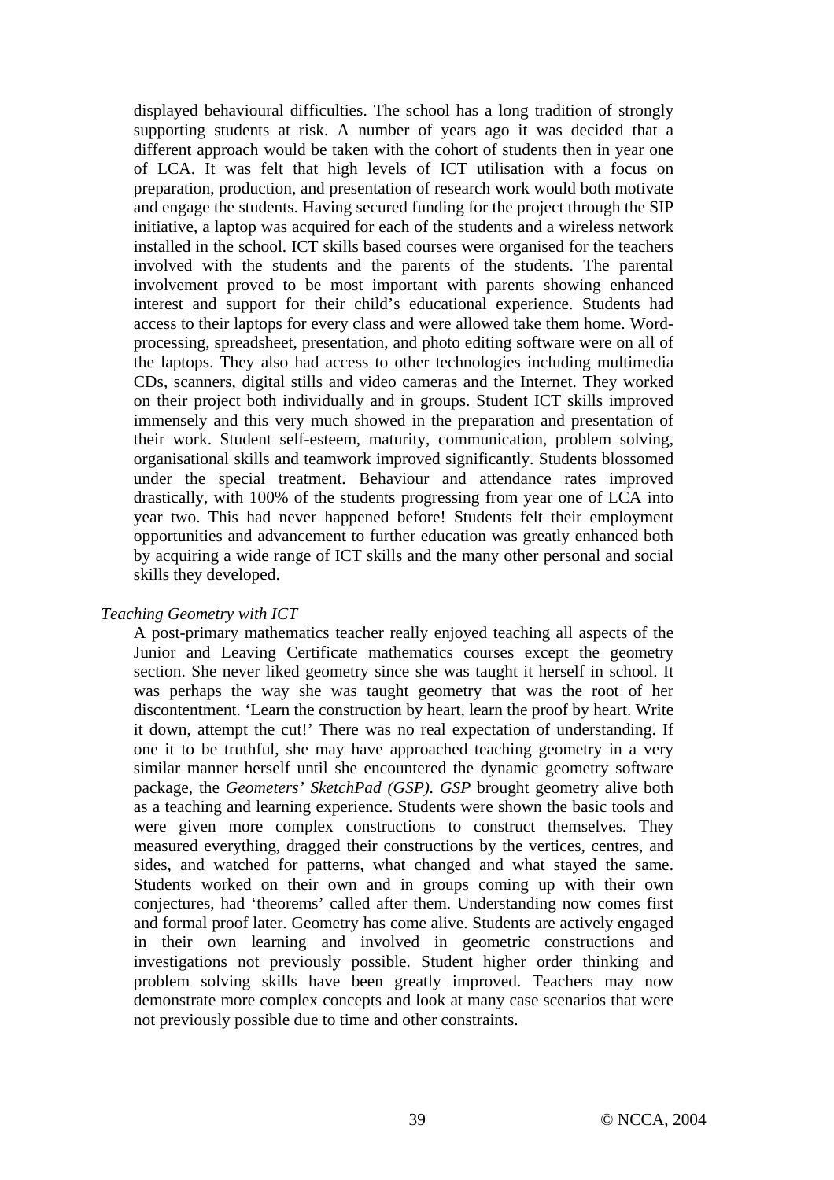displayed behavioural difficulties. The school has a long tradition of strongly supporting students at risk. A number of years ago it was decided that a different approach would be taken with the cohort of students then in year one of LCA. It was felt that high levels of ICT utilisation with a focus on preparation, production, and presentation of research work would both motivate and engage the students. Having secured funding for the project through the SIP initiative, a laptop was acquired for each of the students and a wireless network installed in the school. ICT skills based courses were organised for the teachers involved with the students and the parents of the students. The parental involvement proved to be most important with parents showing enhanced interest and support for their child's educational experience. Students had access to their laptops for every class and were allowed take them home. Wordprocessing, spreadsheet, presentation, and photo editing software were on all of the laptops. They also had access to other technologies including multimedia CDs, scanners, digital stills and video cameras and the Internet. They worked on their project both individually and in groups. Student ICT skills improved immensely and this very much showed in the preparation and presentation of their work. Student self-esteem, maturity, communication, problem solving, organisational skills and teamwork improved significantly. Students blossomed under the special treatment. Behaviour and attendance rates improved drastically, with 100% of the students progressing from year one of LCA into year two. This had never happened before! Students felt their employment opportunities and advancement to further education was greatly enhanced both by acquiring a wide range of ICT skills and the many other personal and social skills they developed.

#### *Teaching Geometry with ICT*

A post-primary mathematics teacher really enjoyed teaching all aspects of the Junior and Leaving Certificate mathematics courses except the geometry section. She never liked geometry since she was taught it herself in school. It was perhaps the way she was taught geometry that was the root of her discontentment. 'Learn the construction by heart, learn the proof by heart. Write it down, attempt the cut!' There was no real expectation of understanding. If one it to be truthful, she may have approached teaching geometry in a very similar manner herself until she encountered the dynamic geometry software package, the *Geometers' SketchPad (GSP). GSP* brought geometry alive both as a teaching and learning experience. Students were shown the basic tools and were given more complex constructions to construct themselves. They measured everything, dragged their constructions by the vertices, centres, and sides, and watched for patterns, what changed and what stayed the same. Students worked on their own and in groups coming up with their own conjectures, had 'theorems' called after them. Understanding now comes first and formal proof later. Geometry has come alive. Students are actively engaged in their own learning and involved in geometric constructions and investigations not previously possible. Student higher order thinking and problem solving skills have been greatly improved. Teachers may now demonstrate more complex concepts and look at many case scenarios that were not previously possible due to time and other constraints.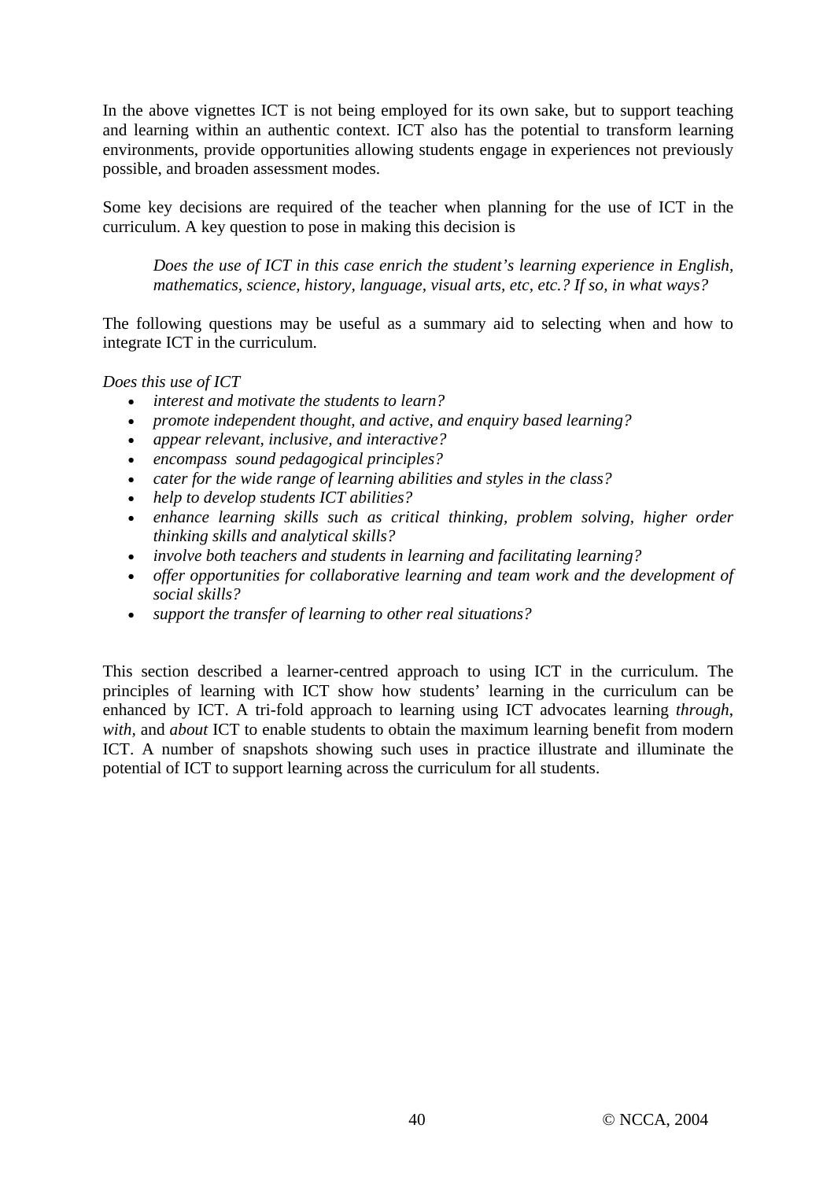In the above vignettes ICT is not being employed for its own sake, but to support teaching and learning within an authentic context. ICT also has the potential to transform learning environments, provide opportunities allowing students engage in experiences not previously possible, and broaden assessment modes.

Some key decisions are required of the teacher when planning for the use of ICT in the curriculum. A key question to pose in making this decision is

*Does the use of ICT in this case enrich the student's learning experience in English, mathematics, science, history, language, visual arts, etc, etc.? If so, in what ways?* 

The following questions may be useful as a summary aid to selecting when and how to integrate ICT in the curriculum.

*Does this use of ICT* 

- *interest and motivate the students to learn?*
- *promote independent thought, and active, and enquiry based learning?*
- *appear relevant, inclusive, and interactive?*
- *encompass sound pedagogical principles?*
- *cater for the wide range of learning abilities and styles in the class?*
- *help to develop students ICT abilities?*
- *enhance learning skills such as critical thinking, problem solving, higher order thinking skills and analytical skills?*
- *involve both teachers and students in learning and facilitating learning?*
- *offer opportunities for collaborative learning and team work and the development of social skills?*
- *support the transfer of learning to other real situations?*

This section described a learner-centred approach to using ICT in the curriculum. The principles of learning with ICT show how students' learning in the curriculum can be enhanced by ICT. A tri-fold approach to learning using ICT advocates learning *through*, *with,* and *about* ICT to enable students to obtain the maximum learning benefit from modern ICT. A number of snapshots showing such uses in practice illustrate and illuminate the potential of ICT to support learning across the curriculum for all students.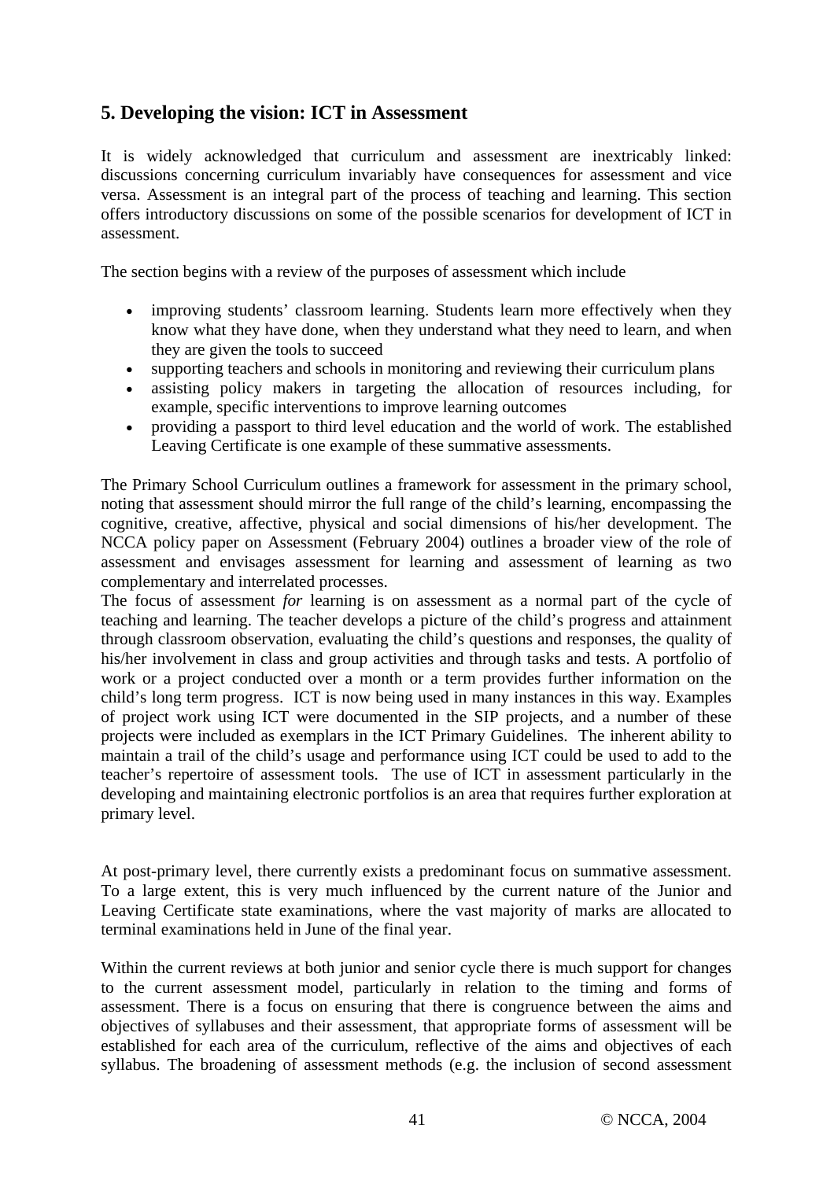# **5. Developing the vision: ICT in Assessment**

It is widely acknowledged that curriculum and assessment are inextricably linked: discussions concerning curriculum invariably have consequences for assessment and vice versa. Assessment is an integral part of the process of teaching and learning. This section offers introductory discussions on some of the possible scenarios for development of ICT in assessment.

The section begins with a review of the purposes of assessment which include

- improving students' classroom learning. Students learn more effectively when they know what they have done, when they understand what they need to learn, and when they are given the tools to succeed
- supporting teachers and schools in monitoring and reviewing their curriculum plans
- assisting policy makers in targeting the allocation of resources including, for example, specific interventions to improve learning outcomes
- providing a passport to third level education and the world of work. The established Leaving Certificate is one example of these summative assessments.

The Primary School Curriculum outlines a framework for assessment in the primary school, noting that assessment should mirror the full range of the child's learning, encompassing the cognitive, creative, affective, physical and social dimensions of his/her development. The NCCA policy paper on Assessment (February 2004) outlines a broader view of the role of assessment and envisages assessment for learning and assessment of learning as two complementary and interrelated processes.

The focus of assessment *for* learning is on assessment as a normal part of the cycle of teaching and learning. The teacher develops a picture of the child's progress and attainment through classroom observation, evaluating the child's questions and responses, the quality of his/her involvement in class and group activities and through tasks and tests. A portfolio of work or a project conducted over a month or a term provides further information on the child's long term progress. ICT is now being used in many instances in this way. Examples of project work using ICT were documented in the SIP projects, and a number of these projects were included as exemplars in the ICT Primary Guidelines. The inherent ability to maintain a trail of the child's usage and performance using ICT could be used to add to the teacher's repertoire of assessment tools. The use of ICT in assessment particularly in the developing and maintaining electronic portfolios is an area that requires further exploration at primary level.

At post-primary level, there currently exists a predominant focus on summative assessment. To a large extent, this is very much influenced by the current nature of the Junior and Leaving Certificate state examinations, where the vast majority of marks are allocated to terminal examinations held in June of the final year.

Within the current reviews at both junior and senior cycle there is much support for changes to the current assessment model, particularly in relation to the timing and forms of assessment. There is a focus on ensuring that there is congruence between the aims and objectives of syllabuses and their assessment*,* that appropriate forms of assessment will be established for each area of the curriculum, reflective of the aims and objectives of each syllabus. The broadening of assessment methods (e.g. the inclusion of second assessment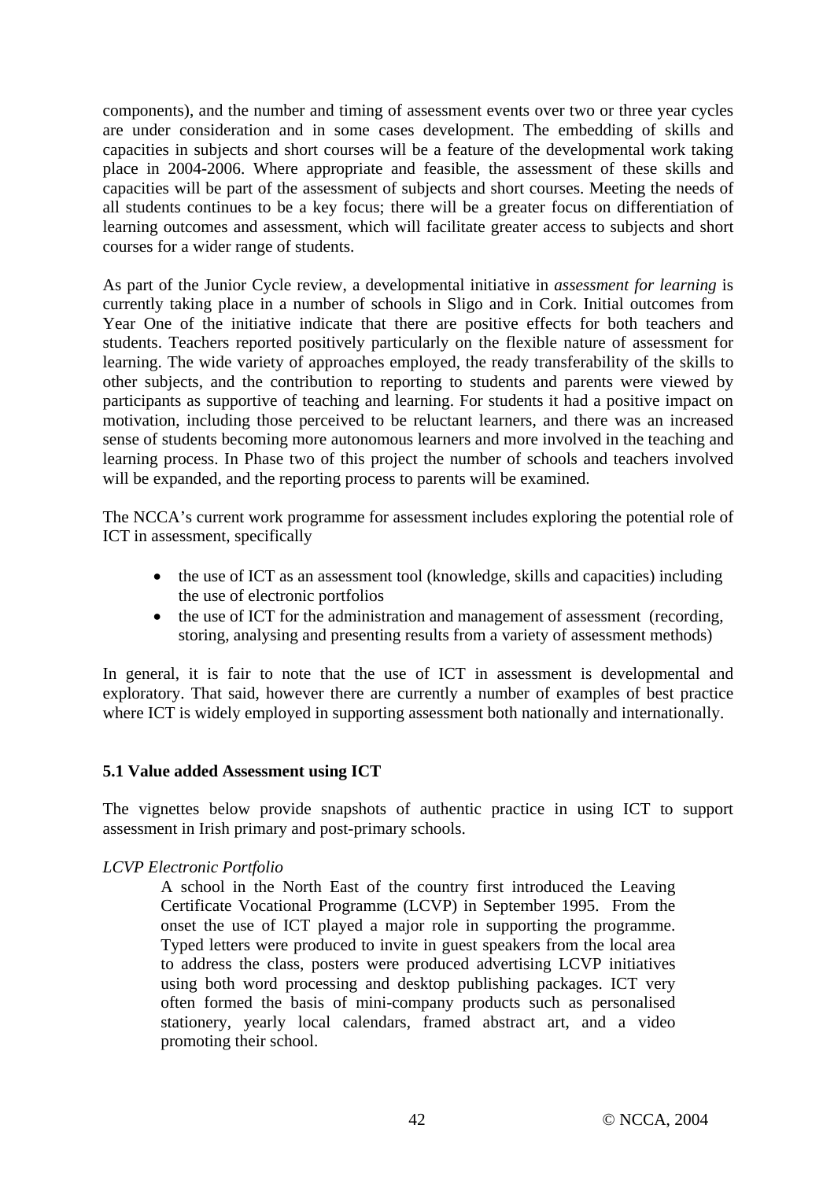components), and the number and timing of assessment events over two or three year cycles are under consideration and in some cases development. The embedding of skills and capacities in subjects and short courses will be a feature of the developmental work taking place in 2004-2006. Where appropriate and feasible, the assessment of these skills and capacities will be part of the assessment of subjects and short courses. Meeting the needs of all students continues to be a key focus; there will be a greater focus on differentiation of learning outcomes and assessment, which will facilitate greater access to subjects and short courses for a wider range of students.

As part of the Junior Cycle review, a developmental initiative in *assessment for learning* is currently taking place in a number of schools in Sligo and in Cork. Initial outcomes from Year One of the initiative indicate that there are positive effects for both teachers and students. Teachers reported positively particularly on the flexible nature of assessment for learning. The wide variety of approaches employed, the ready transferability of the skills to other subjects, and the contribution to reporting to students and parents were viewed by participants as supportive of teaching and learning. For students it had a positive impact on motivation, including those perceived to be reluctant learners, and there was an increased sense of students becoming more autonomous learners and more involved in the teaching and learning process. In Phase two of this project the number of schools and teachers involved will be expanded, and the reporting process to parents will be examined.

The NCCA's current work programme for assessment includes exploring the potential role of ICT in assessment, specifically

- the use of ICT as an assessment tool (knowledge, skills and capacities) including the use of electronic portfolios
- the use of ICT for the administration and management of assessment (recording, storing, analysing and presenting results from a variety of assessment methods)

In general, it is fair to note that the use of ICT in assessment is developmental and exploratory. That said, however there are currently a number of examples of best practice where ICT is widely employed in supporting assessment both nationally and internationally.

#### **5.1 Value added Assessment using ICT**

The vignettes below provide snapshots of authentic practice in using ICT to support assessment in Irish primary and post-primary schools.

#### *LCVP Electronic Portfolio*

A school in the North East of the country first introduced the Leaving Certificate Vocational Programme (LCVP) in September 1995. From the onset the use of ICT played a major role in supporting the programme. Typed letters were produced to invite in guest speakers from the local area to address the class, posters were produced advertising LCVP initiatives using both word processing and desktop publishing packages. ICT very often formed the basis of mini-company products such as personalised stationery, yearly local calendars, framed abstract art, and a video promoting their school.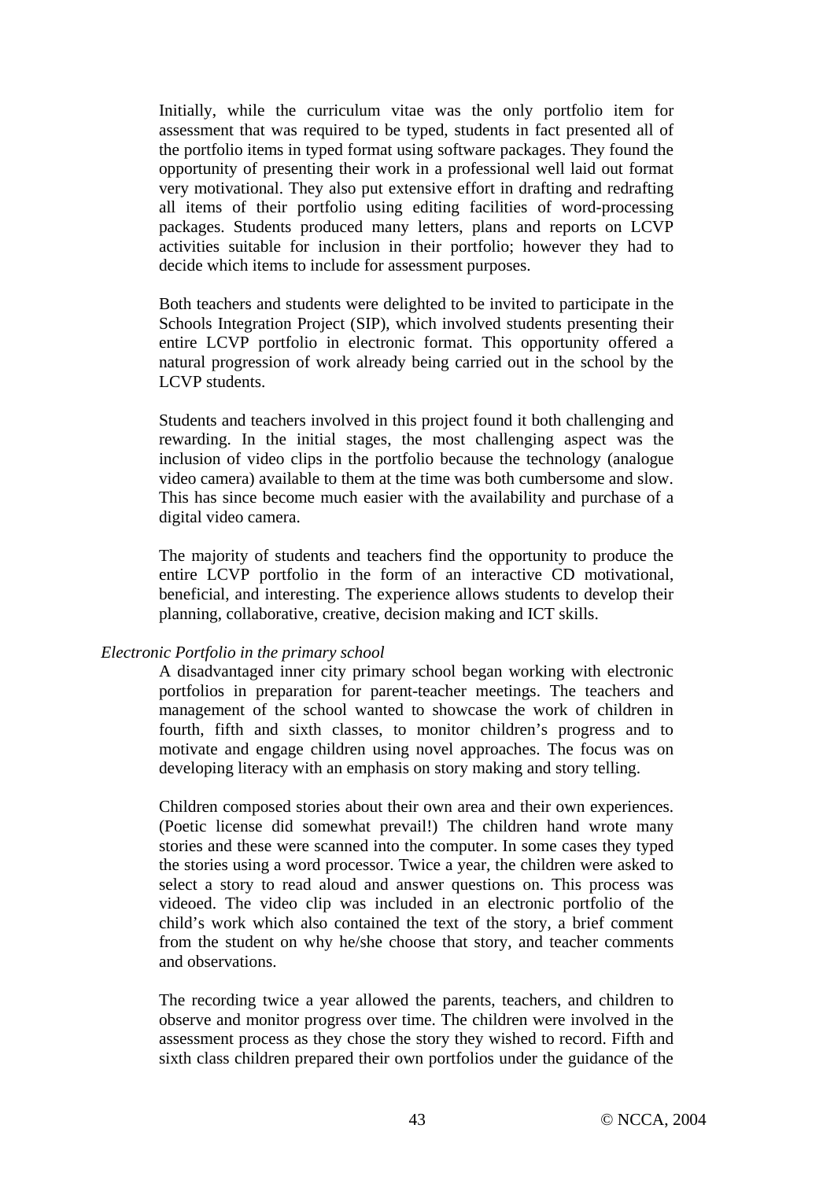Initially, while the curriculum vitae was the only portfolio item for assessment that was required to be typed, students in fact presented all of the portfolio items in typed format using software packages. They found the opportunity of presenting their work in a professional well laid out format very motivational. They also put extensive effort in drafting and redrafting all items of their portfolio using editing facilities of word-processing packages. Students produced many letters, plans and reports on LCVP activities suitable for inclusion in their portfolio; however they had to decide which items to include for assessment purposes.

Both teachers and students were delighted to be invited to participate in the Schools Integration Project (SIP), which involved students presenting their entire LCVP portfolio in electronic format. This opportunity offered a natural progression of work already being carried out in the school by the LCVP students.

Students and teachers involved in this project found it both challenging and rewarding. In the initial stages, the most challenging aspect was the inclusion of video clips in the portfolio because the technology (analogue video camera) available to them at the time was both cumbersome and slow. This has since become much easier with the availability and purchase of a digital video camera.

The majority of students and teachers find the opportunity to produce the entire LCVP portfolio in the form of an interactive CD motivational, beneficial, and interesting. The experience allows students to develop their planning, collaborative, creative, decision making and ICT skills.

#### *Electronic Portfolio in the primary school*

A disadvantaged inner city primary school began working with electronic portfolios in preparation for parent-teacher meetings. The teachers and management of the school wanted to showcase the work of children in fourth, fifth and sixth classes, to monitor children's progress and to motivate and engage children using novel approaches. The focus was on developing literacy with an emphasis on story making and story telling.

Children composed stories about their own area and their own experiences. (Poetic license did somewhat prevail!) The children hand wrote many stories and these were scanned into the computer. In some cases they typed the stories using a word processor. Twice a year, the children were asked to select a story to read aloud and answer questions on. This process was videoed. The video clip was included in an electronic portfolio of the child's work which also contained the text of the story, a brief comment from the student on why he/she choose that story, and teacher comments and observations.

The recording twice a year allowed the parents, teachers, and children to observe and monitor progress over time. The children were involved in the assessment process as they chose the story they wished to record. Fifth and sixth class children prepared their own portfolios under the guidance of the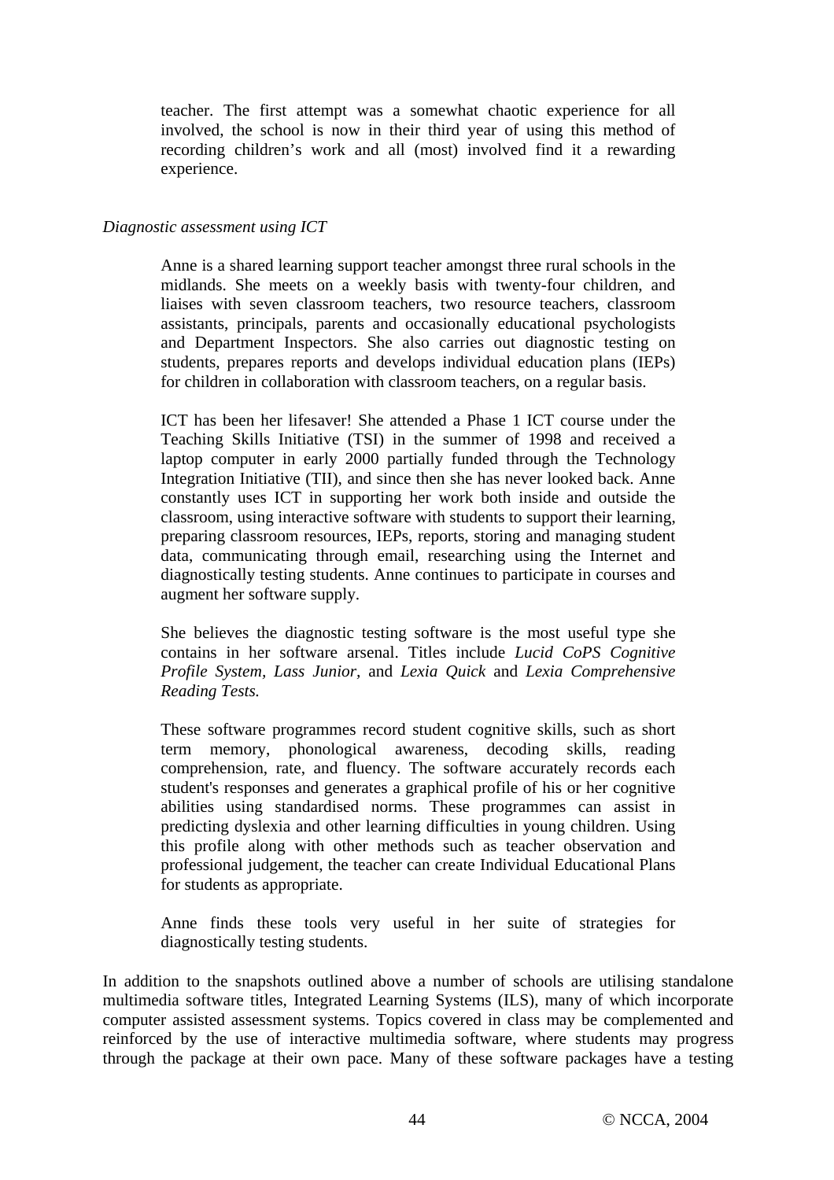teacher. The first attempt was a somewhat chaotic experience for all involved, the school is now in their third year of using this method of recording children's work and all (most) involved find it a rewarding experience.

#### *Diagnostic assessment using ICT*

Anne is a shared learning support teacher amongst three rural schools in the midlands. She meets on a weekly basis with twenty-four children, and liaises with seven classroom teachers, two resource teachers, classroom assistants, principals, parents and occasionally educational psychologists and Department Inspectors. She also carries out diagnostic testing on students, prepares reports and develops individual education plans (IEPs) for children in collaboration with classroom teachers, on a regular basis.

ICT has been her lifesaver! She attended a Phase 1 ICT course under the Teaching Skills Initiative (TSI) in the summer of 1998 and received a laptop computer in early 2000 partially funded through the Technology Integration Initiative (TII), and since then she has never looked back. Anne constantly uses ICT in supporting her work both inside and outside the classroom, using interactive software with students to support their learning, preparing classroom resources, IEPs, reports, storing and managing student data, communicating through email, researching using the Internet and diagnostically testing students. Anne continues to participate in courses and augment her software supply.

She believes the diagnostic testing software is the most useful type she contains in her software arsenal. Titles include *Lucid CoPS Cognitive Profile System, Lass Junior,* and *Lexia Quick* and *Lexia Comprehensive Reading Tests.* 

These software programmes record student cognitive skills, such as short term memory, phonological awareness, decoding skills, reading comprehension, rate, and fluency. The software accurately records each student's responses and generates a graphical profile of his or her cognitive abilities using standardised norms. These programmes can assist in predicting dyslexia and other learning difficulties in young children. Using this profile along with other methods such as teacher observation and professional judgement, the teacher can create Individual Educational Plans for students as appropriate.

Anne finds these tools very useful in her suite of strategies for diagnostically testing students.

In addition to the snapshots outlined above a number of schools are utilising standalone multimedia software titles, Integrated Learning Systems (ILS), many of which incorporate computer assisted assessment systems. Topics covered in class may be complemented and reinforced by the use of interactive multimedia software, where students may progress through the package at their own pace. Many of these software packages have a testing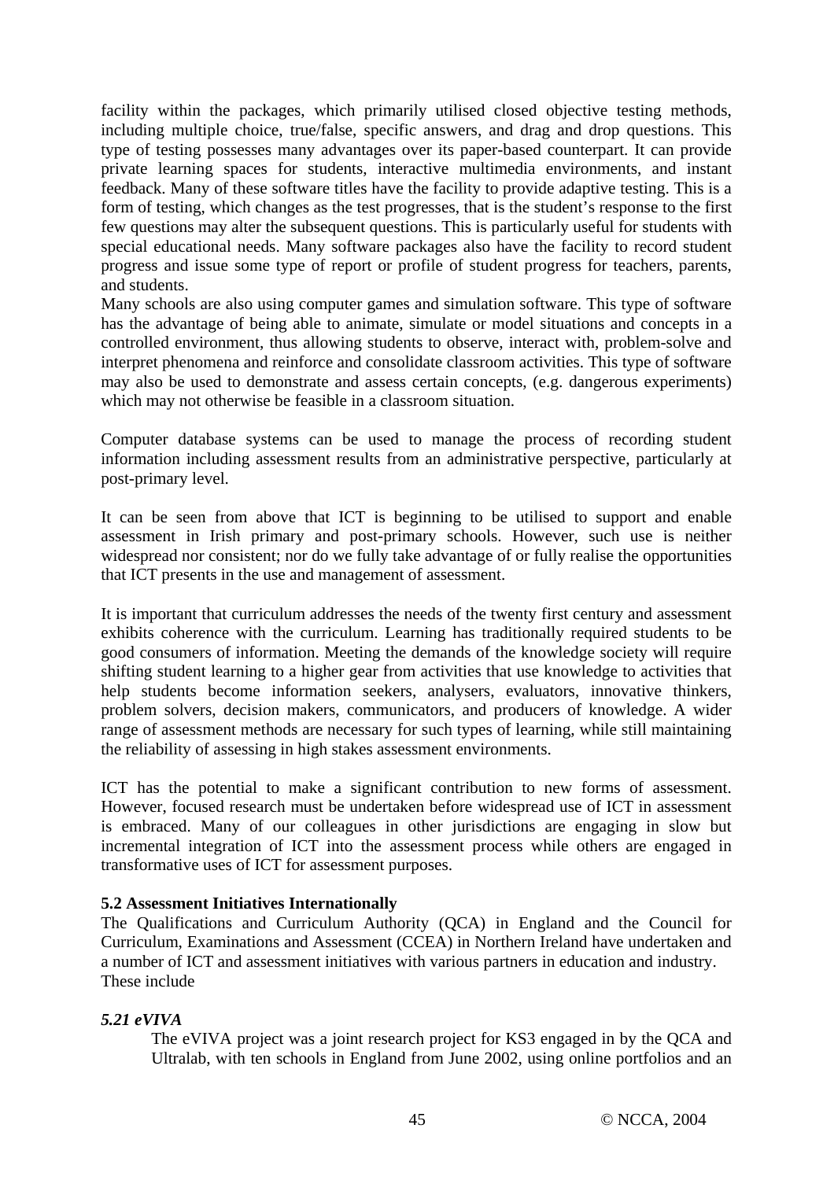facility within the packages, which primarily utilised closed objective testing methods, including multiple choice, true/false, specific answers, and drag and drop questions. This type of testing possesses many advantages over its paper-based counterpart. It can provide private learning spaces for students, interactive multimedia environments, and instant feedback. Many of these software titles have the facility to provide adaptive testing. This is a form of testing, which changes as the test progresses, that is the student's response to the first few questions may alter the subsequent questions. This is particularly useful for students with special educational needs. Many software packages also have the facility to record student progress and issue some type of report or profile of student progress for teachers, parents, and students.

Many schools are also using computer games and simulation software. This type of software has the advantage of being able to animate, simulate or model situations and concepts in a controlled environment, thus allowing students to observe, interact with, problem-solve and interpret phenomena and reinforce and consolidate classroom activities. This type of software may also be used to demonstrate and assess certain concepts, (e.g. dangerous experiments) which may not otherwise be feasible in a classroom situation.

Computer database systems can be used to manage the process of recording student information including assessment results from an administrative perspective, particularly at post-primary level.

It can be seen from above that ICT is beginning to be utilised to support and enable assessment in Irish primary and post-primary schools. However, such use is neither widespread nor consistent; nor do we fully take advantage of or fully realise the opportunities that ICT presents in the use and management of assessment.

It is important that curriculum addresses the needs of the twenty first century and assessment exhibits coherence with the curriculum. Learning has traditionally required students to be good consumers of information. Meeting the demands of the knowledge society will require shifting student learning to a higher gear from activities that use knowledge to activities that help students become information seekers, analysers, evaluators, innovative thinkers, problem solvers, decision makers, communicators, and producers of knowledge. A wider range of assessment methods are necessary for such types of learning, while still maintaining the reliability of assessing in high stakes assessment environments.

ICT has the potential to make a significant contribution to new forms of assessment. However, focused research must be undertaken before widespread use of ICT in assessment is embraced. Many of our colleagues in other jurisdictions are engaging in slow but incremental integration of ICT into the assessment process while others are engaged in transformative uses of ICT for assessment purposes.

## **5.2 Assessment Initiatives Internationally**

The Qualifications and Curriculum Authority (QCA) in England and the Council for Curriculum, Examinations and Assessment (CCEA) in Northern Ireland have undertaken and a number of ICT and assessment initiatives with various partners in education and industry. These include

## *5.21 eVIVA*

The eVIVA project was a joint research project for KS3 engaged in by the QCA and Ultralab, with ten schools in England from June 2002, using online portfolios and an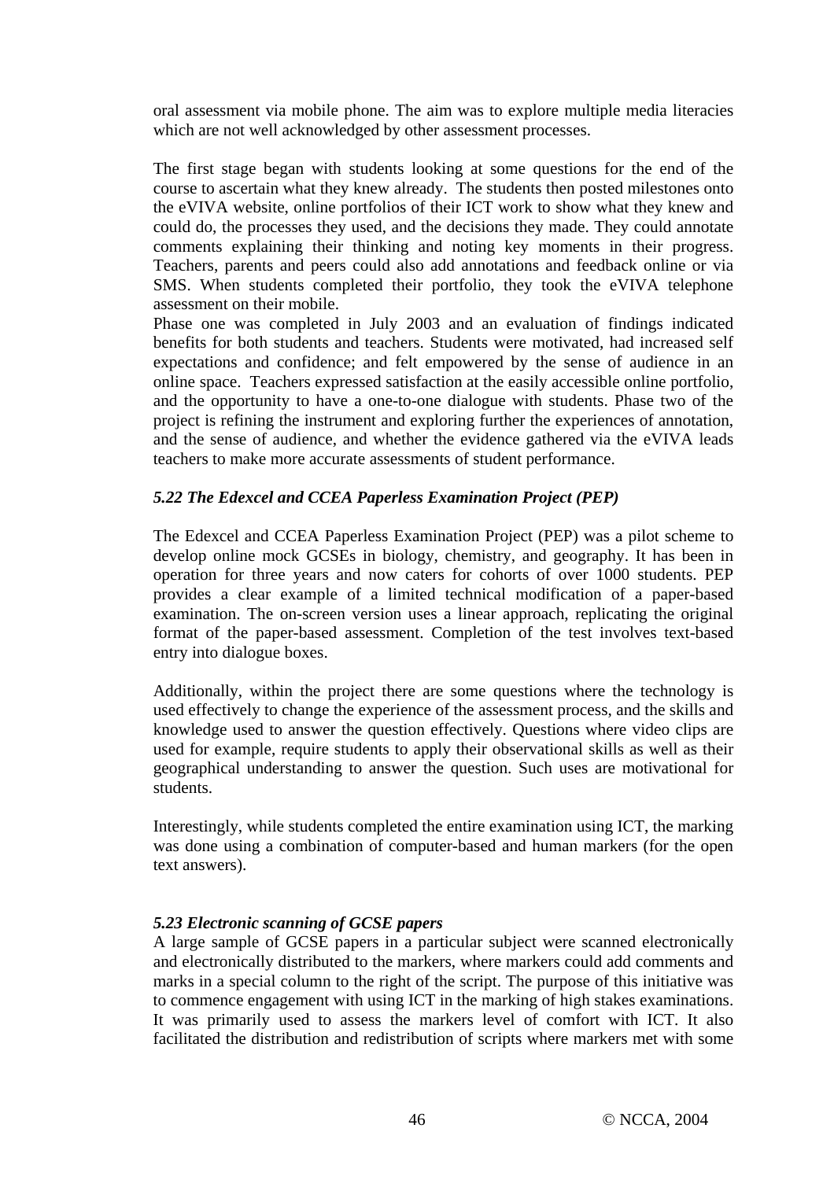oral assessment via mobile phone. The aim was to explore multiple media literacies which are not well acknowledged by other assessment processes.

The first stage began with students looking at some questions for the end of the course to ascertain what they knew already. The students then posted milestones onto the eVIVA website, online portfolios of their ICT work to show what they knew and could do, the processes they used, and the decisions they made. They could annotate comments explaining their thinking and noting key moments in their progress. Teachers, parents and peers could also add annotations and feedback online or via SMS. When students completed their portfolio, they took the eVIVA telephone assessment on their mobile.

Phase one was completed in July 2003 and an evaluation of findings indicated benefits for both students and teachers. Students were motivated, had increased self expectations and confidence; and felt empowered by the sense of audience in an online space. Teachers expressed satisfaction at the easily accessible online portfolio, and the opportunity to have a one-to-one dialogue with students. Phase two of the project is refining the instrument and exploring further the experiences of annotation, and the sense of audience, and whether the evidence gathered via the eVIVA leads teachers to make more accurate assessments of student performance.

## *5.22 The Edexcel and CCEA Paperless Examination Project (PEP)*

The Edexcel and CCEA Paperless Examination Project (PEP) was a pilot scheme to develop online mock GCSEs in biology, chemistry, and geography. It has been in operation for three years and now caters for cohorts of over 1000 students. PEP provides a clear example of a limited technical modification of a paper-based examination. The on-screen version uses a linear approach, replicating the original format of the paper-based assessment. Completion of the test involves text-based entry into dialogue boxes.

Additionally, within the project there are some questions where the technology is used effectively to change the experience of the assessment process, and the skills and knowledge used to answer the question effectively. Questions where video clips are used for example, require students to apply their observational skills as well as their geographical understanding to answer the question. Such uses are motivational for students.

Interestingly, while students completed the entire examination using ICT, the marking was done using a combination of computer-based and human markers (for the open text answers).

## *5.23 Electronic scanning of GCSE papers*

A large sample of GCSE papers in a particular subject were scanned electronically and electronically distributed to the markers, where markers could add comments and marks in a special column to the right of the script. The purpose of this initiative was to commence engagement with using ICT in the marking of high stakes examinations. It was primarily used to assess the markers level of comfort with ICT. It also facilitated the distribution and redistribution of scripts where markers met with some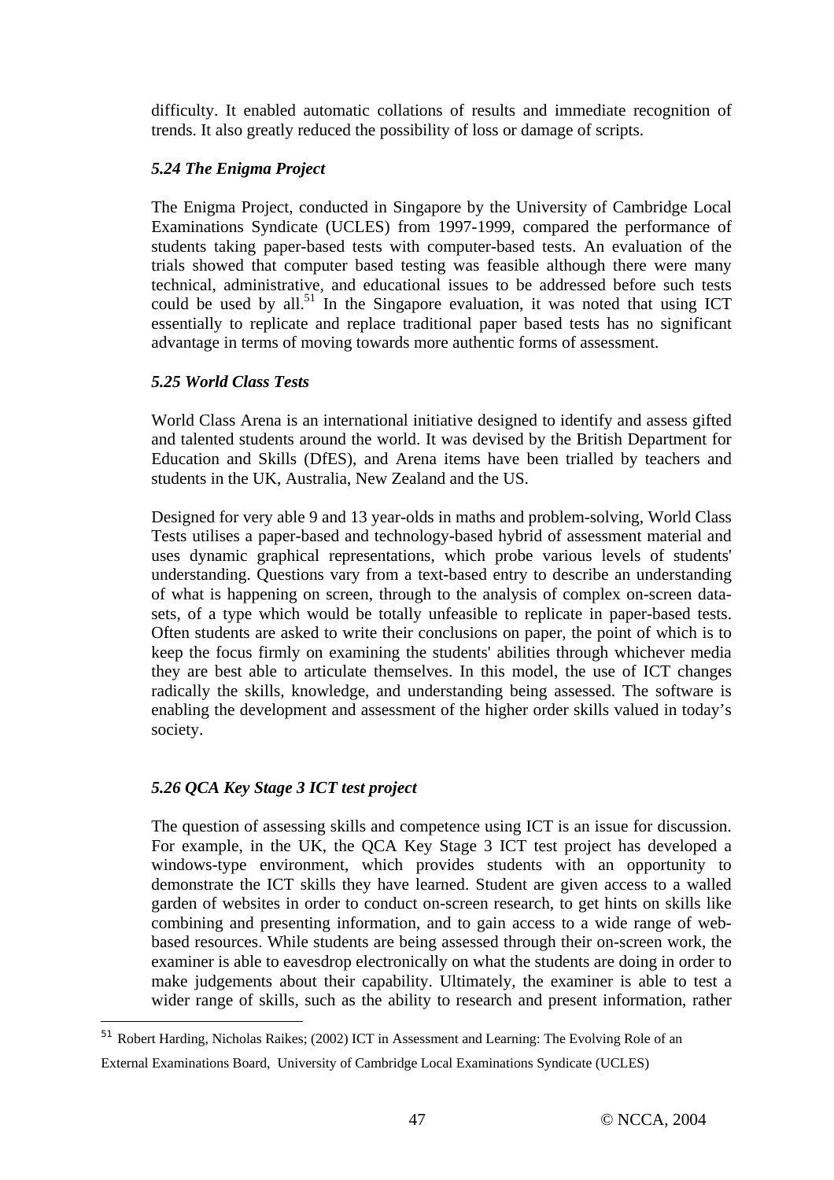difficulty. It enabled automatic collations of results and immediate recognition of trends. It also greatly reduced the possibility of loss or damage of scripts.

## *5.24 The Enigma Project*

The Enigma Project, conducted in Singapore by the University of Cambridge Local Examinations Syndicate (UCLES) from 1997-1999, compared the performance of students taking paper-based tests with computer-based tests. An evaluation of the trials showed that computer based testing was feasible although there were many technical, administrative, and educational issues to be addressed before such tests could be used by all.<sup>51</sup> In the Singapore evaluation, it was noted that using ICT essentially to replicate and replace traditional paper based tests has no significant advantage in terms of moving towards more authentic forms of assessment.

## *5.25 World Class Tests*

World Class Arena is an international initiative designed to identify and assess gifted and talented students around the world. It was devised by the British Department for Education and Skills (DfES), and Arena items have been trialled by teachers and students in the UK, Australia, New Zealand and the US.

Designed for very able 9 and 13 year-olds in maths and problem-solving, World Class Tests utilises a paper-based and technology-based hybrid of assessment material and uses dynamic graphical representations, which probe various levels of students' understanding. Questions vary from a text-based entry to describe an understanding of what is happening on screen, through to the analysis of complex on-screen datasets, of a type which would be totally unfeasible to replicate in paper-based tests. Often students are asked to write their conclusions on paper, the point of which is to keep the focus firmly on examining the students' abilities through whichever media they are best able to articulate themselves. In this model, the use of ICT changes radically the skills, knowledge, and understanding being assessed. The software is enabling the development and assessment of the higher order skills valued in today's society.

## *5.26 QCA Key Stage 3 ICT test project*

 $\overline{a}$ 

The question of assessing skills and competence using ICT is an issue for discussion. For example, in the UK, the QCA Key Stage 3 ICT test project has developed a windows-type environment, which provides students with an opportunity to demonstrate the ICT skills they have learned. Student are given access to a walled garden of websites in order to conduct on-screen research, to get hints on skills like combining and presenting information, and to gain access to a wide range of webbased resources. While students are being assessed through their on-screen work, the examiner is able to eavesdrop electronically on what the students are doing in order to make judgements about their capability. Ultimately, the examiner is able to test a wider range of skills, such as the ability to research and present information, rather

<sup>51</sup> Robert Harding, Nicholas Raikes; (2002) ICT in Assessment and Learning: The Evolving Role of an

External Examinations Board, University of Cambridge Local Examinations Syndicate (UCLES)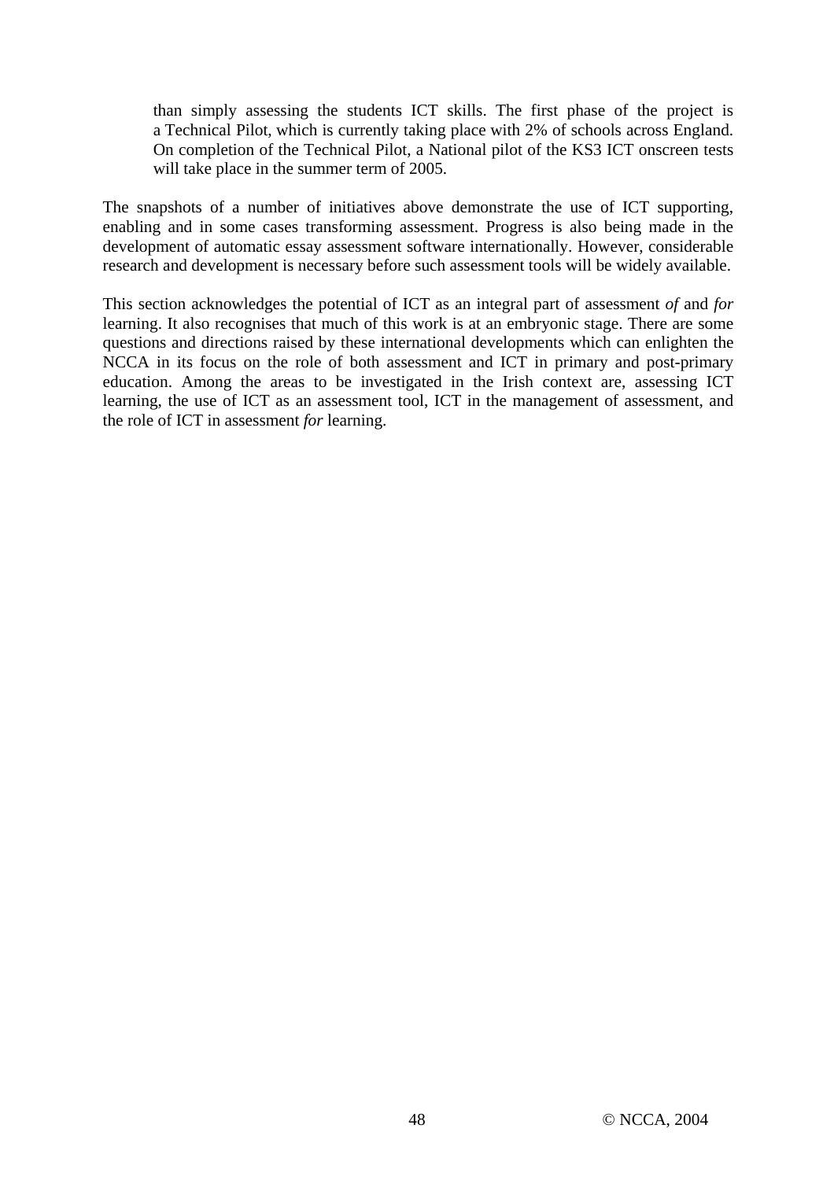than simply assessing the students ICT skills. The first phase of the project is a Technical Pilot, which is currently taking place with 2% of schools across England. On completion of the Technical Pilot, a National pilot of the KS3 ICT onscreen tests will take place in the summer term of 2005.

The snapshots of a number of initiatives above demonstrate the use of ICT supporting, enabling and in some cases transforming assessment. Progress is also being made in the development of automatic essay assessment software internationally. However, considerable research and development is necessary before such assessment tools will be widely available.

This section acknowledges the potential of ICT as an integral part of assessment *of* and *for* learning. It also recognises that much of this work is at an embryonic stage. There are some questions and directions raised by these international developments which can enlighten the NCCA in its focus on the role of both assessment and ICT in primary and post-primary education. Among the areas to be investigated in the Irish context are, assessing ICT learning, the use of ICT as an assessment tool, ICT in the management of assessment, and the role of ICT in assessment *for* learning.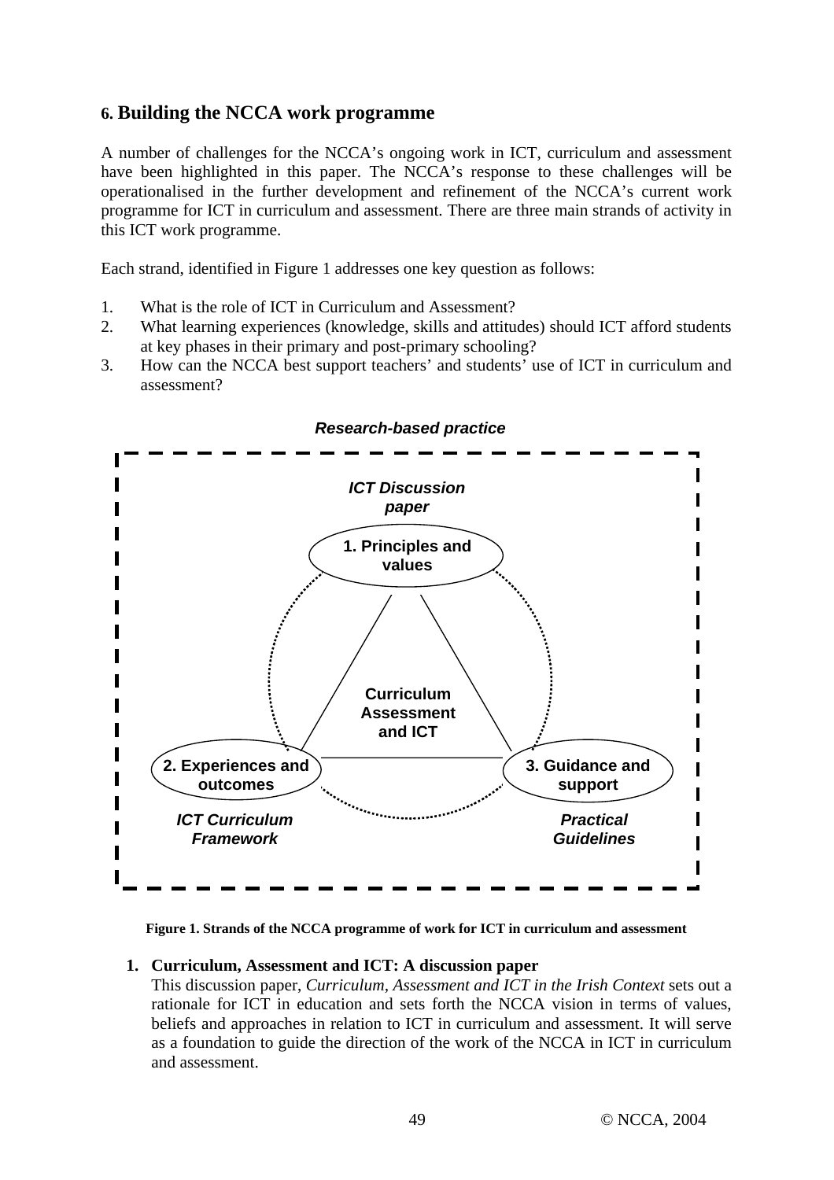## **6. Building the NCCA work programme**

A number of challenges for the NCCA's ongoing work in ICT, curriculum and assessment have been highlighted in this paper. The NCCA's response to these challenges will be operationalised in the further development and refinement of the NCCA's current work programme for ICT in curriculum and assessment. There are three main strands of activity in this ICT work programme.

Each strand, identified in Figure 1 addresses one key question as follows:

- 1. What is the role of ICT in Curriculum and Assessment?
- 2. What learning experiences (knowledge, skills and attitudes) should ICT afford students at key phases in their primary and post-primary schooling?
- 3. How can the NCCA best support teachers' and students' use of ICT in curriculum and assessment?



*Research-based practice* 

**Figure 1. Strands of the NCCA programme of work for ICT in curriculum and assessment**

#### **1. Curriculum, Assessment and ICT: A discussion paper**

This discussion paper, *Curriculum, Assessment and ICT in the Irish Context* sets out a rationale for ICT in education and sets forth the NCCA vision in terms of values, beliefs and approaches in relation to ICT in curriculum and assessment. It will serve as a foundation to guide the direction of the work of the NCCA in ICT in curriculum and assessment.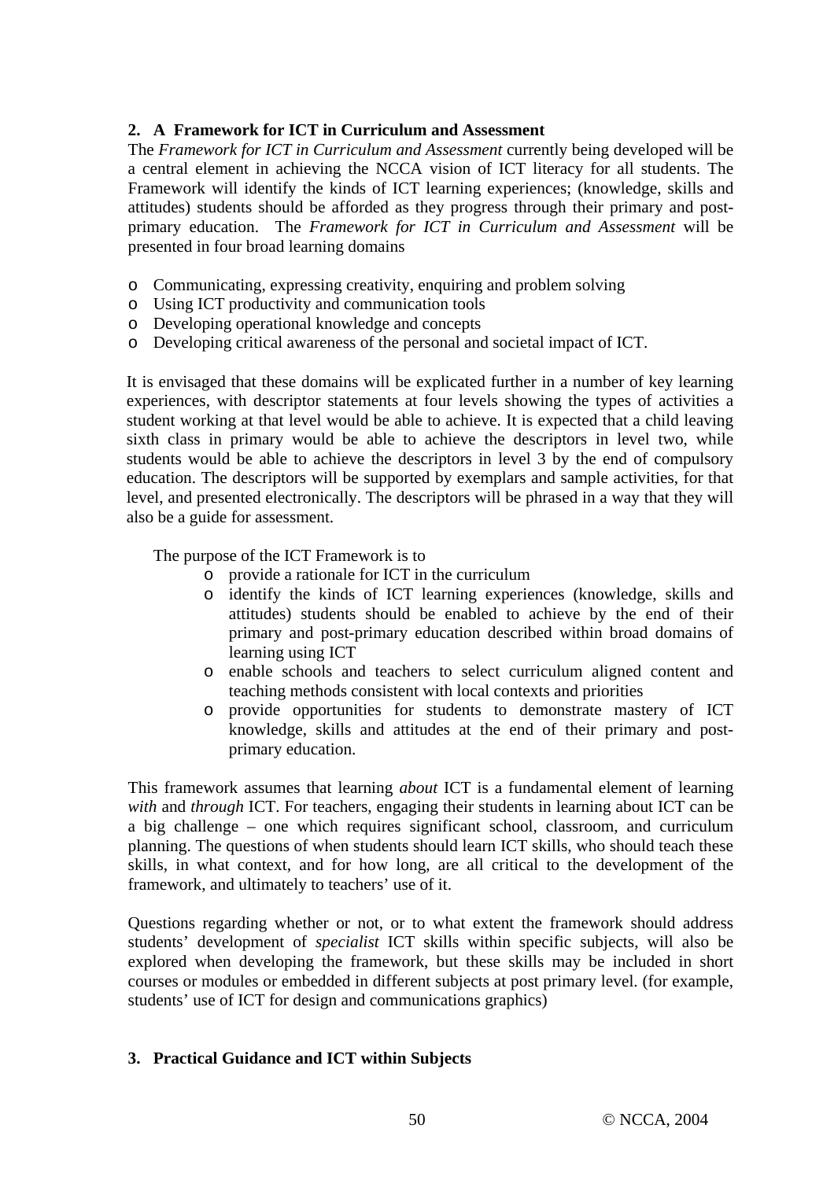## **2. A Framework for ICT in Curriculum and Assessment**

The *Framework for ICT in Curriculum and Assessment* currently being developed will be a central element in achieving the NCCA vision of ICT literacy for all students. The Framework will identify the kinds of ICT learning experiences; (knowledge, skills and attitudes) students should be afforded as they progress through their primary and postprimary education. The *Framework for ICT in Curriculum and Assessment* will be presented in four broad learning domains

- o Communicating, expressing creativity, enquiring and problem solving
- o Using ICT productivity and communication tools
- o Developing operational knowledge and concepts
- o Developing critical awareness of the personal and societal impact of ICT.

It is envisaged that these domains will be explicated further in a number of key learning experiences, with descriptor statements at four levels showing the types of activities a student working at that level would be able to achieve. It is expected that a child leaving sixth class in primary would be able to achieve the descriptors in level two, while students would be able to achieve the descriptors in level 3 by the end of compulsory education. The descriptors will be supported by exemplars and sample activities, for that level, and presented electronically. The descriptors will be phrased in a way that they will also be a guide for assessment.

The purpose of the ICT Framework is to

- o provide a rationale for ICT in the curriculum
- o identify the kinds of ICT learning experiences (knowledge, skills and attitudes) students should be enabled to achieve by the end of their primary and post-primary education described within broad domains of learning using ICT
- o enable schools and teachers to select curriculum aligned content and teaching methods consistent with local contexts and priorities
- o provide opportunities for students to demonstrate mastery of ICT knowledge, skills and attitudes at the end of their primary and postprimary education.

This framework assumes that learning *about* ICT is a fundamental element of learning *with* and *through* ICT. For teachers, engaging their students in learning about ICT can be a big challenge – one which requires significant school, classroom, and curriculum planning. The questions of when students should learn ICT skills, who should teach these skills, in what context, and for how long, are all critical to the development of the framework, and ultimately to teachers' use of it.

Questions regarding whether or not, or to what extent the framework should address students' development of *specialist* ICT skills within specific subjects, will also be explored when developing the framework, but these skills may be included in short courses or modules or embedded in different subjects at post primary level. (for example, students' use of ICT for design and communications graphics)

## **3. Practical Guidance and ICT within Subjects**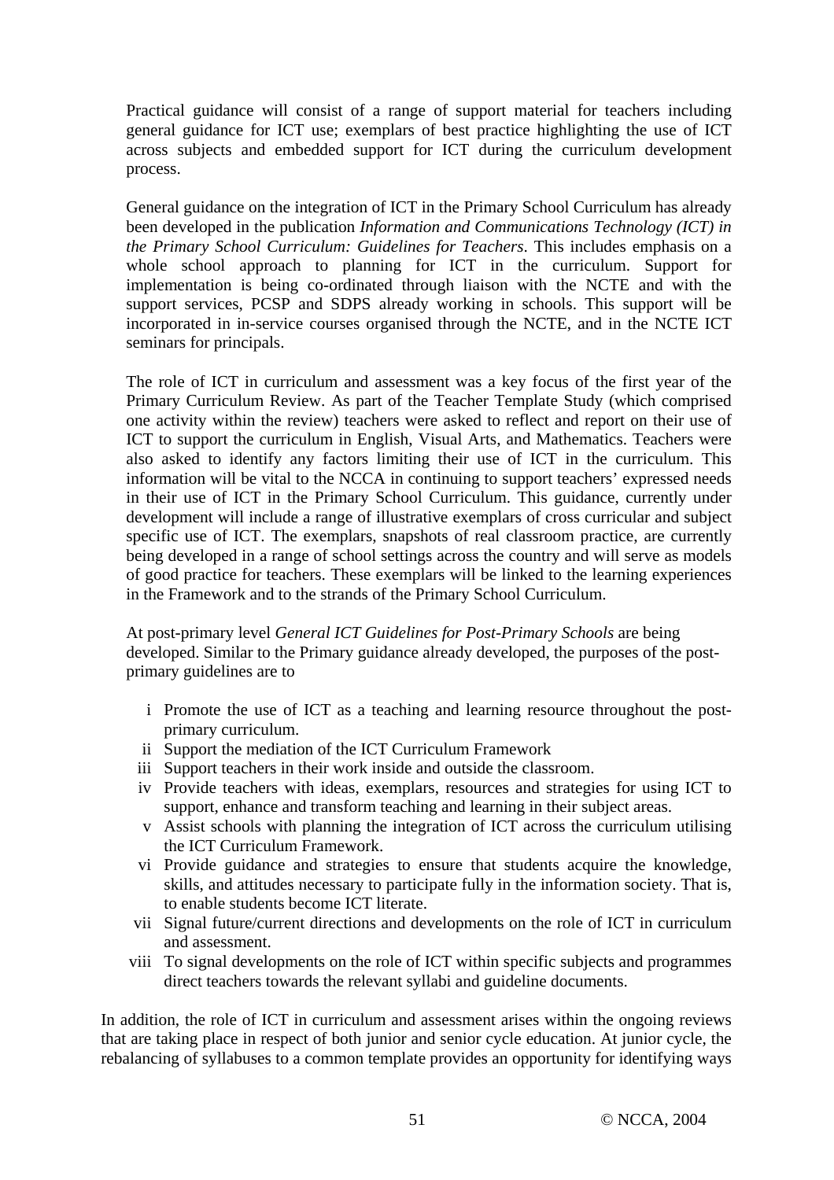Practical guidance will consist of a range of support material for teachers including general guidance for ICT use; exemplars of best practice highlighting the use of ICT across subjects and embedded support for ICT during the curriculum development process.

General guidance on the integration of ICT in the Primary School Curriculum has already been developed in the publication *Information and Communications Technology (ICT) in the Primary School Curriculum: Guidelines for Teachers*. This includes emphasis on a whole school approach to planning for ICT in the curriculum. Support for implementation is being co-ordinated through liaison with the NCTE and with the support services, PCSP and SDPS already working in schools. This support will be incorporated in in-service courses organised through the NCTE, and in the NCTE ICT seminars for principals.

The role of ICT in curriculum and assessment was a key focus of the first year of the Primary Curriculum Review. As part of the Teacher Template Study (which comprised one activity within the review) teachers were asked to reflect and report on their use of ICT to support the curriculum in English, Visual Arts, and Mathematics. Teachers were also asked to identify any factors limiting their use of ICT in the curriculum. This information will be vital to the NCCA in continuing to support teachers' expressed needs in their use of ICT in the Primary School Curriculum. This guidance, currently under development will include a range of illustrative exemplars of cross curricular and subject specific use of ICT. The exemplars, snapshots of real classroom practice, are currently being developed in a range of school settings across the country and will serve as models of good practice for teachers. These exemplars will be linked to the learning experiences in the Framework and to the strands of the Primary School Curriculum.

At post-primary level *General ICT Guidelines for Post-Primary Schools* are being developed. Similar to the Primary guidance already developed, the purposes of the postprimary guidelines are to

- i Promote the use of ICT as a teaching and learning resource throughout the postprimary curriculum.
- ii Support the mediation of the ICT Curriculum Framework
- iii Support teachers in their work inside and outside the classroom.
- iv Provide teachers with ideas, exemplars, resources and strategies for using ICT to support, enhance and transform teaching and learning in their subject areas.
- v Assist schools with planning the integration of ICT across the curriculum utilising the ICT Curriculum Framework.
- vi Provide guidance and strategies to ensure that students acquire the knowledge, skills, and attitudes necessary to participate fully in the information society. That is, to enable students become ICT literate.
- vii Signal future/current directions and developments on the role of ICT in curriculum and assessment.
- viii To signal developments on the role of ICT within specific subjects and programmes direct teachers towards the relevant syllabi and guideline documents.

In addition, the role of ICT in curriculum and assessment arises within the ongoing reviews that are taking place in respect of both junior and senior cycle education. At junior cycle, the rebalancing of syllabuses to a common template provides an opportunity for identifying ways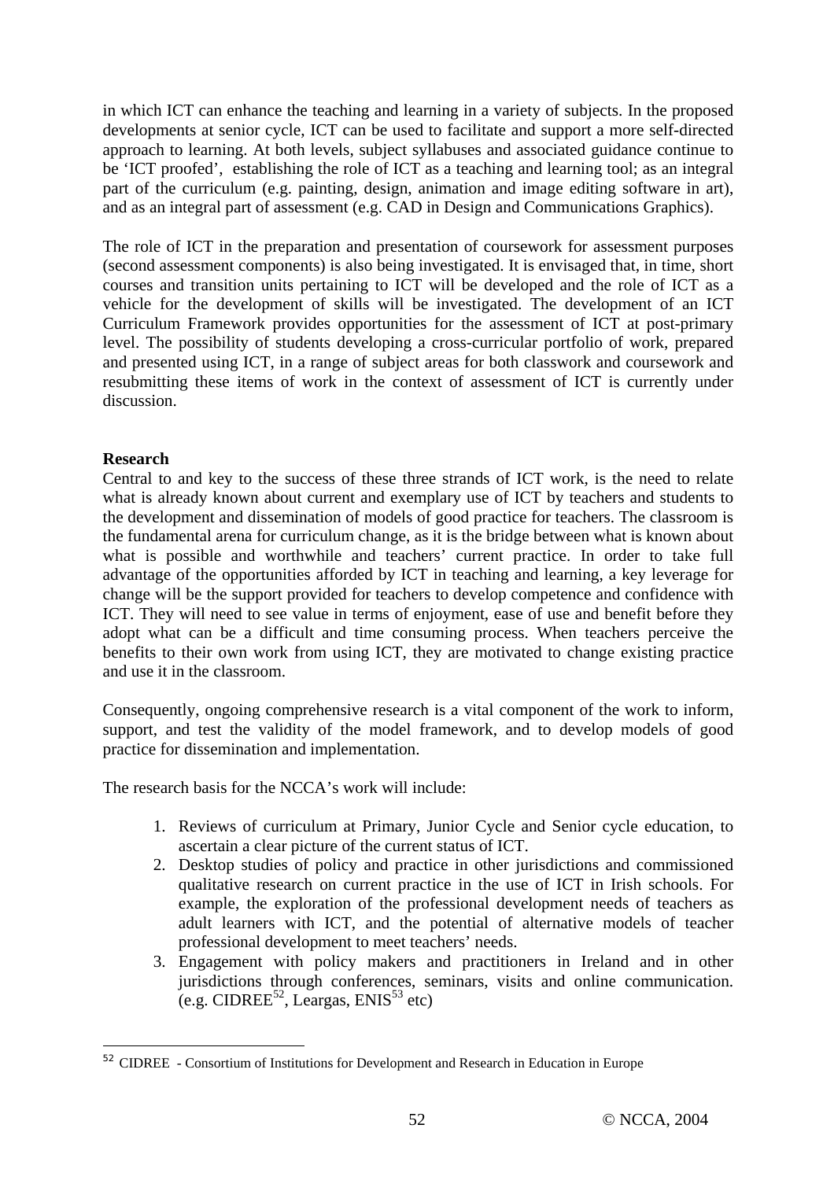in which ICT can enhance the teaching and learning in a variety of subjects. In the proposed developments at senior cycle, ICT can be used to facilitate and support a more self-directed approach to learning. At both levels, subject syllabuses and associated guidance continue to be 'ICT proofed', establishing the role of ICT as a teaching and learning tool; as an integral part of the curriculum (e.g. painting, design, animation and image editing software in art), and as an integral part of assessment (e.g. CAD in Design and Communications Graphics).

The role of ICT in the preparation and presentation of coursework for assessment purposes (second assessment components) is also being investigated. It is envisaged that, in time, short courses and transition units pertaining to ICT will be developed and the role of ICT as a vehicle for the development of skills will be investigated. The development of an ICT Curriculum Framework provides opportunities for the assessment of ICT at post-primary level. The possibility of students developing a cross-curricular portfolio of work, prepared and presented using ICT, in a range of subject areas for both classwork and coursework and resubmitting these items of work in the context of assessment of ICT is currently under discussion.

## **Research**

 $\overline{a}$ 

Central to and key to the success of these three strands of ICT work, is the need to relate what is already known about current and exemplary use of ICT by teachers and students to the development and dissemination of models of good practice for teachers. The classroom is the fundamental arena for curriculum change, as it is the bridge between what is known about what is possible and worthwhile and teachers' current practice. In order to take full advantage of the opportunities afforded by ICT in teaching and learning, a key leverage for change will be the support provided for teachers to develop competence and confidence with ICT. They will need to see value in terms of enjoyment, ease of use and benefit before they adopt what can be a difficult and time consuming process. When teachers perceive the benefits to their own work from using ICT, they are motivated to change existing practice and use it in the classroom.

Consequently, ongoing comprehensive research is a vital component of the work to inform, support, and test the validity of the model framework, and to develop models of good practice for dissemination and implementation.

The research basis for the NCCA's work will include:

- 1. Reviews of curriculum at Primary, Junior Cycle and Senior cycle education, to ascertain a clear picture of the current status of ICT.
- 2. Desktop studies of policy and practice in other jurisdictions and commissioned qualitative research on current practice in the use of ICT in Irish schools. For example, the exploration of the professional development needs of teachers as adult learners with ICT, and the potential of alternative models of teacher professional development to meet teachers' needs.
- 3. Engagement with policy makers and practitioners in Ireland and in other jurisdictions through conferences, seminars, visits and online communication.  $(e.g. \text{CIDREE}^{52}, \text{Leargas}, \text{ENIS}^{53} \text{ etc})$

<sup>52</sup> CIDREE - Consortium of Institutions for Development and Research in Education in Europe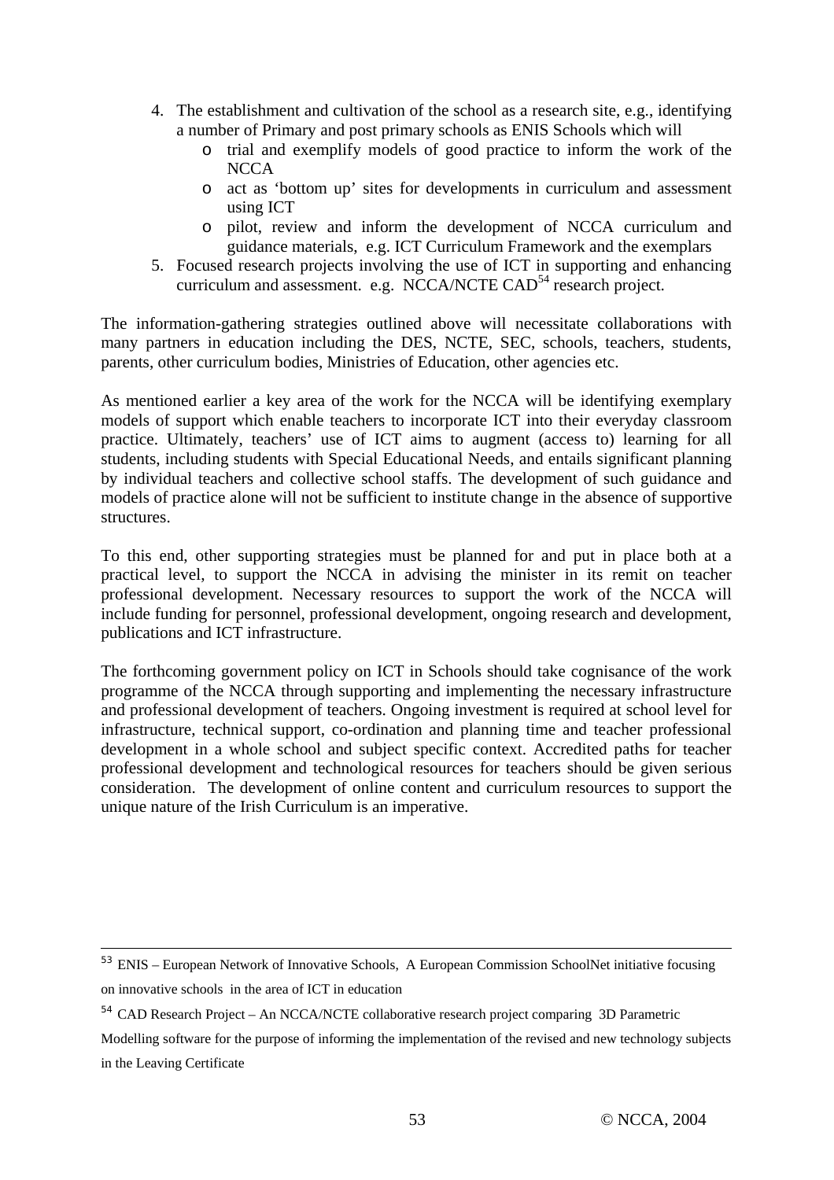- 4. The establishment and cultivation of the school as a research site, e.g., identifying a number of Primary and post primary schools as ENIS Schools which will
	- o trial and exemplify models of good practice to inform the work of the **NCCA**
	- o act as 'bottom up' sites for developments in curriculum and assessment using ICT
	- o pilot, review and inform the development of NCCA curriculum and guidance materials, e.g. ICT Curriculum Framework and the exemplars
- 5. Focused research projects involving the use of ICT in supporting and enhancing curriculum and assessment. e.g. NCCA/NCTE  $CAD<sup>54</sup>$  research project.

The information-gathering strategies outlined above will necessitate collaborations with many partners in education including the DES, NCTE, SEC, schools, teachers, students, parents, other curriculum bodies, Ministries of Education, other agencies etc.

As mentioned earlier a key area of the work for the NCCA will be identifying exemplary models of support which enable teachers to incorporate ICT into their everyday classroom practice. Ultimately, teachers' use of ICT aims to augment (access to) learning for all students, including students with Special Educational Needs, and entails significant planning by individual teachers and collective school staffs. The development of such guidance and models of practice alone will not be sufficient to institute change in the absence of supportive structures.

To this end, other supporting strategies must be planned for and put in place both at a practical level, to support the NCCA in advising the minister in its remit on teacher professional development. Necessary resources to support the work of the NCCA will include funding for personnel, professional development, ongoing research and development, publications and ICT infrastructure.

The forthcoming government policy on ICT in Schools should take cognisance of the work programme of the NCCA through supporting and implementing the necessary infrastructure and professional development of teachers. Ongoing investment is required at school level for infrastructure, technical support, co-ordination and planning time and teacher professional development in a whole school and subject specific context. Accredited paths for teacher professional development and technological resources for teachers should be given serious consideration. The development of online content and curriculum resources to support the unique nature of the Irish Curriculum is an imperative.

 $\overline{a}$ 

<sup>53</sup> ENIS – European Network of Innovative Schools, A European Commission SchoolNet initiative focusing on innovative schools in the area of ICT in education

<sup>54</sup> CAD Research Project – An NCCA/NCTE collaborative research project comparing 3D Parametric

Modelling software for the purpose of informing the implementation of the revised and new technology subjects in the Leaving Certificate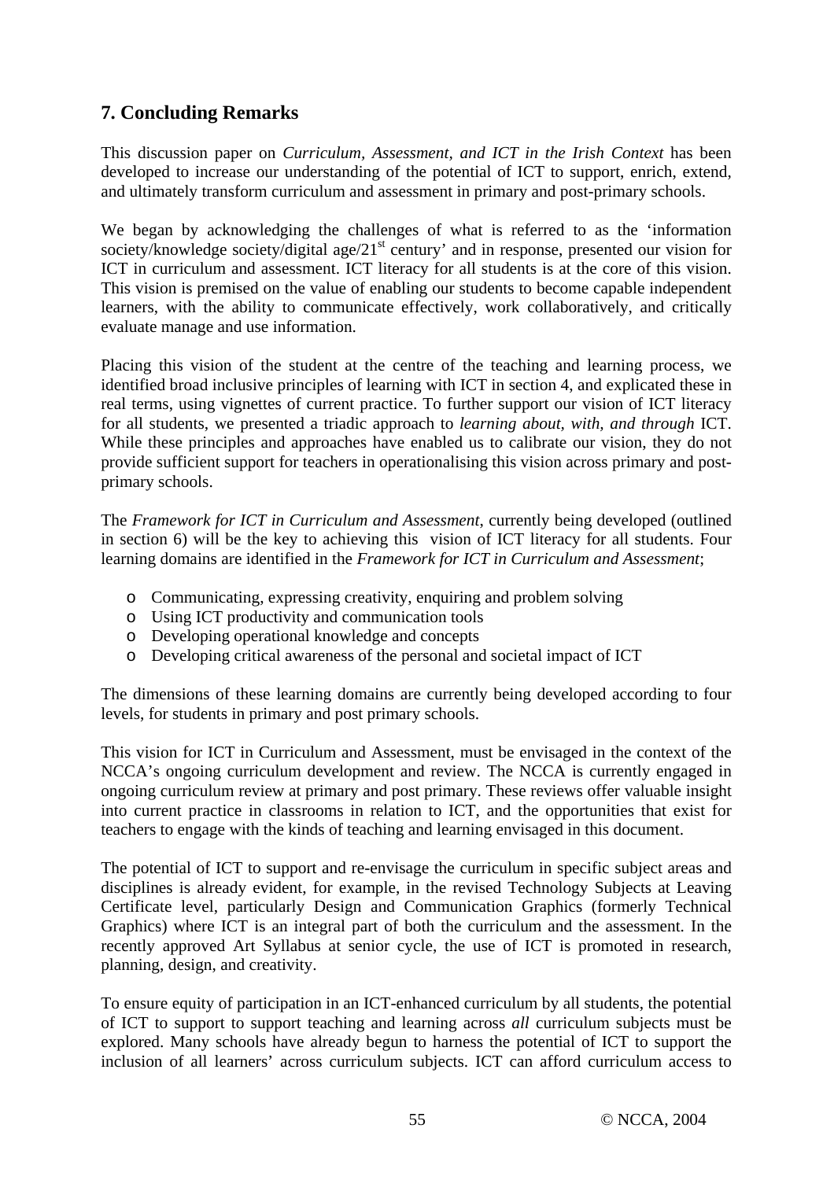# **7. Concluding Remarks**

This discussion paper on *Curriculum, Assessment, and ICT in the Irish Context* has been developed to increase our understanding of the potential of ICT to support, enrich, extend, and ultimately transform curriculum and assessment in primary and post-primary schools.

We began by acknowledging the challenges of what is referred to as the 'information society/knowledge society/digital age/ $21<sup>st</sup>$  century' and in response, presented our vision for ICT in curriculum and assessment. ICT literacy for all students is at the core of this vision. This vision is premised on the value of enabling our students to become capable independent learners, with the ability to communicate effectively, work collaboratively, and critically evaluate manage and use information.

Placing this vision of the student at the centre of the teaching and learning process, we identified broad inclusive principles of learning with ICT in section 4, and explicated these in real terms, using vignettes of current practice. To further support our vision of ICT literacy for all students, we presented a triadic approach to *learning about, with, and through* ICT. While these principles and approaches have enabled us to calibrate our vision, they do not provide sufficient support for teachers in operationalising this vision across primary and postprimary schools.

The *Framework for ICT in Curriculum and Assessment*, currently being developed (outlined in section 6) will be the key to achieving this vision of ICT literacy for all students. Four learning domains are identified in the *Framework for ICT in Curriculum and Assessment*;

- o Communicating, expressing creativity, enquiring and problem solving
- o Using ICT productivity and communication tools
- o Developing operational knowledge and concepts
- o Developing critical awareness of the personal and societal impact of ICT

The dimensions of these learning domains are currently being developed according to four levels, for students in primary and post primary schools.

This vision for ICT in Curriculum and Assessment, must be envisaged in the context of the NCCA's ongoing curriculum development and review. The NCCA is currently engaged in ongoing curriculum review at primary and post primary. These reviews offer valuable insight into current practice in classrooms in relation to ICT, and the opportunities that exist for teachers to engage with the kinds of teaching and learning envisaged in this document.

The potential of ICT to support and re-envisage the curriculum in specific subject areas and disciplines is already evident, for example, in the revised Technology Subjects at Leaving Certificate level, particularly Design and Communication Graphics (formerly Technical Graphics) where ICT is an integral part of both the curriculum and the assessment. In the recently approved Art Syllabus at senior cycle, the use of ICT is promoted in research, planning, design, and creativity.

To ensure equity of participation in an ICT-enhanced curriculum by all students, the potential of ICT to support to support teaching and learning across *all* curriculum subjects must be explored. Many schools have already begun to harness the potential of ICT to support the inclusion of all learners' across curriculum subjects. ICT can afford curriculum access to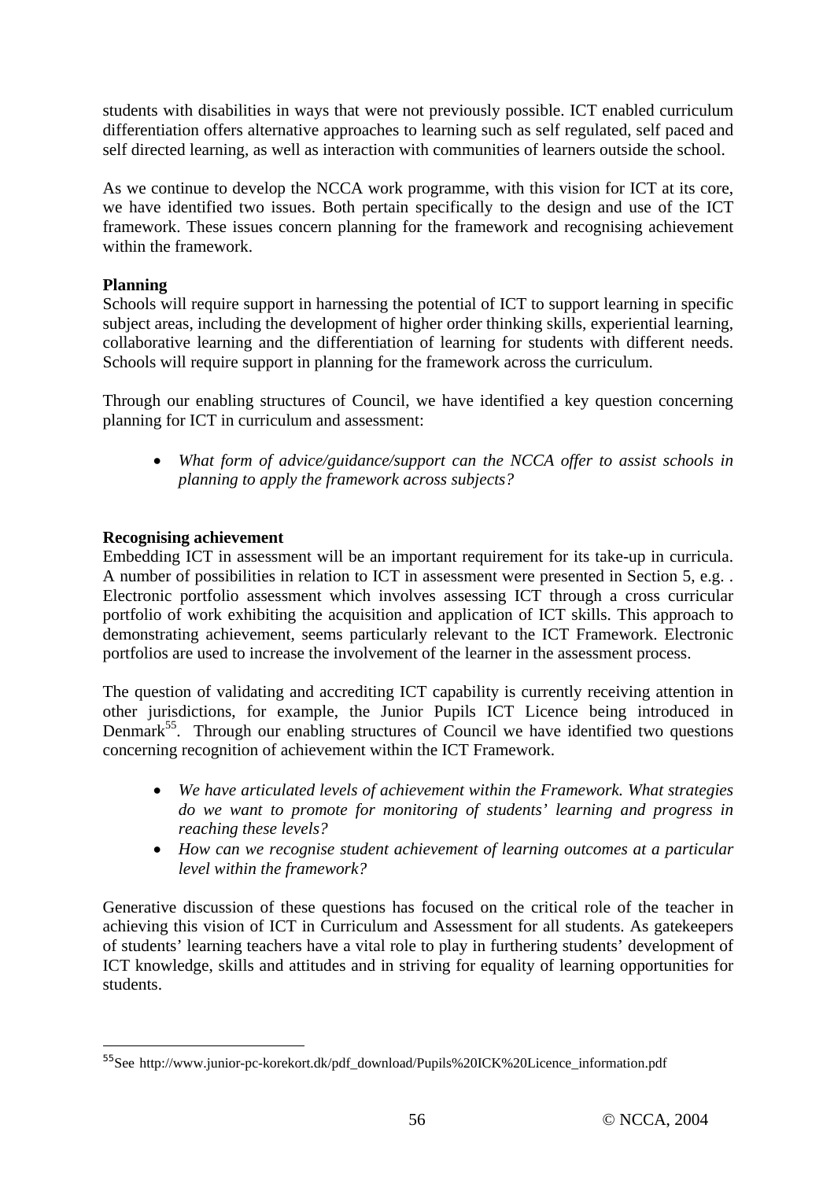students with disabilities in ways that were not previously possible. ICT enabled curriculum differentiation offers alternative approaches to learning such as self regulated, self paced and self directed learning, as well as interaction with communities of learners outside the school.

As we continue to develop the NCCA work programme, with this vision for ICT at its core, we have identified two issues. Both pertain specifically to the design and use of the ICT framework. These issues concern planning for the framework and recognising achievement within the framework.

## **Planning**

 $\overline{a}$ 

Schools will require support in harnessing the potential of ICT to support learning in specific subject areas, including the development of higher order thinking skills, experiential learning, collaborative learning and the differentiation of learning for students with different needs. Schools will require support in planning for the framework across the curriculum.

Through our enabling structures of Council, we have identified a key question concerning planning for ICT in curriculum and assessment:

• *What form of advice/guidance/support can the NCCA offer to assist schools in planning to apply the framework across subjects?* 

## **Recognising achievement**

Embedding ICT in assessment will be an important requirement for its take-up in curricula. A number of possibilities in relation to ICT in assessment were presented in Section 5, e.g. . Electronic portfolio assessment which involves assessing ICT through a cross curricular portfolio of work exhibiting the acquisition and application of ICT skills. This approach to demonstrating achievement, seems particularly relevant to the ICT Framework. Electronic portfolios are used to increase the involvement of the learner in the assessment process.

The question of validating and accrediting ICT capability is currently receiving attention in other jurisdictions, for example, the Junior Pupils ICT Licence being introduced in Denmark<sup>55</sup>. Through our enabling structures of Council we have identified two questions concerning recognition of achievement within the ICT Framework.

- *We have articulated levels of achievement within the Framework. What strategies do we want to promote for monitoring of students' learning and progress in reaching these levels?*
- *How can we recognise student achievement of learning outcomes at a particular level within the framework?*

Generative discussion of these questions has focused on the critical role of the teacher in achieving this vision of ICT in Curriculum and Assessment for all students. As gatekeepers of students' learning teachers have a vital role to play in furthering students' development of ICT knowledge, skills and attitudes and in striving for equality of learning opportunities for students.

<sup>55</sup>See http://www.junior-pc-korekort.dk/pdf\_download/Pupils%20ICK%20Licence\_information.pdf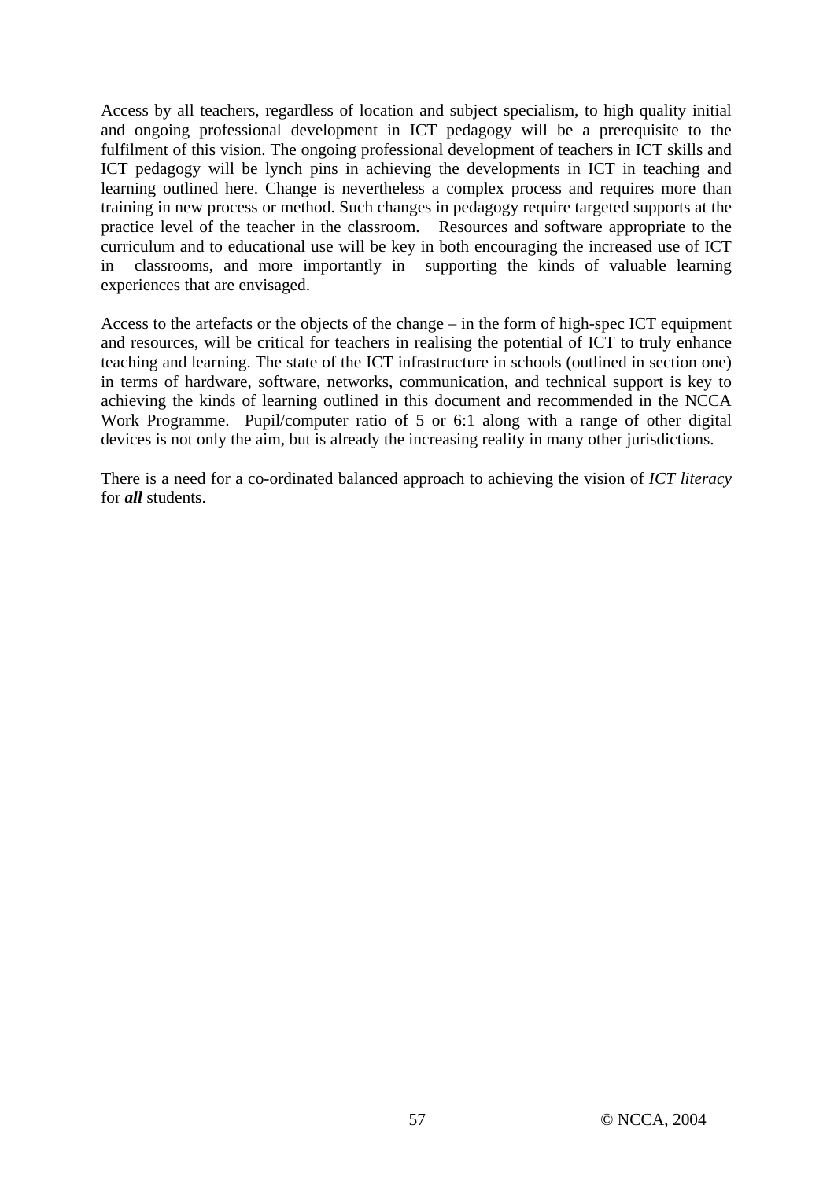Access by all teachers, regardless of location and subject specialism, to high quality initial and ongoing professional development in ICT pedagogy will be a prerequisite to the fulfilment of this vision. The ongoing professional development of teachers in ICT skills and ICT pedagogy will be lynch pins in achieving the developments in ICT in teaching and learning outlined here. Change is nevertheless a complex process and requires more than training in new process or method. Such changes in pedagogy require targeted supports at the practice level of the teacher in the classroom. Resources and software appropriate to the curriculum and to educational use will be key in both encouraging the increased use of ICT in classrooms, and more importantly in supporting the kinds of valuable learning experiences that are envisaged.

Access to the artefacts or the objects of the change – in the form of high-spec ICT equipment and resources, will be critical for teachers in realising the potential of ICT to truly enhance teaching and learning. The state of the ICT infrastructure in schools (outlined in section one) in terms of hardware, software, networks, communication, and technical support is key to achieving the kinds of learning outlined in this document and recommended in the NCCA Work Programme. Pupil/computer ratio of 5 or 6:1 along with a range of other digital devices is not only the aim, but is already the increasing reality in many other jurisdictions.

There is a need for a co-ordinated balanced approach to achieving the vision of *ICT literacy* for *all* students.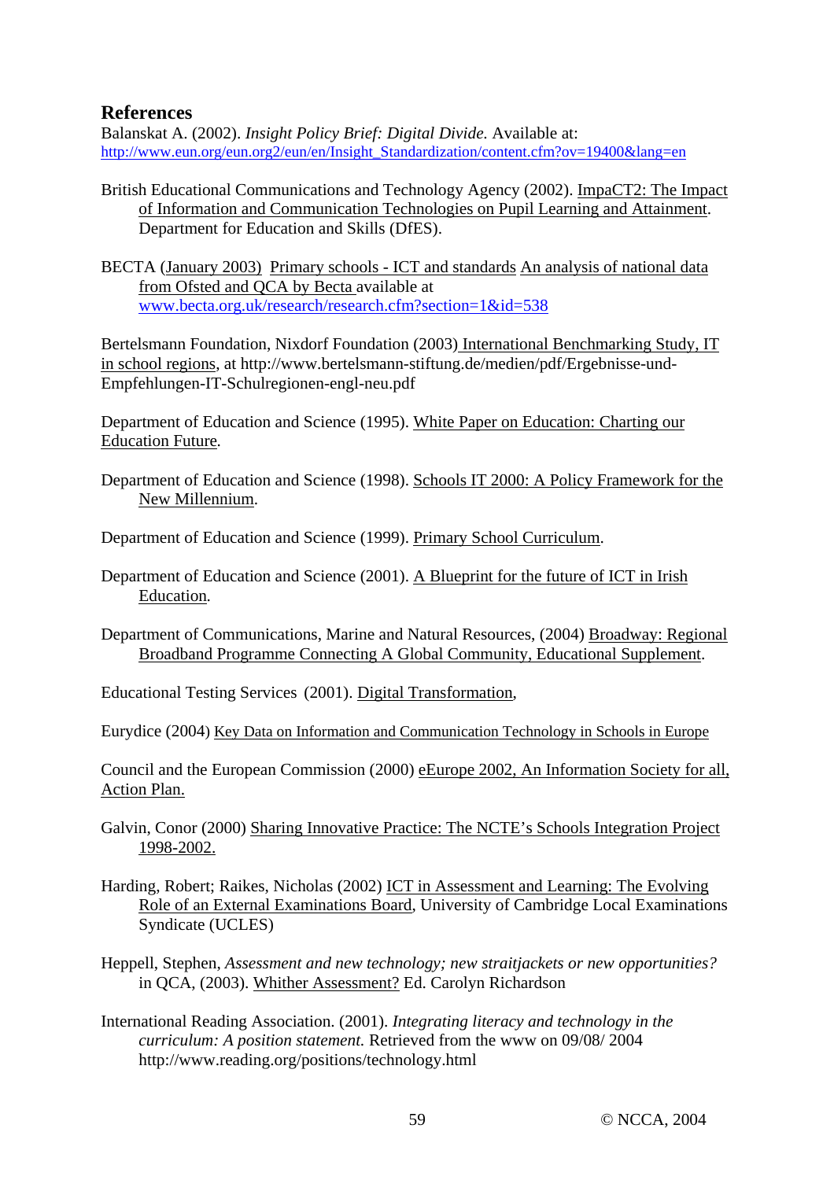## **References**

Balanskat A. (2002). *Insight Policy Brief: Digital Divide.* Available at: http://www.eun.org/eun.org2/eun/en/Insight\_Standardization/content.cfm?ov=19400&lang=en

British Educational Communications and Technology Agency (2002). ImpaCT2: The Impact of Information and Communication Technologies on Pupil Learning and Attainment. Department for Education and Skills (DfES).

BECTA (January 2003) Primary schools - ICT and standards An analysis of national data from Ofsted and QCA by Becta available at www.becta.org.uk/research/research.cfm?section=1&id=538

Bertelsmann Foundation, Nixdorf Foundation (2003) International Benchmarking Study, IT in school regions, at http://www.bertelsmann-stiftung.de/medien/pdf/Ergebnisse-und-Empfehlungen-IT-Schulregionen-engl-neu.pdf

Department of Education and Science (1995). White Paper on Education: Charting our Education Future*.* 

Department of Education and Science (1998). Schools IT 2000: A Policy Framework for the New Millennium.

Department of Education and Science (1999). Primary School Curriculum.

- Department of Education and Science (2001). A Blueprint for the future of ICT in Irish Education*.*
- Department of Communications, Marine and Natural Resources, (2004) Broadway: Regional Broadband Programme Connecting A Global Community, Educational Supplement.

Educational Testing Services (2001). Digital Transformation,

Eurydice (2004) Key Data on Information and Communication Technology in Schools in Europe

Council and the European Commission (2000) eEurope 2002, An Information Society for all, Action Plan.

- Galvin, Conor (2000) Sharing Innovative Practice: The NCTE's Schools Integration Project 1998-2002.
- Harding, Robert; Raikes, Nicholas (2002) ICT in Assessment and Learning: The Evolving Role of an External Examinations Board, University of Cambridge Local Examinations Syndicate (UCLES)
- Heppell, Stephen, *Assessment and new technology; new straitjackets or new opportunities?* in QCA, (2003). Whither Assessment? Ed. Carolyn Richardson
- International Reading Association. (2001). *Integrating literacy and technology in the curriculum: A position statement.* Retrieved from the www on 09/08/ 2004 http://www.reading.org/positions/technology.html